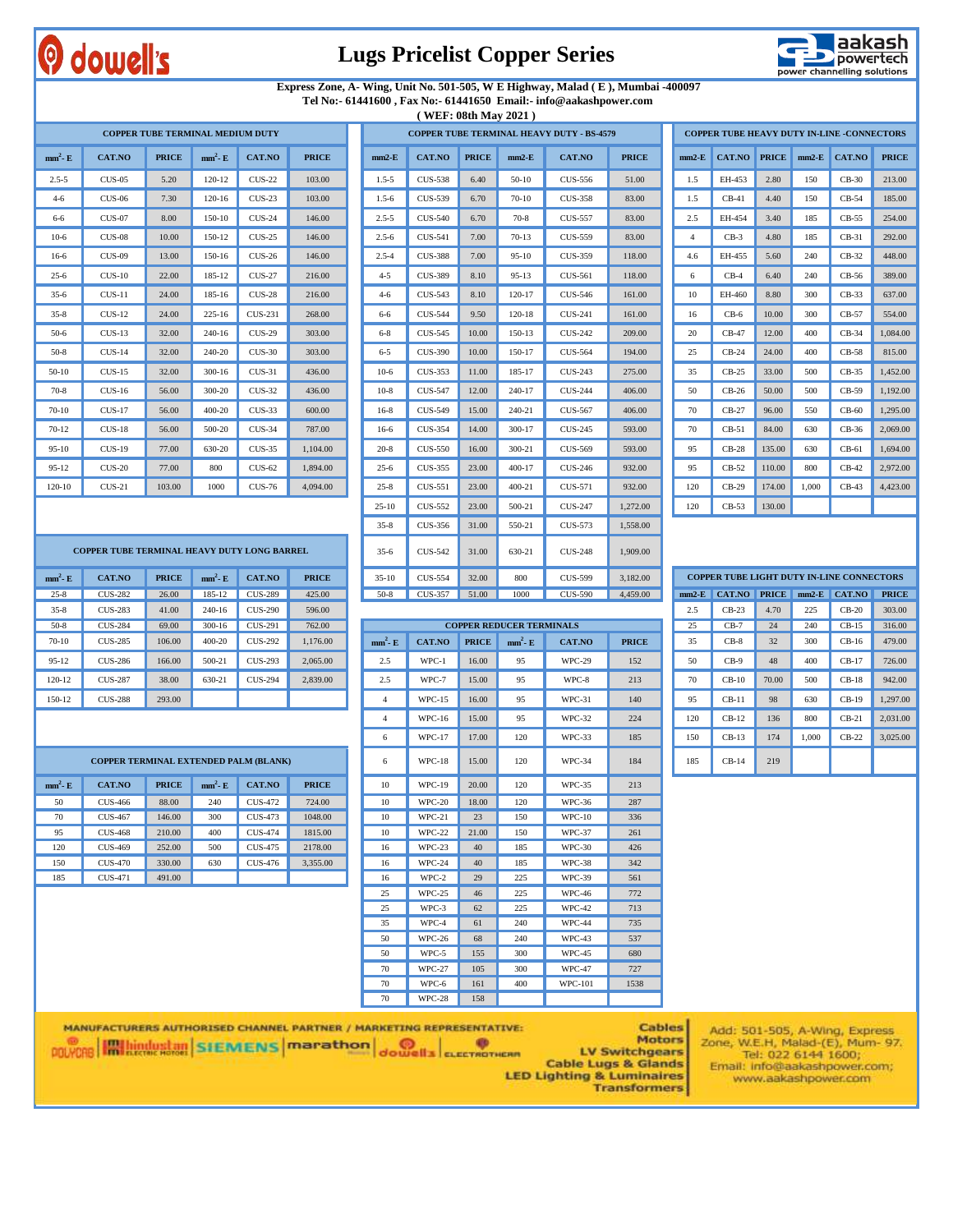## dowell's

#### **Lugs Pricelist Copper Series**



#### **Express Zone, A- Wing, Unit No. 501-505, W E Highway, Malad ( E ), Mumbai -400097 Tel No:- 61441600 , Fax No:- 61441650 Email:- info@aakashpower.com**

**COPPER TUBE TERMINAL HEAVY DUTY - BS-4579**

**( WEF: 08th May 2021 )**

|           |           |              | <b>COPPER TUBE TERMINAL MEDIUM DUTY</b> |                |              |
|-----------|-----------|--------------|-----------------------------------------|----------------|--------------|
| $mm2$ - E | CAT.NO    | <b>PRICE</b> | $mm2$ - E                               | <b>CAT.NO</b>  | <b>PRICE</b> |
| $2.5 - 5$ | CUS-05    | 5.20         | $120 - 12$                              | $CIIS-22$      | 103.00       |
| $4 - 6$   | $CUS-06$  | 7.30         | $120 - 16$                              | $CUS-23$       | 103.00       |
| $6 - 6$   | $CUS-07$  | 8.00         | 150-10                                  | $CUS-24$       | 146.00       |
| $10-6$    | $CUS-08$  | 10.00        | 150-12                                  | $CUS-25$       | 146.00       |
| $16-6$    | $CUS-09$  | 13.00        | 150-16                                  | $CUS-26$       | 146.00       |
| $25 - 6$  | $CUS-10$  | 22.00        | 185-12                                  | $CUS-27$       | 216.00       |
| $35-6$    | $CUS-11$  | 24.00        | 185-16                                  | $CUS-28$       | 216.00       |
| $35 - 8$  | $CUS-12$  | 24.00        | $225 - 16$                              | <b>CUS-231</b> | 268.00       |
| $50-6$    | $CLIS-13$ | 32.00        | $240 - 16$                              | $CUS-29$       | 303.00       |
| $50-8$    | $CLIS-14$ | 32.00        | 240-20                                  | $CUS-30$       | 303.00       |
| $50-10$   | $CLIS-15$ | 32.00        | $300 - 16$                              | CUS-31         | 436.00       |
| $70-8$    | $CUS-16$  | 56.00        | 300-20                                  | $CUS-32$       | 436.00       |
| $70 - 10$ | $CUS-17$  | 56.00        | 400-20                                  | $CUS-33$       | 600.00       |
| $70 - 12$ | $CUS-18$  | 56.00        | 500-20                                  | $CUS-34$       | 787.00       |
| $95 - 10$ | $CUS-19$  | 77.00        | 630-20                                  | $CUS-35$       | 1,104.00     |
| $95 - 12$ | $CUS-20$  | 77.00        | 800                                     | $CUS-62$       | 1,894.00     |
| 120-10    | $CLIS-21$ | 103.00       | 1000                                    | <b>CUS-76</b>  | 4.094.00     |

| $nm^2$ - E          | CAT.NO                                      | <b>PRICE</b> | $mm^2$ - E | CAT.NO         | <b>PRICE</b> | $mm2-E$   | <b>CAT.NO</b>  | <b>PRICE</b> | $mm2-E$    | CAT.NO         | <b>PRICE</b> | $mm2-E$        | CAT.NO  | <b>PRICE</b> | $mm2-E$ | CAT.NO                                           | <b>PRICE</b> |
|---------------------|---------------------------------------------|--------------|------------|----------------|--------------|-----------|----------------|--------------|------------|----------------|--------------|----------------|---------|--------------|---------|--------------------------------------------------|--------------|
| $2.5 - 5$           | $CUS-05$                                    | 5.20         | $120 - 12$ | <b>CUS-22</b>  | 103.00       | $1.5 - 5$ | <b>CUS-538</b> | 6.40         | $50-10$    | CUS-556        | 51.00        | 1.5            | EH-453  | 2.80         | 150     | $CB-30$                                          | 213.00       |
| $4 - 6$             | <b>CUS-06</b>                               | 7.30         | $120 - 16$ | $CUS-23$       | 103.00       | $1.5 - 6$ | CUS-539        | 6.70         | 70-10      | CUS-358        | 83.00        | 1.5            | $CB-41$ | 4.40         | 150     | $CB-54$                                          | 185.00       |
| 6-6                 | $CUS-07$                                    | 8.00         | 150-10     | <b>CUS-24</b>  | 146.00       | $2.5 - 5$ | <b>CUS-540</b> | 6.70         | $70-8$     | <b>CUS-557</b> | 83.00        | 2.5            | EH-454  | 3.40         | 185     | $CB-55$                                          | 254.00       |
| $10-6$              | $CUS-08$                                    | 10.00        | 150-12     | <b>CUS-25</b>  | 146.00       | $2.5 - 6$ | <b>CUS-541</b> | 7.00         | $70-13$    | <b>CUS-559</b> | 83.00        | $\overline{4}$ | $CB-3$  | 4.80         | 185     | $CB-31$                                          | 292.00       |
| $16-6$              | $CUS-09$                                    | 13.00        | 150-16     | $CUS-26$       | 146.00       | $2.5 - 4$ | <b>CUS-388</b> | 7.00         | $95-10$    | CUS-359        | 118.00       | 4.6            | EH-455  | 5.60         | 240     | $CB-32$                                          | 448.00       |
| $25-6$              | $CUS-10$                                    | 22.00        | 185-12     | <b>CUS-27</b>  | 216.00       | $4 - 5$   | <b>CUS-389</b> | 8.10         | $95 - 13$  | CUS-561        | 118.00       | 6              | $CB-4$  | 6.40         | 240     | $CB-56$                                          | 389.00       |
| $35-6$              | $CUS-11$                                    | 24.00        | 185-16     | $CUS-28$       | 216.00       | $4 - 6$   | CUS-543        | 8.10         | 120-17     | CUS-546        | 161.00       | 10             | EH-460  | 8.80         | 300     | $CB-33$                                          | 637.00       |
| $35-8$              | $CUS-12$                                    | 24.00        | $225 - 16$ | CUS-231        | 268.00       | 6-6       | <b>CUS-544</b> | 9.50         | $120 - 18$ | <b>CUS-241</b> | 161.00       | 16             | $CB-6$  | 10.00        | 300     | $CB-57$                                          | 554.00       |
| $50-6$              | $CUS-13$                                    | 32.00        | 240-16     | $CUS-29$       | 303.00       | $6 - 8$   | <b>CUS-545</b> | 10.00        | 150-13     | <b>CUS-242</b> | 209.00       | 20             | $CB-47$ | 12.00        | 400     | $CB-34$                                          | 1,084.00     |
| $50-8$              | $CUS-14$                                    | 32.00        | 240-20     | $CUS-30$       | 303.00       | $6 - 5$   | <b>CUS-390</b> | 10.00        | 150-17     | CUS-564        | 194.00       | 25             | $CB-24$ | 24.00        | 400     | $CB-58$                                          | 815.00       |
| $50-10$             | $CUS-15$                                    | 32.00        | $300 - 16$ | $CUS-31$       | 436.00       | $10-6$    | <b>CUS-353</b> | 11.00        | 185-17     | CUS-243        | 275.00       | 35             | $CB-25$ | 33.00        | 500     | $CB-35$                                          | 1,452.00     |
| $70-8$              | $CUS-16$                                    | 56.00        | 300-20     | $CUS-32$       | 436.00       | $10-8$    | CUS-547        | 12.00        | 240-17     | <b>CUS-244</b> | 406.00       | 50             | $CB-26$ | 50.00        | 500     | $CB-59$                                          | 1,192.00     |
| 70-10               | <b>CUS-17</b>                               | 56.00        | 400-20     | $CUS-33$       | 600.00       | $16-8$    | <b>CUS-549</b> | 15.00        | 240-21     | CUS-567        | 406.00       | 70             | $CB-27$ | 96.00        | 550     | $CB-60$                                          | 1,295.00     |
| $70-12$             | $CUS-18$                                    | 56.00        | 500-20     | <b>CUS-34</b>  | 787.00       | $16-6$    | <b>CUS-354</b> | 14.00        | $300 - 17$ | CUS-245        | 593.00       | 70             | $CB-51$ | 84.00        | 630     | $CB-36$                                          | 2,069.00     |
| 95-10               | $CUS-19$                                    | 77.00        | 630-20     | $CUS-35$       | 1.104.00     | $20 - 8$  | <b>CUS-550</b> | 16.00        | 300-21     | CUS-569        | 593.00       | 95             | $CB-28$ | 135.00       | 630     | $CB-61$                                          | 1,694.00     |
| $95 - 12$           | $CUS-20$                                    | 77.00        | 800        | CUS-62         | 1,894.00     | $25 - 6$  | <b>CUS-355</b> | 23.00        | $400 - 17$ | CUS-246        | 932.00       | 95             | $CB-52$ | 110.00       | 800     | $CB-42$                                          | 2.972.00     |
| 120-10              | $CUS-21$                                    | 103.00       | 1000       | <b>CUS-76</b>  | 4,094.00     | $25 - 8$  | CUS-551        | 23.00        | $400 - 21$ | CUS-571        | 932.00       | 120            | $CB-29$ | 174.00       | 1.000   | $CB-43$                                          | 4,423.00     |
|                     |                                             |              |            |                |              | $25 - 10$ | <b>CUS-552</b> | 23.00        | 500-21     | CUS-247        | 1,272.00     | 120            | $CB-53$ | 130.00       |         |                                                  |              |
|                     |                                             |              |            |                |              | $35 - 8$  | CUS-356        | 31.00        | 550-21     | CUS-573        | 1,558.00     |                |         |              |         |                                                  |              |
|                     | COPPER TUBE TERMINAL HEAVY DUTY LONG BARREL |              |            |                |              | $35 - 6$  | CUS-542        | 31.00        | 630-21     | <b>CUS-248</b> | 1.909.00     |                |         |              |         |                                                  |              |
| nm <sup>2</sup> - E | <b>CAT.NO</b>                               | <b>PRICE</b> | $mm^2$ - E | <b>CAT.NO</b>  | <b>PRICE</b> | $35-10$   | <b>CUS-554</b> | 32.00        | 800        | <b>CUS-599</b> | 3,182.00     |                |         |              |         | <b>COPPER TUBE LIGHT DUTY IN-LINE CONNECTORS</b> |              |
| $25 - 8$            | <b>CUS-282</b>                              | 26.00        | 185-12     | <b>CUS-289</b> | 425.00       | $50-8$    | CUS-357        | 51.00        | 1000       | <b>CUS-590</b> | 4,459.00     |                |         |              |         | mm2-E CAT.NO PRICE mm2-E CAT.NO PRICE            |              |
|                     |                                             |              |            |                |              |           |                |              |            |                |              |                |         |              |         |                                                  |              |

| $mm2-E$        | <b>CAT.NO</b> | <b>PRICE</b> | $mm2-E$ | <b>CAT.NO</b> | <b>PRICE</b> |
|----------------|---------------|--------------|---------|---------------|--------------|
| 1.5            | EH-453        | 2.80         | 150     | $CB-30$       | 213.00       |
| 1.5            | $CB-41$       | 4.40         | 150     | $CB-54$       | 185.00       |
| 2.5            | EH-454        | 3.40         | 185     | $CB-55$       | 254.00       |
| $\overline{4}$ | $CB-3$        | 4.80         | 185     | $CB-31$       | 292.00       |
| 4.6            | EH-455        | 5.60         | 240     | $CB-32$       | 448.00       |
| 6              | $CB-4$        | 6.40         | 240     | $CB-56$       | 389.00       |
| 10             | EH-460        | 8.80         | 300     | $CB-33$       | 637.00       |
| 16             | $CB-6$        | 10.00        | 300     | $CB-57$       | 554.00       |
| 20             | $CB-47$       | 12.00        | 400     | $CB-34$       | 1.084.00     |
| 25             | $CB-24$       | 24.00        | 400     | $CB-58$       | 815.00       |
| 35             | $CB-25$       | 33.00        | 500     | $CB-35$       | 1,452.00     |
| 50             | $CB-26$       | 50.00        | 500     | $CB-59$       | 1,192.00     |
| 70             | $CB-27$       | 96.00        | 550     | $CB-60$       | 1,295.00     |
| 70             | $CB-51$       | 84.00        | 630     | $CB-36$       | 2,069.00     |
| 95             | $CB-28$       | 135.00       | 630     | $CB-61$       | 1,694.00     |
| 95             | $CB-52$       | 110.00       | 800     | $CB-42$       | 2,972.00     |
| 120            | $CB-29$       | 174.00       | 1,000   | $CB-43$       | 4,423.00     |
| 120            | $CB-53$       | 130.00       |         |               |              |

**COPPER TUBE HEAVY DUTY IN-LINE -CONNECTORS** 

| D   | <b>CUS-599</b>   | 3.182.00     |         | <b>COPPER TUBE LIGHT DUTY IN-LINE CONNECTORS</b> |       |       |                                 |              |
|-----|------------------|--------------|---------|--------------------------------------------------|-------|-------|---------------------------------|--------------|
| 0   | <b>CUS-590</b>   | 4.459.00     | $mm2-E$ |                                                  |       |       | $CAT.NO$ $PRE$ $mm2-E$ $CAT.NO$ | <b>PRICE</b> |
|     |                  |              | 2.5     | $CB-23$                                          | 4.70  | 225   | $CB-20$                         | 303.00       |
|     | <b>TERMINALS</b> |              | 25      | $CB-7$                                           | 24    | 240   | $CB-15$                         | 316.00       |
| - E | CAT.NO           | <b>PRICE</b> | 35      | $CB-8$                                           | 32    | 300   | $CB-16$                         | 479.00       |
|     | <b>WPC-29</b>    | 152          | 50      | $CB-9$                                           | 48    | 400   | $CB-17$                         | 726.00       |
|     | WPC-8            | 213          | 70      | $CB-10$                                          | 70.00 | 500   | $CB-18$                         | 942.00       |
|     | $WPC-31$         | 140          | 95      | $CB-11$                                          | 98    | 630   | $CB-19$                         | 1.297.00     |
|     | <b>WPC-32</b>    | 224          | 120     | $CB-12$                                          | 136   | 800   | $CB-21$                         | 2.031.00     |
| D   | <b>WPC-33</b>    | 185          | 150     | $CB-13$                                          | 174   | 1.000 | $CB-22$                         | 3.025.00     |
| D   | <b>WPC-34</b>    | 184          | 185     | $CB-14$                                          | 219   |       |                                 |              |

| - 13 | CAT.NO         | <b>PRICE</b> | $mm^2$ - E | CAT.NO         | <b>PRI</b> |
|------|----------------|--------------|------------|----------------|------------|
| 8    | <b>CUS-282</b> | 26.00        |            | 185-12 CUS-289 | 425.       |
| 8    | <b>CUS-283</b> | 41.00        | 240-16     | <b>CUS-290</b> | 596.       |
|      |                |              |            |                |            |

**mm 2**

| $35 - 8$  | <b>CUS-283</b> | 41.00  | 240-16   | CUS-290 | 596.00   |                     |          |              |                                 |               |              | 2.5 | $CB-23$ | 4.70            | 225 | $CB-20$ | 303.00  |
|-----------|----------------|--------|----------|---------|----------|---------------------|----------|--------------|---------------------------------|---------------|--------------|-----|---------|-----------------|-----|---------|---------|
| $50-8$    | <b>CUS-284</b> | 69.00  | $300-16$ | CUS-291 | 762.00   |                     |          |              | <b>COPPER REDUCER TERMINALS</b> |               |              |     | CB-7    | 24              | 240 | $CB-15$ | 316.00  |
| $70-10$   | <b>CUS-285</b> | 106.00 | 400-20   | CUS-292 | 1.176.00 | $mm^{\circ}$ - $E$  | CAT.NO   | <b>PRICE</b> | $mm^2$ - E                      | CAT.NO        | <b>PRICE</b> | 35  | $CB-8$  | 32 <sup>°</sup> | 300 | $CB-16$ | 479.00  |
| $95 - 12$ | <b>CUS-286</b> | 166.00 | 500-21   | CUS-293 | 2,065,00 | $\gamma$ $\epsilon$ | WPC-1    | 16.00        | 95                              | <b>WPC-29</b> | 152          | 50  | $T$ B-9 | 48              | 400 | $CB-17$ | 726.00  |
| 120-12    | <b>CUS-287</b> | 38.00  | 630-21   | CUS-294 | 2,839.00 | $\gamma$ $\epsilon$ | WPC-7    | 15.00        | 95                              | WPC-8         | 213          | 70  | $CB-10$ | 70.00           | 500 | $CB-18$ | 942.00  |
| 150-12    | <b>CUS-288</b> | 293.00 |          |         |          |                     | $WPC-15$ | 16.00        | 95                              | $WPC-31$      | 140          | 95  | $CB-11$ | 98              | 630 | $CB-19$ | 1.297.0 |

|            | <b>COPPER TERMINAL EXTENDED PALM (BLANK)</b> |              |            |         |              | 6  | <b>WPC-18</b> | 15.00 | 120 | <b>WPC-34</b> | 184 |
|------------|----------------------------------------------|--------------|------------|---------|--------------|----|---------------|-------|-----|---------------|-----|
| $mm^2$ - E | CAT.NO                                       | <b>PRICE</b> | $mm^2$ - E | CAT.NO  | <b>PRICE</b> | 10 | <b>WPC-19</b> | 20.00 | 120 | <b>WPC-35</b> | 213 |
| 50         | CUS-466                                      | 88.00        | 240        | CUS-472 | 724.00       | 10 | $WPC-20$      | 18.00 | 120 | WPC-36        | 287 |
| 70         | CUS-467                                      | 146.00       | 300        | CUS-473 | 1048.00      | 10 | $WPC-21$      | 23    | 150 | $WPC-10$      | 336 |
| 95         | <b>CUS-468</b>                               | 210.00       | 400        | CUS-474 | 1815.00      | 10 | $WPC-22$      | 21.00 | 150 | <b>WPC-37</b> | 261 |
| 120        | CUS-469                                      | 252.00       | 500        | CUS-475 | 2178.00      | 16 | $WPC-23$      | 40    | 185 | <b>WPC-30</b> | 426 |
| 150        | CUS-470                                      | 330.00       | 630        | CUS-476 | 3.355.00     | 16 | <b>WPC-24</b> | 40    | 185 | <b>WPC-38</b> | 342 |
| 185        | CUS-471                                      | 491.00       |            |         |              | 16 | WPC-2         | 29    | 225 | <b>WPC-39</b> | 561 |
|            |                                              |              |            |         |              |    |               |       |     |               |     |

| $70-10$           | <b>CUS-285</b>                               | 106.00       | 400-20     | CUS-292        | 1.176.00     | $mm^2$ - E |                | CAT.NO        | <b>PRICE</b> | $mm^2$ - E | CAT.NO         | <b>PRICE</b> | 35  | $CB-8$  | 32    | 300   | $CB-16$ | 479.00   |
|-------------------|----------------------------------------------|--------------|------------|----------------|--------------|------------|----------------|---------------|--------------|------------|----------------|--------------|-----|---------|-------|-------|---------|----------|
| $95 - 12$         | <b>CUS-286</b>                               | 166.00       | 500-21     | <b>CUS-293</b> | 2.065.00     |            | 2.5            | $WPC-1$       | 16.00        | 95         | <b>WPC-29</b>  | 152          | 50  | $CB-9$  | 48    | 400   | $CB-17$ | 726.00   |
| 120-12            | CUS-287                                      | 38.00        | 630-21     | CUS-294        | 2,839.00     |            | 2.5            | WPC-7         | 15.00        | 95         | WPC-8          | 213          | 70  | $CB-10$ | 70.00 | 500   | $CB-18$ | 942.00   |
| 150-12            | <b>CUS-288</b>                               | 293.00       |            |                |              |            | $\overline{4}$ | $WPC-15$      | 16.00        | 95         | $WPC-31$       | 140          | 95  | $CB-11$ | 98    | 630   | $CB-19$ | 1,297.00 |
|                   |                                              |              |            |                |              |            | $\overline{4}$ | <b>WPC-16</b> | 15.00        | 95         | <b>WPC-32</b>  | 224          | 120 | $CB-12$ | 136   | 800   | $CB-21$ | 2,031.00 |
|                   |                                              |              |            |                |              |            | 6              | <b>WPC-17</b> | 17.00        | 120        | WPC-33         | 185          | 150 | $CB-13$ | 174   | 1,000 | $CB-22$ | 3,025.00 |
|                   | <b>COPPER TERMINAL EXTENDED PALM (BLANK)</b> |              |            |                |              |            | 6              | $WPC-18$      | 15.00        | 120        | WPC-34         | 184          | 185 | $CB-14$ | 219   |       |         |          |
| $\text{nm}^2$ - E | <b>CAT.NO</b>                                | <b>PRICE</b> | $mm^2$ - E | <b>CAT.NO</b>  | <b>PRICE</b> |            | 10             | <b>WPC-19</b> | 20.00        | 120        | <b>WPC-35</b>  | 213          |     |         |       |       |         |          |
| 50                | CUS-466                                      | 88.00        | 240        | CUS-472        | 724.00       |            | 10             | $WPC-20$      | 18.00        | 120        | <b>WPC-36</b>  | 287          |     |         |       |       |         |          |
| 70                | CUS-467                                      | 146.00       | 300        | CUS-473        | 1048.00      |            | 10             | $WPC-21$      | 23           | 150        | $WPC-10$       | 336          |     |         |       |       |         |          |
| 95                | <b>CUS-468</b>                               | 210.00       | 400        | CUS-474        | 1815.00      |            | 10             | <b>WPC-22</b> | 21.00        | 150        | <b>WPC-37</b>  | 261          |     |         |       |       |         |          |
| 120               | <b>CUS-469</b>                               | 252.00       | 500        | CUS-475        | 2178.00      |            | 16             | $WPC-23$      | 40           | 185        | <b>WPC-30</b>  | 426          |     |         |       |       |         |          |
| 150               | <b>CUS-470</b>                               | 330.00       | 630        | CUS-476        | 3.355.00     |            | 16             | WPC-24        | 40           | 185        | <b>WPC-38</b>  | 342          |     |         |       |       |         |          |
| 185               | CUS-471                                      | 491.00       |            |                |              |            | 16             | WPC-2         | 29           | 225        | <b>WPC-39</b>  | 561          |     |         |       |       |         |          |
|                   |                                              |              |            |                |              |            | 25             | $WPC-25$      | 46           | 225        | <b>WPC-46</b>  | 772          |     |         |       |       |         |          |
|                   |                                              |              |            |                |              |            | 25             | WPC-3         | 62           | 225        | $WPC-42$       | 713          |     |         |       |       |         |          |
|                   |                                              |              |            |                |              |            | 35             | WPC-4         | 61           | 240        | <b>WPC-44</b>  | 735          |     |         |       |       |         |          |
|                   |                                              |              |            |                |              |            | 50             | WPC-26        | 68           | 240        | <b>WPC-43</b>  | 537          |     |         |       |       |         |          |
|                   |                                              |              |            |                |              |            | 50             | WPC-5         | 155          | 300        | <b>WPC-45</b>  | 680          |     |         |       |       |         |          |
|                   |                                              |              |            |                |              |            | 70             | <b>WPC-27</b> | 105          | 300        | <b>WPC-47</b>  | 727          |     |         |       |       |         |          |
|                   |                                              |              |            |                |              |            | 70             | WPC-6         | 161          | 400        | <b>WPC-101</b> | 1538         |     |         |       |       |         |          |
|                   |                                              |              |            |                |              |            | 70             | $WPC-28$      | 158          |            |                |              |     |         |       |       |         |          |
|                   |                                              |              |            |                |              |            |                |               |              |            |                |              |     |         |       |       |         |          |

**Cables Motors** 

LV Switchgears **Cable Lugs & Glands** 

**LED Lighting & Luminaires<br>Transformers** 

Add: 501-505, A-Wing, Express<br>Zone, W.E.H, Malad-(E), Mum- 97.<br>Tel: 022 6144 1600; Email: info@aakashpower.com; www.aakashpower.com

MANUFACTURERS AUTHORISED CHANNEL PARTNER / MARKETING REPRESENTATIVE: **POLYDRE HALLING AND SIENIENS Marathon dowells expressioned**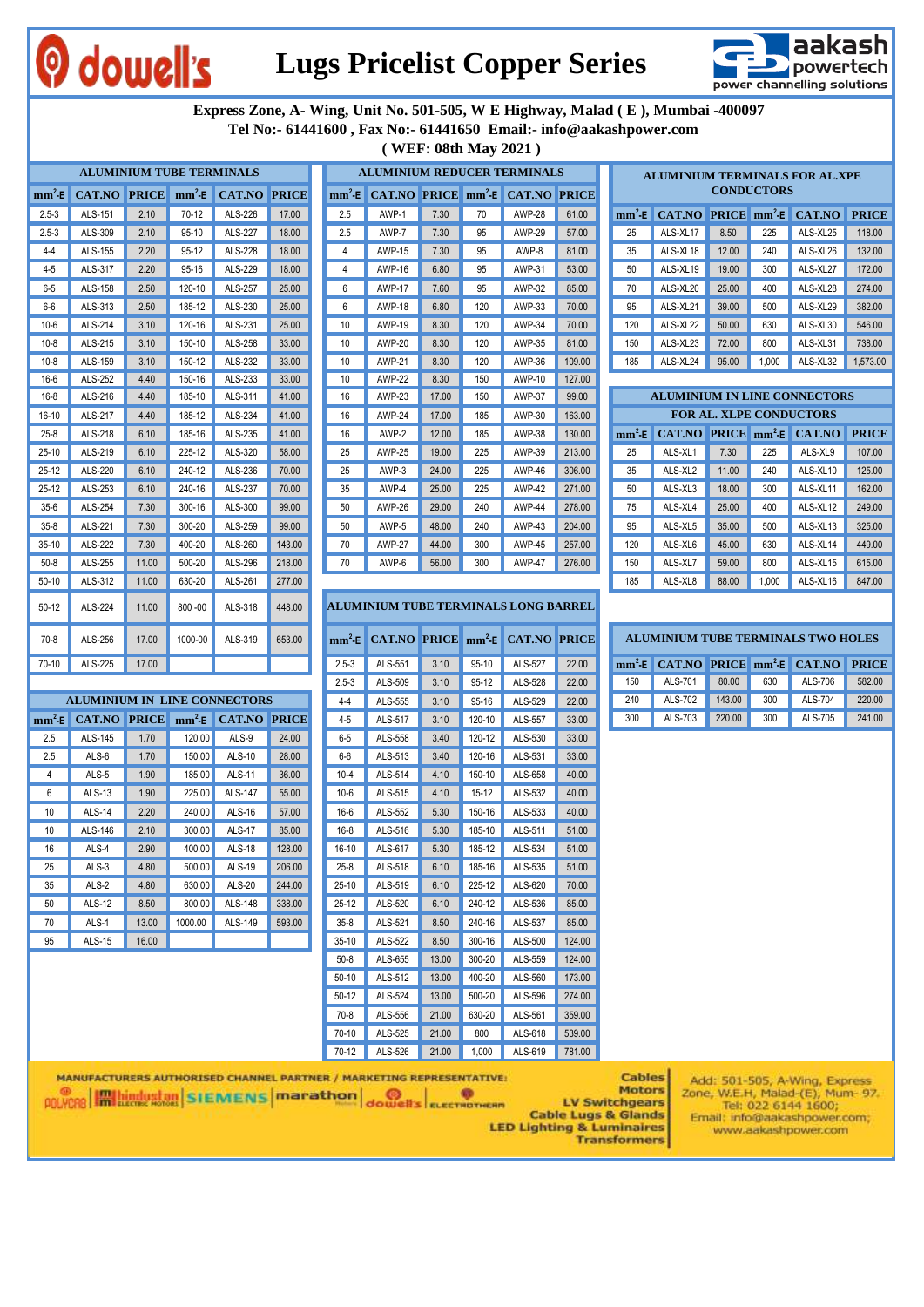

## **Lugs Pricelist Copper Series**



 **Express Zone, A- Wing, Unit No. 501-505, W E Highway, Malad ( E ), Mumbai -400097 Tel No:- 61441600 , Fax No:- 61441650 Email:- info@aakashpower.com ( WEF: 08th May 2021 )**

|           | <b>ALUMINIUM TUBE TERMINALS</b> |       |            |                                                                                                                                                                                                                                                                                                                     | <b>ALUMINIUM REDUCER TERMINALS</b><br><b>ALUMINIUM TERMINALS FOR AL.XPE</b><br><b>CONDUCTORS</b><br>mm <sup>2</sup> E CAT.NO PRICE mm <sup>2</sup> E CAT.NO PRICE |           |               |       |         |                                             |        |     |                                |                                        |        |       |                                                                |              |
|-----------|---------------------------------|-------|------------|---------------------------------------------------------------------------------------------------------------------------------------------------------------------------------------------------------------------------------------------------------------------------------------------------------------------|-------------------------------------------------------------------------------------------------------------------------------------------------------------------|-----------|---------------|-------|---------|---------------------------------------------|--------|-----|--------------------------------|----------------------------------------|--------|-------|----------------------------------------------------------------|--------------|
| $mm^2-E$  | CAT.NO PRICE mm <sup>2</sup> E  |       |            | <b>CAT.NO PRICE</b>                                                                                                                                                                                                                                                                                                 |                                                                                                                                                                   |           |               |       |         |                                             |        |     |                                |                                        |        |       |                                                                |              |
| $2.5 - 3$ | ALS-151                         | 2.10  | 70-12      | ALS-226                                                                                                                                                                                                                                                                                                             | 17.00                                                                                                                                                             | 2.5       | AWP-1         | 7.30  | 70      | <b>AWP-28</b>                               | 61.00  |     |                                | $mm^2$ -E CAT.NO PRICE $mm^2$ -E       |        |       | CAT.NO                                                         | <b>PRICE</b> |
| $2.5 - 3$ | ALS-309                         | 2.10  | $95-10$    | <b>ALS-227</b>                                                                                                                                                                                                                                                                                                      | 18.00                                                                                                                                                             | 2.5       | AWP-7         | 7.30  | 95      | <b>AWP-29</b>                               | 57.00  |     | 25                             | ALS-XL17                               | 8.50   | 225   | ALS-XL25                                                       | 118.00       |
| $4 - 4$   | ALS-155                         | 2.20  | 95-12      | ALS-228                                                                                                                                                                                                                                                                                                             | 18.00                                                                                                                                                             | 4         | <b>AWP-15</b> | 7.30  | 95      | AWP-8                                       | 81.00  | 35  |                                | ALS-XL18                               | 12.00  | 240   | ALS-XL26                                                       | 132.00       |
| $4 - 5$   | ALS-317                         | 2.20  | 95-16      | ALS-229                                                                                                                                                                                                                                                                                                             | 18.00                                                                                                                                                             | 4         | AWP-16        | 6.80  | 95      | AWP-31                                      | 53.00  | 50  |                                | ALS-XL19                               | 19.00  | 300   | ALS-XL27                                                       | 172.00       |
| 6-5       | ALS-158                         | 2.50  | 120-10     | ALS-257                                                                                                                                                                                                                                                                                                             | 25.00                                                                                                                                                             | 6         | <b>AWP-17</b> | 7.60  | 95      | AWP-32                                      | 85.00  | 70  |                                | ALS-XL20                               | 25.00  | 400   | ALS-XL28                                                       | 274.00       |
| 6-6       | ALS-313                         | 2.50  | 185-12     | ALS-230                                                                                                                                                                                                                                                                                                             | 25.00                                                                                                                                                             | 6         | <b>AWP-18</b> | 6.80  | 120     | AWP-33                                      | 70.00  |     | 95                             | ALS-XL21                               | 39.00  | 500   | ALS-XL29                                                       | 382.00       |
| $10-6$    | ALS-214                         | 3.10  | 120-16     | ALS-231                                                                                                                                                                                                                                                                                                             | 25.00                                                                                                                                                             | 10        | <b>AWP-19</b> | 8.30  | 120     | AWP-34                                      | 70.00  | 120 |                                | ALS-XL22                               | 50.00  | 630   | ALS-XL30                                                       | 546.00       |
| $10 - 8$  | ALS-215                         | 3.10  | 150-10     | ALS-258                                                                                                                                                                                                                                                                                                             | 33.00                                                                                                                                                             | 10        | <b>AWP-20</b> | 8.30  | 120     | AWP-35                                      | 81.00  | 150 |                                | ALS-XL23                               | 72.00  | 800   | ALS-XL31                                                       | 738.00       |
| $10-8$    | ALS-159                         | 3.10  | 150-12     | ALS-232                                                                                                                                                                                                                                                                                                             | 33.00                                                                                                                                                             | 10        | <b>AWP-21</b> | 8.30  | 120     | AWP-36                                      | 109.00 | 185 |                                | ALS-XL24                               | 95.00  | 1,000 | ALS-XL32                                                       | 1,573.00     |
| 16-6      | ALS-252                         | 4.40  | 150-16     | ALS-233                                                                                                                                                                                                                                                                                                             | 33.00                                                                                                                                                             | 10        | <b>AWP-22</b> | 8.30  | 150     | AWP-10                                      | 127.00 |     |                                |                                        |        |       |                                                                |              |
| $16-8$    | ALS-216                         | 4.40  | 185-10     | ALS-311                                                                                                                                                                                                                                                                                                             | 41.00                                                                                                                                                             | 16        | <b>AWP-23</b> | 17.00 | 150     | <b>AWP-37</b>                               | 99.00  |     |                                |                                        |        |       | <b>ALUMINIUM IN LINE CONNECTORS</b>                            |              |
| 16-10     | ALS-217                         | 4.40  | 185-12     | ALS-234                                                                                                                                                                                                                                                                                                             | 41.00                                                                                                                                                             | 16        | <b>AWP-24</b> | 17.00 | 185     | AWP-30                                      | 163.00 |     |                                |                                        |        |       | <b>FOR AL. XLPE CONDUCTORS</b>                                 |              |
| $25 - 8$  | ALS-218                         | 6.10  | 185-16     | ALS-235                                                                                                                                                                                                                                                                                                             | 41.00                                                                                                                                                             | 16        | AWP-2         | 12.00 | 185     | AWP-38                                      | 130.00 |     |                                | $mm^2$ E CAT.NO PRICE $mm^2$ E CAT.NO  |        |       |                                                                | <b>PRICE</b> |
| 25-10     | ALS-219                         | 6.10  | 225-12     | ALS-320                                                                                                                                                                                                                                                                                                             | 58.00                                                                                                                                                             | 25        | <b>AWP-25</b> | 19.00 | 225     | AWP-39                                      | 213.00 |     | 25                             | ALS-XL1                                | 7.30   | 225   | ALS-XL9                                                        | 107.00       |
| $25-12$   | ALS-220                         | 6.10  | 240-12     | ALS-236                                                                                                                                                                                                                                                                                                             | 70.00                                                                                                                                                             | 25        | AWP-3         | 24.00 | 225     | AWP-46                                      | 306.00 |     | 35                             | ALS-XL2                                | 11.00  | 240   | ALS-XL10                                                       | 125.00       |
| $25-12$   | ALS-253                         | 6.10  | 240-16     | ALS-237                                                                                                                                                                                                                                                                                                             | 70.00                                                                                                                                                             | 35        | AWP-4         | 25.00 | 225     | AWP-42                                      | 271.00 |     | 50                             | ALS-XL3                                | 18.00  | 300   | ALS-XL11                                                       | 162.00       |
| $35-6$    | ALS-254                         | 7.30  | 300-16     | ALS-300                                                                                                                                                                                                                                                                                                             | 99.00                                                                                                                                                             | 50        | AWP-26        | 29.00 | 240     | AWP-44                                      | 278.00 | 75  |                                | ALS-XL4                                | 25.00  | 400   | ALS-XL12                                                       | 249.00       |
| $35-8$    | ALS-221                         | 7.30  | 300-20     | ALS-259                                                                                                                                                                                                                                                                                                             | 99.00                                                                                                                                                             | 50        | AWP-5         | 48.00 | 240     | AWP-43                                      | 204.00 |     | 95                             | ALS-XL5                                | 35.00  | 500   | ALS-XL13                                                       | 325.00       |
| $35-10$   | ALS-222                         | 7.30  | 400-20     | ALS-260                                                                                                                                                                                                                                                                                                             | 143.00                                                                                                                                                            | 70        | <b>AWP-27</b> | 44.00 | 300     | <b>AWP-45</b>                               | 257.00 |     | 120                            | ALS-XL6                                | 45.00  | 630   | ALS-XL14                                                       | 449.00       |
| $50 - 8$  | ALS-255                         | 11.00 | 500-20     | ALS-296                                                                                                                                                                                                                                                                                                             | 218.00                                                                                                                                                            | 70        | AWP-6         | 56.00 | 300     | <b>AWP-47</b>                               | 276.00 |     | 150                            | ALS-XL7                                | 59.00  | 800   | ALS-XL15                                                       | 615.00       |
| $50-10$   | ALS-312                         | 11.00 | 630-20     | ALS-261                                                                                                                                                                                                                                                                                                             | 277.00                                                                                                                                                            |           |               |       |         |                                             |        |     | 185                            | ALS-XL8                                | 88.00  | 1,000 | ALS-XL16                                                       | 847.00       |
| $50-12$   | ALS-224                         | 11.00 | $800 - 00$ | ALS-318                                                                                                                                                                                                                                                                                                             | 448.00                                                                                                                                                            |           |               |       |         | <b>ALUMINIUM TUBE TERMINALS LONG BARREL</b> |        |     |                                |                                        |        |       |                                                                |              |
| 70-8      | ALS-256                         | 17.00 | 1000-00    | ALS-319                                                                                                                                                                                                                                                                                                             | 653.00                                                                                                                                                            |           |               |       |         | $mm^2$ E CAT.NO PRICE $mm^2$ E CAT.NO PRICE |        |     |                                |                                        |        |       | <b>ALUMINIUM TUBE TERMINALS TWO HOLES</b>                      |              |
| 70-10     | ALS-225                         | 17.00 |            |                                                                                                                                                                                                                                                                                                                     |                                                                                                                                                                   | $2.5 - 3$ | ALS-551       | 3.10  | $95-10$ | ALS-527                                     | 22.00  |     | $mm^2-E$                       | CAT.NO PRICE mm <sup>2</sup> -E CAT.NO |        |       |                                                                | <b>PRICE</b> |
|           |                                 |       |            |                                                                                                                                                                                                                                                                                                                     |                                                                                                                                                                   | $2.5 - 3$ | ALS-509       | 3.10  | $95-12$ | ALS-528                                     | 22.00  |     | 150                            | ALS-701                                | 80.00  | 630   | ALS-706                                                        | 582.00       |
|           |                                 |       |            | <b>ALUMINIUM IN LINE CONNECTORS</b>                                                                                                                                                                                                                                                                                 |                                                                                                                                                                   | $4 - 4$   | ALS-555       | 3.10  | 95-16   | ALS-529                                     | 22.00  |     | 240                            | ALS-702                                | 143.00 | 300   | <b>ALS-704</b>                                                 | 220.00       |
|           |                                 |       |            | $mm^2$ E CAT.NO PRICE $mm^2$ E CAT.NO PRICE                                                                                                                                                                                                                                                                         |                                                                                                                                                                   | 4-5       | ALS-517       | 3.10  | 120-10  | ALS-557                                     | 33.00  |     | 300                            | ALS-703                                | 220.00 | 300   | ALS-705                                                        | 241.00       |
| 2.5       | ALS-145                         | 1.70  | 120.00     | ALS-9                                                                                                                                                                                                                                                                                                               | 24.00                                                                                                                                                             | $6-5$     | ALS-558       | 3.40  | 120-12  | ALS-530                                     | 33.00  |     |                                |                                        |        |       |                                                                |              |
| 2.5       | ALS-6                           | 1.70  | 150.00     | <b>ALS-10</b>                                                                                                                                                                                                                                                                                                       | 28.00                                                                                                                                                             | 6-6       | ALS-513       | 3.40  | 120-16  | ALS-531                                     | 33.00  |     |                                |                                        |        |       |                                                                |              |
| 4         | ALS-5                           | 1.90  | 185.00     | <b>ALS-11</b>                                                                                                                                                                                                                                                                                                       | 36.00                                                                                                                                                             | $10 - 4$  | ALS-514       | 4.10  | 150-10  | ALS-658                                     | 40.00  |     |                                |                                        |        |       |                                                                |              |
| 6         | <b>ALS-13</b>                   | 1.90  | 225.00     | <b>ALS-147</b>                                                                                                                                                                                                                                                                                                      | 55.00                                                                                                                                                             | $10-6$    | ALS-515       | 4.10  | $15-12$ | ALS-532                                     | 40.00  |     |                                |                                        |        |       |                                                                |              |
| 10        | <b>ALS-14</b>                   | 2.20  | 240.00     | <b>ALS-16</b>                                                                                                                                                                                                                                                                                                       | 57.00                                                                                                                                                             | $16-6$    | ALS-552       | 5.30  | 150-16  | ALS-533                                     | 40.00  |     |                                |                                        |        |       |                                                                |              |
| 10        | ALS-146                         | 2.10  | 300.00     | <b>ALS-17</b>                                                                                                                                                                                                                                                                                                       | 85.00                                                                                                                                                             | $16 - 8$  | ALS-516       | 5.30  | 185-10  | ALS-511                                     | 51.00  |     |                                |                                        |        |       |                                                                |              |
| 16        | ALS-4                           | 2.90  | 400.00     | <b>ALS-18</b>                                                                                                                                                                                                                                                                                                       | 128.00                                                                                                                                                            | $16 - 10$ | ALS-617       | 5.30  | 185-12  | ALS-534                                     | 51.00  |     |                                |                                        |        |       |                                                                |              |
| 25        | ALS-3                           | 4.80  | 500.00     | <b>ALS-19</b>                                                                                                                                                                                                                                                                                                       | 206.00                                                                                                                                                            | $25-8$    | ALS-518       | 6.10  | 185-16  | ALS-535                                     | 51.00  |     |                                |                                        |        |       |                                                                |              |
| 35        | ALS-2                           | 4.80  | 630.00     | <b>ALS-20</b>                                                                                                                                                                                                                                                                                                       | 244.00                                                                                                                                                            | $25-10$   | ALS-519       | 6.10  | 225-12  | ALS-620                                     | 70.00  |     |                                |                                        |        |       |                                                                |              |
| 50        | <b>ALS-12</b>                   | 8.50  | 800.00     | ALS-148                                                                                                                                                                                                                                                                                                             | 338.00                                                                                                                                                            | $25 - 12$ | ALS-520       | 6.10  | 240-12  | ALS-536                                     | 85.00  |     |                                |                                        |        |       |                                                                |              |
| 70        | ALS-1                           | 13.00 | 1000.00    | ALS-149                                                                                                                                                                                                                                                                                                             | 593.00                                                                                                                                                            | $35 - 8$  | ALS-521       | 8.50  | 240-16  | ALS-537                                     | 85.00  |     |                                |                                        |        |       |                                                                |              |
| 95        | <b>ALS-15</b>                   | 16.00 |            |                                                                                                                                                                                                                                                                                                                     |                                                                                                                                                                   | $35-10$   | ALS-522       | 8.50  | 300-16  | ALS-500                                     | 124.00 |     |                                |                                        |        |       |                                                                |              |
|           |                                 |       |            |                                                                                                                                                                                                                                                                                                                     |                                                                                                                                                                   | $50-8$    | ALS-655       | 13.00 | 300-20  | ALS-559                                     | 124.00 |     |                                |                                        |        |       |                                                                |              |
|           |                                 |       |            |                                                                                                                                                                                                                                                                                                                     |                                                                                                                                                                   | $50 - 10$ | ALS-512       | 13.00 | 400-20  | ALS-560                                     | 173.00 |     |                                |                                        |        |       |                                                                |              |
|           |                                 |       |            |                                                                                                                                                                                                                                                                                                                     |                                                                                                                                                                   | $50 - 12$ | ALS-524       | 13.00 | 500-20  | ALS-596                                     | 274.00 |     |                                |                                        |        |       |                                                                |              |
|           |                                 |       |            |                                                                                                                                                                                                                                                                                                                     |                                                                                                                                                                   | $70-8$    | ALS-556       | 21.00 | 630-20  | ALS-561                                     | 359.00 |     |                                |                                        |        |       |                                                                |              |
|           |                                 |       |            |                                                                                                                                                                                                                                                                                                                     |                                                                                                                                                                   | 70-10     | ALS-525       | 21.00 | 800     | ALS-618                                     | 539.00 |     |                                |                                        |        |       |                                                                |              |
|           |                                 |       |            |                                                                                                                                                                                                                                                                                                                     |                                                                                                                                                                   | 70-12     | ALS-526       | 21.00 | 1,000   | ALS-619                                     | 781.00 |     |                                |                                        |        |       |                                                                |              |
|           |                                 |       |            | <b>MANUFACTURERS AUTHORISED CHANNEL PARTNER / MARKETING REPRESENTATIVE:</b><br><b>Continued and continued monotonical Continued Continued Continued Continued Continued Continued Continued Continued Continued Continued Continued Continued Continued Continued Continued Continued Continued Continued Conti</b> |                                                                                                                                                                   |           |               |       |         |                                             |        |     | <b>Cables</b><br><b>Motors</b> |                                        |        |       | Add: 501-505, A-Wing, Express<br>Zone W.F.H. Malad-(F) Mum- 97 |              |

**POLYCRS IN BUCK RAND SIEMENS** marathon dowell's ELECTROTHERR

LV Switchgears **Cable Lugs & Glands LED Lighting & Luminaires**<br>Transformers

Tel: 022 6144 1600; Email: info@aakashpower.com;<br>www.aakashpower.com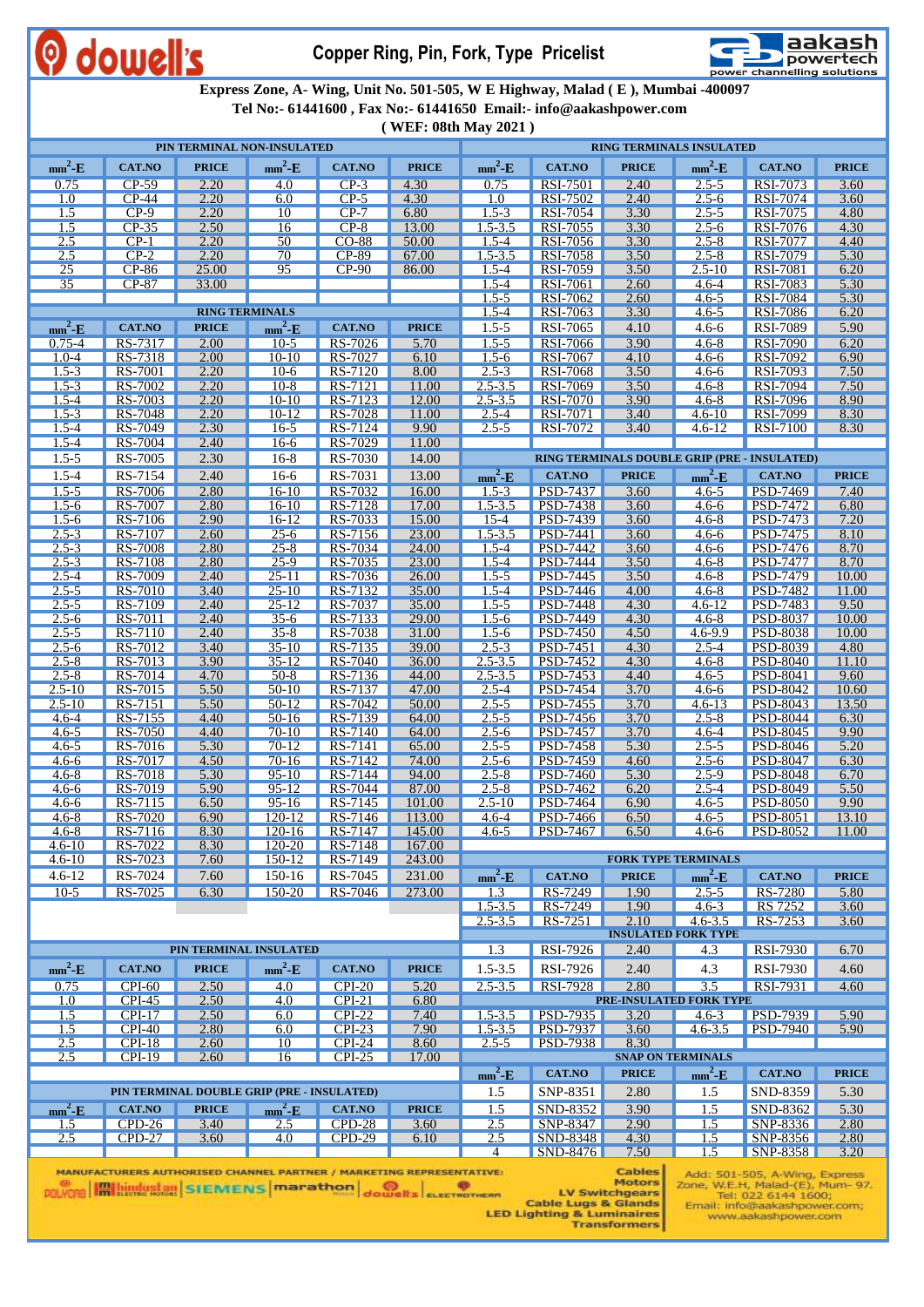

**Copper Ring, Pin, Fork, Type Pricelist**



 **Express Zone, A- Wing, Unit No. 501-505, W E Highway, Malad ( E ), Mumbai -400097**

 **Tel No:- 61441600 , Fax No:- 61441650 Email:- info@aakashpower.com**

**( WEF: 08th May 2021 )**

| PIN TERMINAL NON-INSULATED |                           |                       |                                            |                      |                  |                          |                                    |              | RING TERMINALS INSULATED       |                                              |               |
|----------------------------|---------------------------|-----------------------|--------------------------------------------|----------------------|------------------|--------------------------|------------------------------------|--------------|--------------------------------|----------------------------------------------|---------------|
| $mm^2-E$                   | <b>CAT.NO</b>             | <b>PRICE</b>          | $mm^2$ -E                                  | <b>CAT.NO</b>        | <b>PRICE</b>     | $mm^2-E$                 | <b>CAT.NO</b>                      | <b>PRICE</b> | $mm^2-E$                       | <b>CAT.NO</b>                                | <b>PRICE</b>  |
| 0.75                       | $CP-59$                   | 2.20                  | 4.0                                        | $CP-3$               | 4.30             | 0.75                     | RSI-7501                           | 2.40         | $2.5 - 5$                      | RSI-7073                                     | 3.60          |
| 1.0                        | $CP-44$                   | 2.20                  | 6.0                                        | $CP-5$               | 4.30             | 1.0                      | RSI-7502                           | 2.40         | $2.5 - 6$                      | RSI-7074                                     | 3.60          |
| 1.5                        | $CP-9$                    | 2.20                  | 10                                         | $CP-7$               | 6.80             | $1.5 - 3$                | RSI-7054                           | 3.30         | $2.5 - 5$                      | RSI-7075                                     | 4.80          |
| 1.5                        | $CP-35$<br>$CP-1$         | 2.50<br>2.20          | 16<br>50                                   | $CP-8$               | 13.00<br>50.00   | $1.5 - 3.5$              | RSI-7055<br>RSI-7056               | 3.30         | $2.5 - 6$<br>$2.5 - 8$         | RSI-7076                                     | 4.30<br>4.40  |
| 2.5<br>2.5                 | $CP-2$                    | 2.20                  | 70                                         | CO-88<br>CP-89       | 67.00            | $1.5 - 4$<br>$1.5 - 3.5$ | RSI-7058                           | 3.30<br>3.50 | $2.5 - 8$                      | <b>RSI-7077</b><br>RSI-7079                  | 5.30          |
| $\overline{25}$            | $CP-86$                   | 25.00                 | $\overline{95}$                            | $CP-90$              | 86.00            | $1.5 - 4$                | RSI-7059                           | 3.50         | $2.5 - 10$                     | <b>RSI-7081</b>                              | 6.20          |
| $\overline{35}$            | $CP-87$                   | 33.00                 |                                            |                      |                  | $1.5 - 4$                | RSI-7061                           | 2.60         | $4.6 - 4$                      | RSI-7083                                     | 5.30          |
|                            |                           |                       |                                            |                      |                  | $1.5 - 5$                | RSI-7062                           | 2.60         | $4.6 - 5$                      | RSI-7084                                     | 5.30          |
|                            |                           | <b>RING TERMINALS</b> |                                            |                      |                  | $1.5 - 4$                | RSI-7063                           | 3.30         | $4.6 - 5$                      | <b>RSI-7086</b>                              | 6.20          |
| $mm^2-E$                   | <b>CAT.NO</b>             | <b>PRICE</b>          | $mm^2-E$                                   | CAT.NO<br>RS-7026    | <b>PRICE</b>     | $1.5 - 5$                | RSI-7065                           | 4.10         | $4.6 - 6$                      | RSI-7089                                     | 5.90          |
| $0.75 - 4$<br>$1.0 - 4$    | RS-7317<br>RS-7318        | 2.00<br>2.00          | $10-5$<br>$10-10$                          | $RS-7027$            | 5.70<br>6.10     | $1.5 - 5$<br>$1.5 - 6$   | RSI-7066<br><b>RSI-7067</b>        | 3.90<br>4.10 | $4.6 - 8$<br>$4.6 - 6$         | <b>RSI-7090</b><br><b>RSI-7092</b>           | 6.20<br>6.90  |
| $1.5 - 3$                  | RS-7001                   | 2.20                  | $10-6$                                     | $RS-7120$            | 8.00             | $2.5 - 3$                | RSI-7068                           | 3.50         | $4.6 - 6$                      | RSI-7093                                     | 7.50          |
| $1.5 - 3$                  | RS-7002                   | 2.20                  | $10-8$                                     | RS-7121              | 11.00            | $2.5 - 3.5$              | RSI-7069                           | 3.50         | $4.6 - 8$                      | RSI-7094                                     | 7.50          |
| $1.5 - 4$                  | RS-7003                   | 2.20                  | $10 - 10$                                  | $RS-7123$            | 12.00            | $2.5 - 3.5$              | <b>RSI-7070</b>                    | 3.90         | $4.6 - 8$                      | RSI-7096                                     | 8.90          |
| $1.5 - 3$                  | RS-7048                   | 2.20                  | $10-12$                                    | RS-7028              | 11.00            | $2.5 - 4$                | RSI-7071                           | 3.40         | $4.6 - 10$                     | RSI-7099                                     | 8.30          |
| $1.5 - 4$<br>$1.5 - 4$     | RS-7049<br>RS-7004        | 2.30<br>2.40          | $16-5$<br><u>16-6</u>                      | $RS-7124$<br>RS-7029 | 9.90<br>11.00    | $2.5 - 5$                | RSI-7072                           | 3.40         | $4.6 - 12$                     | RSI-7100                                     | 8.30          |
| $1.5 - 5$                  | RS-7005                   | 2.30                  | $16-8$                                     | RS-7030              | 14.00            |                          |                                    |              |                                | RING TERMINALS DOUBLE GRIP (PRE - INSULATED) |               |
| $1.5 - 4$                  | RS-7154                   | 2.40                  | $16-6$                                     | RS-7031              | 13.00            | $mm^2$ -E                | <b>CAT.NO</b>                      | <b>PRICE</b> | $mm^2$ -E                      | CAT.NO                                       | <b>PRICE</b>  |
| $1.5 - 5$                  | RS-7006                   | 2.80                  | $16-10$                                    | RS-7032              | 16.00            | $1.5 - 3$                | <b>PSD-7437</b>                    | 3.60         | $4.6 - 5$                      | <b>PSD-7469</b>                              | 7.40          |
| $1.5 - 6$                  | RS-7007                   | 2.80                  | $16-10$                                    | RS-7128              | 17.00            | $1.5 - 3.5$              | <b>PSD-7438</b>                    | 3.60         | $4.6 - 6$                      | <b>PSD-7472</b>                              | 6.80          |
| $1.5 - 6$                  | RS-7106                   | 2.90                  | 16-12                                      | RS-7033              | 15.00            | $15 - 4$                 | PSD-7439                           | 3.60         | $4.6 - 8$                      | <b>PSD-7473</b>                              | 7.20          |
| $2.5 - 3$                  | RS-7107                   | 2.60                  | $25 - 6$                                   | RS-7156              | 23.00            | $1.5 - 3.5$              | <b>PSD-7441</b>                    | 3.60         | $4.6 - 6$                      | <b>PSD-7475</b>                              | 8.10          |
| $2.5 - 3$<br>$2.5 - 3$     | RS-7008<br>RS-7108        | 2.80<br>2.80          | $25 - 8$<br>$25-9$                         | RS-7034<br>RS-7035   | 24.00<br>23.00   | $1.5 - 4$<br>$1.5 - 4$   | <b>PSD-7442</b><br><b>PSD-7444</b> | 3.60<br>3.50 | $4.6 - 6$<br>$4.6 - 8$         | <b>PSD-7476</b><br><b>PSD-7477</b>           | 8.70<br>8.70  |
| $2.5 - 4$                  | RS-7009                   | 2.40                  | $25 - 11$                                  | RS-7036              | 26.00            | $1.5 - 5$                | <b>PSD-7445</b>                    | 3.50         | $4.6 - 8$                      | <b>PSD-7479</b>                              | 10.00         |
| $2.5 - 5$                  | RS-7010                   | 3.40                  | $25 - 10$                                  | RS-7132              | 35.00            | $1.5 - 4$                | <b>PSD-7446</b>                    | 4.00         | $4.6 - 8$                      | <b>PSD-7482</b>                              | 11.00         |
| $2.5 - 5$                  | RS-7109                   | 2.40                  | $25 - 12$                                  | RS-7037              | 35.00            | $1.5 - 5$                | <b>PSD-7448</b>                    | 4.30         | $4.6 - 12$                     | PSD-7483                                     | 9.50          |
| $2.5 - 6$                  | RS-7011                   | 2.40                  | $35-6$                                     | RS-7133              | 29.00            | $1.5 - 6$                | <b>PSD-7449</b>                    | 4.30         | $4.6 - 8$                      | PSD-8037                                     | 10.00         |
| $2.5 - 5$<br>$2.5 - 6$     | RS-7110<br>RS-7012        | 2.40<br>3.40          | $35 - 8$<br>35-10                          | RS-7038<br>RS-7135   | 31.00<br>39.00   | $1.5 - 6$<br>$2.5 - 3$   | <b>PSD-7450</b><br><b>PSD-7451</b> | 4.50<br>4.30 | 4.6-9.9<br>$2.5 - 4$           | <b>PSD-8038</b><br>PSD-8039                  | 10.00<br>4.80 |
| $2.5 - 8$                  | RS-7013                   | 3.90                  | $35 - 12$                                  | $RS-7040$            | 36.00            | $2.5 - 3.5$              | <b>PSD-7452</b>                    | 4.30         | $4.6 - 8$                      | <b>PSD-8040</b>                              | 11.10         |
| $2.5 - 8$                  | RS-7014                   | 4.70                  | $50-8$                                     | RS-7136              | 44.00            | $2.5 - 3.5$              | <b>PSD-7453</b>                    | 4.40         | $4.6 - 5$                      | <b>PSD-8041</b>                              | 9.60          |
| $2.5 - 10$                 | RS-7015                   | 5.50                  | 50-10                                      | RS-7137              | 47.00            | $2.5 - 4$                | <b>PSD-7454</b>                    | 3.70         | $4.6 - 6$                      | PSD-8042                                     | 10.60         |
| $2.5 - 10$<br>$4.6 - 4$    | RS-7151<br>RS-7155        | 5.50<br>4.40          | $50-12$<br>$50-16$                         | RS-7042<br>RS-7139   | 50.00<br>64.00   | $2.5 - 5$<br>$2.5 - 5$   | <b>PSD-7455</b><br><b>PSD-7456</b> | 3.70<br>3.70 | $4.6 - 13$<br>$2.5 - 8$        | PSD-8043<br><b>PSD-8044</b>                  | 13.50<br>6.30 |
| $4.6 - 5$                  | RS-7050                   | 4.40                  | $70-10$                                    | RS-7140              | 64.00            | $2.5 - 6$                | <b>PSD-7457</b>                    | 3.70         | $4.6 - 4$                      | PSD-8045                                     | 9.90          |
| $4.6 - 5$                  | RS-7016                   | 5.30                  | $70-12$                                    | RS-7141              | 65.00            | $2.5 - 5$                | <b>PSD-7458</b>                    | 5.30         | $2.5 - 5$                      | PSD-8046                                     | 5.20          |
| $4.6 - 6$                  | RS-7017                   | 4.50                  | $70-16$                                    | RS-7142              | 74.00            | $2.5 - 6$                | <b>PSD-7459</b>                    | 4.60         | $2.5 - 6$                      | <b>PSD-8047</b>                              | 6.30          |
| $4.6 - 8$                  | RS-7018                   | 5.30                  | $95-10$                                    | RS-7144              | 94.00            | $2.5 - 8$                | <b>PSD-7460</b>                    | 5.30         | $2.5 - 9$                      | <b>PSD-8048</b>                              | 6.70          |
| $4.6 - 6$<br>$4.6 - 6$     | RS-7019<br>RS-7115        | 5.90<br>6.50          | $95 - 12$<br>$95-16$                       | RS-7044<br>RS-7145   | 87.00<br>101.00  | $2.5 - 8$<br>$2.5 - 10$  | <b>PSD-7462</b><br><b>PSD-7464</b> | 6.20<br>6.90 | $2.5 - 4$<br>$4.6 - 5$         | PSD-8049<br>PSD-8050                         | 5.50<br>9.90  |
| $4.6 - 8$                  | RS-7020                   | 6.90                  | $120 - 12$                                 | RS-7146              | 113.00           | $4.6 - 4$                | <b>PSD-7466</b>                    | 6.50         | $4.6 - 5$                      | PSD-8051                                     | 13.10         |
| $4.6 - 8$                  | RS-7116                   | 8.30                  | 120-16                                     | <b>RS-7147</b>       | 145.00           | $4.6 - 5$                | <b>PSD-7467</b>                    | 6.50         | $4.6 - 6$                      | PSD-8052                                     | 11.00         |
| $4.6 - 10$                 | RS-7022                   | 8.30                  |                                            | 120-20 RS-7148       | 167.00           |                          |                                    |              |                                |                                              |               |
| $4.6 - 10$<br>$4.6 - 12$   | RS-7023<br>RS-7024        | 7.60<br>7.60          | 150-12<br>150-16                           | RS-7149<br>RS-7045   | 243.00<br>231.00 | $mm^2-E$                 | <b>CAT.NO</b>                      | <b>PRICE</b> | <b>FORK TYPE TERMINALS</b>     | CAT.NO                                       | <b>PRICE</b>  |
| $10-5$                     | RS-7025                   | 6.30                  | 150-20                                     | RS-7046              | 273.00           | 1.3                      | RS-7249                            | 1.90         | $mm^2-E$<br>$2.5 - 5$          | RS-7280                                      | 5.80          |
|                            |                           |                       |                                            |                      |                  | $1.5 - 3.5$              | RS-7249                            | 1.90         | $4.6 - 3$                      | <b>RS</b> 7252                               | 3.60          |
|                            |                           |                       |                                            |                      |                  | $2.5 - 3.5$              | RS-7251                            | 2.10         | $4.6 - 3.5$                    | RS-7253                                      | 3.60          |
|                            |                           |                       |                                            |                      |                  |                          |                                    |              | <b>INSULATED FORK TYPE</b>     |                                              |               |
|                            |                           |                       | PIN TERMINAL INSULATED                     |                      |                  | 1.3                      | RSI-7926                           | 2.40         | 4.3                            | RSI-7930                                     | 6.70          |
| $mm^2-E$                   | <b>CAT.NO</b>             | <b>PRICE</b>          | $mm^2-E$                                   | <b>CAT.NO</b>        | <b>PRICE</b>     | $1.5 - 3.5$              | RSI-7926                           | 2.40         | 4.3                            | RSI-7930                                     | 4.60          |
| 0.75<br>1.0                | <b>CPI-60</b><br>$CPI-45$ | 2.50<br>2.50          | 4.0<br>4.0                                 | $CPI-20$<br>$CPI-21$ | 5.20<br>6.80     | $2.5 - 3.5$              | RSI-7928                           | 2.80         | 3.5<br>PRE-INSULATED FORK TYPE | RSI-7931                                     | 4.60          |
| 1.5                        | $CPI-17$                  | 2.50                  | 6.0                                        | $CPI-22$             | 7.40             | $1.5 - 3.5$              | <b>PSD-7935</b>                    | 3.20         | $4.6 - 3$                      | <b>PSD-7939</b>                              | 5.90          |
| 1.5                        | $CPI-40$                  | 2.80                  | 6.0                                        | <b>CPI-23</b>        | 7.90             | $1.5 - 3.5$              | <b>PSD-7937</b>                    | 3.60         | $4.6 - 3.5$                    | <b>PSD-7940</b>                              | 5.90          |
| 2.5<br>2.5                 | $CPI-18$                  | 2.60<br>2.60          | 10                                         | <b>CPI-24</b>        | 8.60             | $2.5 - 5$                | <b>PSD-7938</b>                    | 8.30         | <b>SNAP ON TERMINALS</b>       |                                              |               |
|                            | <b>CPI-19</b>             |                       | 16                                         | $CPI-25$             | 17.00            | $mm^2-E$                 | <b>CAT.NO</b>                      | <b>PRICE</b> | $mm^2-E$                       | CAT.NO                                       | <b>PRICE</b>  |
|                            |                           |                       | PIN TERMINAL DOUBLE GRIP (PRE - INSULATED) |                      |                  | 1.5                      | SNP-8351                           | 2.80         | 1.5                            | SND-8359                                     | 5.30          |
| $mm^2-E$                   | <b>CAT.NO</b>             | <b>PRICE</b>          | $mm^2$ -E                                  | <b>CAT.NO</b>        | <b>PRICE</b>     | 1.5                      | SND-8352                           | 3.90         | 1.5                            | SND-8362                                     | 5.30          |
| 1.5                        | $CPD-26$                  | 3.40                  | <u>2.5</u>                                 | $CPD-28$             | 3.60             | 2.5                      | <b>SNP-8347</b>                    | 2.90         | 1.5                            | SNP-8336                                     | 2.80          |
| 2.5                        | $CPD-27$                  | 3.60                  | 4.0                                        | $CPD-29$             | 6.10             | <u>2.5</u>               | <b>SND-8348</b>                    | 4.30         | 1.5                            | $SNP-8356$                                   | 2.80          |
|                            |                           |                       |                                            |                      |                  | $\overline{4}$           | <b>SND-8476</b>                    | 7.50         | <u>1.5</u>                     | SNP-8358                                     | 3.20          |
|                            |                           |                       |                                            |                      |                  |                          |                                    |              |                                |                                              |               |

Add: 501-505, A-Wing, Express<br>Zone, W.E.H, Malad-(E), Mum- 97.<br>Tel: 022 6144 1600;<br>Email: info@aakashpower.com,<br>www.aakashpower.com Cables<br>Motors

MANUFACTURERS AUTHORISED CHANNEL PARTNER / MARKETING REPRESENTATIVE **POLYCRE HALL LIMINARY SIEMENS** marathon dowell's ELECTROMERY

ERR LV Switchgears<br>Cable Lugs & Glands<br>LED Lighting & Luminaires<br>Transformers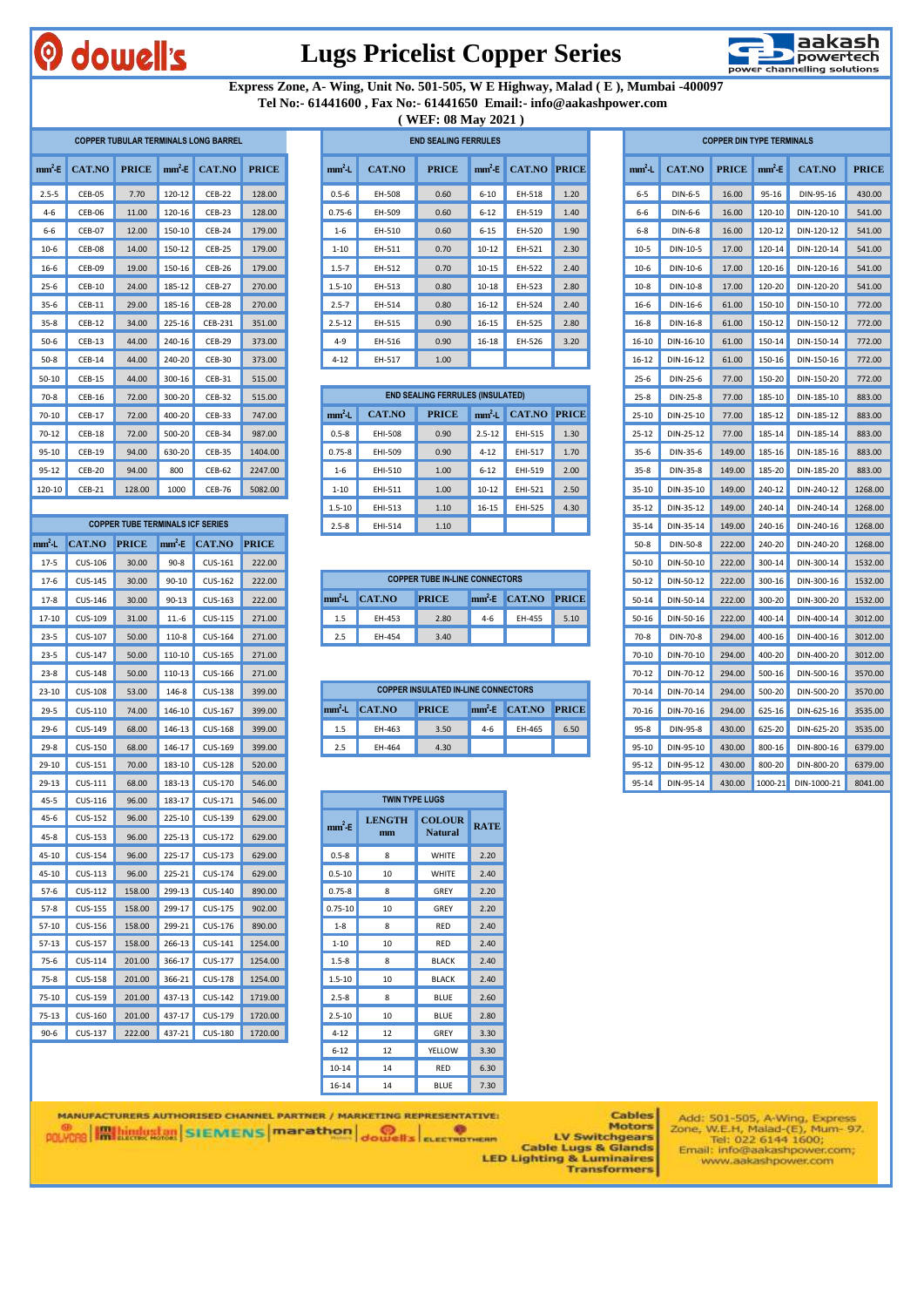

#### **Lugs Pricelist Copper Series**



 **Express Zone, A- Wing, Unit No. 501-505, W E Highway, Malad ( E ), Mumbai -400097 Tel No:- 61441600 , Fax No:- 61441650 Email:- info@aakashpower.com**

**( WEF: 08 May 2021 )**

|  |              | <b>COPPER TUBULAR TERMINALS LONG BARREL</b> |         |              |               |           |
|--|--------------|---------------------------------------------|---------|--------------|---------------|-----------|
|  | <b>PRICE</b> | CAT.NO                                      | $mm^2E$ | <b>PRICE</b> | <b>CAT.NO</b> | $mm^2-E$  |
|  | 128.00       | <b>CEB-22</b>                               | 120-12  | 7.70         | CEB-05        | $2.5 - 5$ |
|  | 128.00       | $CEB-23$                                    | 120-16  | 11.00        | <b>CEB-06</b> | $4 - 6$   |
|  | 179.00       | <b>CEB-24</b>                               | 150-10  | 12.00        | <b>CEB-07</b> | $6-6$     |
|  | 179.00       | <b>CEB-25</b>                               | 150-12  | 14.00        | CEB-08        | $10-6$    |
|  | 179.00       | <b>CEB-26</b>                               | 150-16  | 19.00        | CEB-09        | $16-6$    |
|  | 270.00       | <b>CEB-27</b>                               | 185-12  | 24.00        | <b>CEB-10</b> | $25 - 6$  |
|  | 270.00       | CEB-28                                      | 185-16  | 29.00        | <b>CEB-11</b> | $35 - 6$  |
|  | 351.00       | CEB-231                                     | 225-16  | 34.00        | <b>CEB-12</b> | $35 - 8$  |
|  | 373.00       | CEB-29                                      | 240-16  | 44.00        | $CEB-13$      | $50-6$    |
|  | 373.00       | <b>CEB-30</b>                               | 240-20  | 44.00        | <b>CEB-14</b> | $50-8$    |
|  | 515.00       | CEB-31                                      | 300-16  | 44.00        | <b>CEB-15</b> | $50 - 10$ |
|  | 515.00       | <b>CEB-32</b>                               | 300-20  | 72.00        | <b>CEB-16</b> | $70-8$    |
|  | 747.00       | <b>CEB-33</b>                               | 400-20  | 72.00        | <b>CEB-17</b> | $70 - 10$ |
|  | 987.00       | <b>CEB-34</b>                               | 500-20  | 72.00        | $CEB-18$      | $70 - 12$ |
|  | 1404.00      | <b>CEB-35</b>                               | 630-20  | 94.00        | <b>CEB-19</b> | $95 - 10$ |
|  | 2247.00      | <b>CEB-62</b>                               | 800     | 94.00        | <b>CEB-20</b> | $95 - 12$ |
|  | 5082.00      | <b>CEB-76</b>                               | 1000    | 128.00       | <b>CEB-21</b> | 120-10    |

|                   |                | <b>COPPER TUBE TERMINALS ICF SERIES</b> |            |                |              | $2.5 - 8$   | EHI-514       | 1.10                                |
|-------------------|----------------|-----------------------------------------|------------|----------------|--------------|-------------|---------------|-------------------------------------|
| mm <sup>2</sup> L | <b>CAT.NO</b>  | <b>PRICE</b>                            | $mm^2E$    | <b>CAT.NO</b>  | <b>PRICE</b> |             |               |                                     |
| $17-5$            | CUS-106        | 30.00                                   | $90 - 8$   | CUS-161        | 222.00       |             |               |                                     |
| $17-6$            | <b>CUS-145</b> | 30.00                                   | $90 - 10$  | CUS-162        | 222.00       |             |               | <b>COPPER TUBE IN-LINE CONNE</b>    |
| $17 - 8$          | CUS-146        | 30.00                                   | $90 - 13$  | CUS-163        | 222.00       | $mm2$ -L    | <b>CAT.NO</b> | <b>PRICE</b>                        |
| $17 - 10$         | CUS-109        | 31.00                                   | $11.-6$    | <b>CUS-115</b> | 271.00       | 1.5         | EH-453        | 2.80                                |
| $23 - 5$          | <b>CUS-107</b> | 50.00                                   | 110-8      | CUS-164        | 271.00       | 2.5         | EH-454        | 3.40                                |
| $23 - 5$          | <b>CUS-147</b> | 50.00                                   | 110-10     | <b>CUS-165</b> | 271.00       |             |               |                                     |
| $23 - 8$          | <b>CUS-148</b> | 50.00                                   | 110-13     | <b>CUS-166</b> | 271.00       |             |               |                                     |
| $23 - 10$         | <b>CUS-108</b> | 53.00                                   | 146-8      | <b>CUS-138</b> | 399.00       |             |               | <b>COPPER INSULATED IN-LINE COI</b> |
| $29 - 5$          | CUS-110        | 74.00                                   | 146-10     | <b>CUS-167</b> | 399.00       | $mm2$ -L    | <b>CAT.NO</b> | <b>PRICE</b>                        |
| $29-6$            | CUS-149        | 68.00                                   | 146-13     | <b>CUS-168</b> | 399.00       | 1.5         | EH-463        | 3.50                                |
| $29 - 8$          | <b>CUS-150</b> | 68.00                                   | 146-17     | CUS-169        | 399.00       | 2.5         | EH-464        | 4.30                                |
| 29-10             | CUS-151        | 70.00                                   | 183-10     | <b>CUS-128</b> | 520.00       |             |               |                                     |
| 29-13             | CUS-111        | 68.00                                   | 183-13     | <b>CUS-170</b> | 546.00       |             |               |                                     |
| $45 - 5$          | CUS-116        | 96.00                                   | 183-17     | CUS-171        | 546.00       |             |               | <b>TWIN TYPE LUGS</b>               |
| $45 - 6$          | <b>CUS-152</b> | 96.00                                   | 225-10     | CUS-139        | 629.00       | $mm2$ E     | <b>LENGTH</b> | <b>COLOUR</b>                       |
| $45 - 8$          | <b>CUS-153</b> | 96.00                                   | 225-13     | <b>CUS-172</b> | 629.00       |             | mm            | <b>Natural</b>                      |
| 45-10             | <b>CUS-154</b> | 96.00                                   | 225-17     | CUS-173        | 629.00       | $0.5 - 8$   | 8             | <b>WHITE</b>                        |
| 45-10             | CUS-113        | 96.00                                   | 225-21     | <b>CUS-174</b> | 629.00       | $0.5 - 10$  | 10            | <b>WHITE</b>                        |
| $57-6$            | CUS-112        | 158.00                                  | 299-13     | <b>CUS-140</b> | 890.00       | $0.75 - 8$  | 8             | GREY                                |
| $57-8$            | <b>CUS-155</b> | 158.00                                  | 299-17     | <b>CUS-175</b> | 902.00       | $0.75 - 10$ | 10            | GREY                                |
| 57-10             | <b>CUS-156</b> | 158.00                                  | 299-21     | CUS-176        | 890.00       | $1 - 8$     | 8             | <b>RED</b>                          |
| $57 - 13$         | <b>CUS-157</b> | 158.00                                  | 266-13     | CUS-141        | 1254.00      | $1 - 10$    | 10            | <b>RED</b>                          |
| $75-6$            | CUS-114        | 201.00                                  | 366-17     | CUS-177        | 1254.00      | $1.5 - 8$   | 8             | <b>BLACK</b>                        |
| $75 - 8$          | <b>CUS-158</b> | 201.00                                  | 366-21     | <b>CUS-178</b> | 1254.00      | $1.5 - 10$  | 10            | <b>BLACK</b>                        |
| $75 - 10$         | CUS-159        | 201.00                                  | 437-13     | <b>CUS-142</b> | 1719.00      | $2.5 - 8$   | 8             | <b>BLUE</b>                         |
| $75 - 13$         | CUS-160        | 201.00                                  | 437-17     | CUS-179        | 1720.00      | $2.5 - 10$  | 10            | <b>BLUE</b>                         |
| $0.6 -$           | $C11S-127$     | 222.00                                  | $137 - 21$ | $C115-180$     | 1720.00      | $4 - 12$    | 12            | GREY                                |

|           | $\cdots$ = $\cdots$ $\cdots$ $\cdots$ $\cdots$ $\cdots$ $\cdots$ $\cdots$ |       |            |                                             |              |  |            |        |                             |           |                      |      |  |           |                                     |                                  |           |            |              |
|-----------|---------------------------------------------------------------------------|-------|------------|---------------------------------------------|--------------|--|------------|--------|-----------------------------|-----------|----------------------|------|--|-----------|-------------------------------------|----------------------------------|-----------|------------|--------------|
|           |                                                                           |       |            | <b>COPPER TUBULAR TERMINALS LONG BARREL</b> |              |  |            |        | <b>END SEALING FERRULES</b> |           |                      |      |  |           |                                     | <b>COPPER DIN TYPE TERMINALS</b> |           |            |              |
|           | $mm^2$ E CAT.NO PRICE $mm^2$ E CAT.NO                                     |       |            |                                             | <b>PRICE</b> |  | $mm2$ L    | CAT.NO | <b>PRICE</b>                |           | $mm^2E$ CAT.NO PRICE |      |  | $mm2$ .   | CAT.NO <b>PRICE</b> $mm^2$ <b>E</b> |                                  |           | CAT.NO     | <b>PRICE</b> |
| $2.5 - 5$ | CEB-05                                                                    | 7.70  | 120-12     | <b>CEB-22</b>                               | 128.00       |  | $0.5 - 6$  | EH-508 | 0.60                        | $6 - 10$  | EH-518               | 1.20 |  | $6 - 5$   | DIN-6-5                             | 16.00                            | $95 - 16$ | DIN-95-16  | 430.00       |
| $4 - 6$   | CEB-06                                                                    | 11.00 | $120-16$   | CEB-23                                      | 128.00       |  | $0.75 - 6$ | EH-509 | 0.60                        | $6 - 12$  | EH-519               | 1.40 |  | $6-6$     | DIN-6-6                             | 16.00                            | $120-10$  | DIN-120-10 | 541.00       |
| $6 - 6$   | CEB-07                                                                    | 12.00 | 150-10     | CEB-24                                      | 179.00       |  | $1 - 6$    | EH-510 | 0.60                        | $6 - 15$  | EH-520               | 1.90 |  | $6 - 8$   | DIN-6-8                             | 16.00                            | $120-12$  | DIN-120-12 | 541.00       |
| $10-6$    | CEB-08                                                                    | 14.00 | 150-12     | CEB-25                                      | 179.00       |  | $1 - 10$   | EH-511 | 0.70                        | $10 - 12$ | EH-521               | 2.30 |  | $10-5$    | DIN-10-5                            | 17.00                            | 120-14    | DIN-120-14 | 541.00       |
| 16-6      | CEB-09                                                                    | 19.00 | $150-16$   | <b>CEB-26</b>                               | 179.00       |  | $1.5 - 7$  | EH-512 | 0.70                        | $10 - 15$ | EH-522               | 2.40 |  | $10-6$    | DIN-10-6                            | 17.00                            | $120-16$  | DIN-120-16 | 541.00       |
| $25-6$    | $CEB-10$                                                                  | 24.00 | 185-12     | CEB-27                                      | 270.00       |  | $1.5 - 10$ | EH-513 | 0.80                        | $10 - 18$ | EH-523               | 2.80 |  | $10-8$    | DIN-10-8                            | 17.00                            | 120-20    | DIN-120-20 | 541.00       |
| $35-6$    | CEB-11                                                                    | 29.00 | $185 - 16$ | CEB-28                                      | 270.00       |  | $2.5 - 7$  | EH-514 | 0.80                        | $16 - 12$ | EH-524               | 2.40 |  | $16-6$    | DIN-16-6                            | 61.00                            | 150-10    | DIN-150-10 | 772.00       |
| $35 - 8$  | <b>CEB-12</b>                                                             | 34.00 | $225 - 16$ | CEB-231                                     | 351.00       |  | $2.5 - 12$ | EH-515 | 0.90                        | $16 - 15$ | EH-525               | 2.80 |  | $16 - 8$  | DIN-16-8                            | 61.00                            | $150-12$  | DIN-150-12 | 772.00       |
| $50-6$    | $CEB-13$                                                                  | 44.00 | $240 - 16$ | CEB-29                                      | 373.00       |  | $4 - 9$    | EH-516 | 0.90                        | $16 - 18$ | EH-526               | 3.20 |  | $16 - 10$ | DIN-16-10                           | 61.00                            | $150-14$  | DIN-150-14 | 772.00       |
| $50-8$    | CEB-14                                                                    | 44.00 | 240-20     | CEB-30                                      | 373.00       |  | $4 - 12$   | EH-517 | 1.00                        |           |                      |      |  | 16-12     | DIN-16-12                           | 61.00                            | $150-16$  | DIN-150-16 | 772.00       |
|           |                                                                           |       |            |                                             |              |  |            |        |                             |           |                      |      |  |           |                                     |                                  |           |            |              |

| $70-8$    | <b>CEB-16</b>                           | 72.00  | $300 - 20$ | <b>CEB-32</b> | 515.00     |            |         | <b>END SEALING FERRULES (INSULATED)</b> |            |                                     |           | $25 - 8$  | DIN-25-8  | 77.00  | 185-10     | DIN-185-10 | 883.00  |
|-----------|-----------------------------------------|--------|------------|---------------|------------|------------|---------|-----------------------------------------|------------|-------------------------------------|-----------|-----------|-----------|--------|------------|------------|---------|
| $70 - 10$ | CEB-17                                  | 72.00  | $400 - 20$ | <b>CEB-33</b> | 747.00     | mm'-L      | CAT.NO  | <b>PRICE</b>                            |            | $mm2$ L $\blacksquare$ CAT.NO PRICE |           | $25 - 10$ | DIN-25-10 | 77.00  | 185-12     | DIN-185-12 | 883.00  |
| $70 - 12$ | <b>CEB-18</b>                           | 72.00  | $500-20$   | <b>CEB-34</b> | 987.00     | $0.5 - 8$  | EHI-508 | 0.90                                    | $2.5 - 12$ | EHI-515                             | 1.30      | $25 - 12$ | DIN-25-12 | 77.00  | 185-14     | DIN-185-14 | 883.00  |
| $95 - 10$ | <b>CEB-19</b>                           | 94.00  | $630 - 20$ | <b>CEB-35</b> | 1404.00    | $0.75 - 8$ | EHI-509 | 0.90                                    | $4 - 12$   | EHI-517                             | 1.70      | $35-6$    | DIN-35-6  | 149.00 | $185 - 16$ | DIN-185-16 | 883.00  |
| $95 - 12$ | <b>CEB-20</b>                           | 94.00  | 800        | <b>CEB-62</b> | 2247.00    | $1 - 6$    | EHI-510 | 1.00                                    | $6 - 12$   | EHI-519                             | 2.00      | $35 - 8$  | DIN-35-8  | 149.00 | 185-20     | DIN-185-20 | 883.00  |
| 120-10    | <b>CEB-21</b>                           | 128.00 | 1000       | <b>CEB-76</b> | 5082.00    | $1 - 10$   | EHI-511 | 1.00                                    | $10 - 12$  | EHI-521                             | 2.50      | $35 - 10$ | DIN-35-10 | 149.00 | 240-12     | DIN-240-12 | 1268.00 |
|           |                                         |        |            |               | $1.5 - 10$ | EHI-513    | 1.10    | $16 - 15$                               | EHI-525    | 4.30                                | $35 - 12$ | DIN-35-12 | 149.00    | 240-14 | DIN-240-14 | 1268.00    |         |
|           | <b>COPPER TUBE TERMINALS ICF SERIES</b> |        |            |               | $2.5 - 8$  | EHI-514    | 1.10    |                                         |            |                                     | $35 - 14$ | DIN-35-14 | 149.00    | 240-16 | DIN-240-16 | 1268.00    |         |

| $17-6$   | <b>CUS-145</b> | 30.00 | $90 - 10$ | CUS-162        | 222.00 |  |          | <b>COPPER TUBE IN-LINE CONNECTORS</b> |              |         |                |              |  |           | DIN-50-12 |        | 222.00 300-16 DIN-300-16 | 1532.00 |
|----------|----------------|-------|-----------|----------------|--------|--|----------|---------------------------------------|--------------|---------|----------------|--------------|--|-----------|-----------|--------|--------------------------|---------|
| $17-8$   | CUS-146        | 30.00 | $90 - 13$ | CUS-163        | 222.00 |  | $mm2$ -L | CAT.NO                                | <b>PRICE</b> |         | $mm^2E$ CAT.NO | <b>PRICE</b> |  | $50 - 14$ | DIN-50-14 | 222.00 | 300-20 DIN-300-20        | 1532.00 |
| 17-10    | CUS-109        | 31.00 | $11.-6$   | CUS-115        | 271.00 |  |          | EH-453                                | 2.80         | $4 - 6$ | EH-455         | 5.10         |  | $50-16$   | DIN-50-16 |        | 222.00 400-14 DIN-400-14 | 3012.00 |
| $23 - 5$ | <b>CUS-107</b> | 50.00 | 110-8     | <b>CUS-164</b> | 271.00 |  |          | EH-454                                | 3.40         |         |                |              |  | $70-8$    | DIN-70-8  | 294.00 | 400-16 DIN-400-16        | 3012.00 |

| $23 - 10$ | CUS-108        | 53.00 | 146-8      | <b>CUS-138</b> | 399.00 |          | <b>COPPER INSULATED IN-LINE CONNECTORS</b> |              |       |                      |      |  | 70-14    |          |        | DIN-70-14 294.00 500-20 DIN-500-20 | 3570.00 |
|-----------|----------------|-------|------------|----------------|--------|----------|--------------------------------------------|--------------|-------|----------------------|------|--|----------|----------|--------|------------------------------------|---------|
| $29 - 5$  | CUS-110        | 74.00 | $146 - 10$ | CUS-167        | 399.00 | $mm2$ -L | CAT.NO                                     | <b>PRICE</b> |       | $mm^2E$ CAT.NO PRICE |      |  | $70-16$  |          |        | DIN-70-16 294.00 625-16 DIN-625-16 | 3535.00 |
| $29-6$    | CUS-149        | 68.00 | 146-13     | CUS-168        | 399.00 |          | EH-463                                     | 3.50         | $4-6$ | FH-465               | 6.50 |  | $95 - 8$ | DIN-95-8 | 430.00 | 625-20 DIN-625-20                  | 3535.00 |
| $29-8$    | <b>CUS-150</b> | 68.00 | 146-17     | CUS-169        | 399.00 |          | EH-464                                     | 4.30         |       |                      |      |  | $95-10$  |          |        | DIN-95-10 430.00 800-16 DIN-800-16 | 6379.00 |

| 45-5      | CUS-116        | 96.00  | 183-17 | CUS-171        | 546.00  |             | <b>TWIN TYPE LUGS</b> |                |             |  |
|-----------|----------------|--------|--------|----------------|---------|-------------|-----------------------|----------------|-------------|--|
| 45-6      | <b>CUS-152</b> | 96.00  | 225-10 | CUS-139        | 629.00  | $mm^2-E$    | <b>LENGTH</b>         | <b>COLOUR</b>  | <b>RATE</b> |  |
| $45-8$    | CUS-153        | 96.00  | 225-13 | <b>CUS-172</b> | 629.00  |             | mm                    | <b>Natural</b> |             |  |
| $15 - 10$ | <b>CUS-154</b> | 96.00  | 225-17 | <b>CUS-173</b> | 629.00  | $0.5 - 8$   | 8                     | <b>WHITE</b>   | 2.20        |  |
| 15-10     | CUS-113        | 96.00  | 225-21 | CUS-174        | 629.00  | $0.5 - 10$  | 10                    | WHITE          | 2.40        |  |
| 57-6      | <b>CUS-112</b> | 158.00 | 299-13 | CUS-140        | 890.00  | $0.75 - 8$  | 8                     | GREY           | 2.20        |  |
| 57-8      | <b>CUS-155</b> | 158.00 | 299-17 | CUS-175        | 902.00  | $0.75 - 10$ | 10                    | GREY           | 2.20        |  |
| $57-10$   | CUS-156        | 158.00 | 299-21 | CUS-176        | 890.00  | $1 - 8$     | 8                     | <b>RED</b>     | 2.40        |  |
| $57 - 13$ | <b>CUS-157</b> | 158.00 | 266-13 | CUS-141        | 1254.00 | $1 - 10$    | 10                    | <b>RED</b>     | 2.40        |  |
| 75-6      | CUS-114        | 201.00 | 366-17 | <b>CUS-177</b> | 1254.00 | $1.5 - 8$   | 8                     | <b>BLACK</b>   | 2.40        |  |
| $75-8$    | <b>CUS-158</b> | 201.00 | 366-21 | <b>CUS-178</b> | 1254.00 | $1.5 - 10$  | 10                    | <b>BLACK</b>   | 2.40        |  |
| 75-10     | CUS-159        | 201.00 | 437-13 | <b>CUS-142</b> | 1719.00 | $2.5 - 8$   | 8                     | <b>BLUE</b>    | 2.60        |  |
| $75 - 13$ | CUS-160        | 201.00 | 437-17 | CUS-179        | 1720.00 | $2.5 - 10$  | 10                    | <b>BLUE</b>    | 2.80        |  |
| 90-6      | CUS-137        | 222.00 | 437-21 | <b>CUS-180</b> | 1720.00 | $4 - 12$    | 12                    | GREY           | 3.30        |  |
|           |                |        |        |                |         | $6 - 12$    | 12                    | YELLOW         | 3.30        |  |
|           |                |        |        |                |         | $10 - 14$   | 14                    | <b>RED</b>     | 6.30        |  |
|           |                |        |        |                |         | $16 - 14$   | 14                    | <b>BLUE</b>    | 7.30        |  |

|                   | <b>COPPER TUBULAR TERMINALS LONG BARREL</b> |                                         |           |                |              |                                                                                        |                | <b>END SEALING FERRULES</b>                |            |                     |              |  |           |               | <b>COPPER DIN TYPE TERMINALS</b> |            |               |              |
|-------------------|---------------------------------------------|-----------------------------------------|-----------|----------------|--------------|----------------------------------------------------------------------------------------|----------------|--------------------------------------------|------------|---------------------|--------------|--|-----------|---------------|----------------------------------|------------|---------------|--------------|
| nm <sup>2</sup> E | CAT.NO                                      | <b>PRICE</b>                            | $mm^2E$   | CAT.NO         | <b>PRICE</b> | $mm2$ -L                                                                               | <b>CAT.NO</b>  | <b>PRICE</b>                               | $mm^2E$    | CAT.NO              | <b>PRICE</b> |  | $mm2$ -L  | <b>CAT.NO</b> | <b>PRICE</b>                     | $mm^2E$    | <b>CAT.NO</b> | <b>PRICE</b> |
| $2.5 - 5$         | CEB-05                                      | 7.70                                    | 120-12    | <b>CEB-22</b>  | 128.00       | $0.5 - 6$                                                                              | EH-508         | 0.60                                       | $6 - 10$   | EH-518              | 1.20         |  | $6-5$     | DIN-6-5       | 16.00                            | $95 - 16$  | DIN-95-16     | 430.00       |
| $4-6$             | CEB-06                                      | 11.00                                   | 120-16    | CEB-23         | 128.00       | $0.75 - 6$                                                                             | EH-509         | 0.60                                       | $6 - 12$   | EH-519              | 1.40         |  | $6-6$     | DIN-6-6       | 16.00                            | 120-10     | DIN-120-10    | 541.00       |
| $6 - 6$           | CEB-07                                      | 12.00                                   | 150-10    | CEB-24         | 179.00       | $1-6$                                                                                  | EH-510         | 0.60                                       | $6 - 15$   | EH-520              | 1.90         |  | $6 - 8$   | DIN-6-8       | 16.00                            | 120-12     | DIN-120-12    | 541.00       |
| $10-6$            | CEB-08                                      | 14.00                                   | 150-12    | CEB-25         | 179.00       | $1 - 10$                                                                               | EH-511         | 0.70                                       | $10 - 12$  | EH-521              | 2.30         |  | $10-5$    | DIN-10-5      | 17.00                            | 120-14     | DIN-120-14    | 541.00       |
| $16-6$            | CEB-09                                      | 19.00                                   | 150-16    | CEB-26         | 179.00       | $1.5 - 7$                                                                              | EH-512         | 0.70                                       | $10 - 15$  | EH-522              | 2.40         |  | $10-6$    | DIN-10-6      | 17.00                            | 120-16     | DIN-120-16    | 541.00       |
| 25-6              | <b>CEB-10</b>                               | 24.00                                   | 185-12    | <b>CEB-27</b>  | 270.00       | $1.5 - 10$                                                                             | EH-513         | 0.80                                       | $10 - 18$  | EH-523              | 2.80         |  | $10-8$    | DIN-10-8      | 17.00                            | 120-20     | DIN-120-20    | 541.00       |
| $35-6$            | <b>CEB-11</b>                               | 29.00                                   | 185-16    | CEB-28         | 270.00       | $2.5 - 7$                                                                              | EH-514         | 0.80                                       | $16 - 12$  | EH-524              | 2.40         |  | $16 - 6$  | DIN-16-6      | 61.00                            | 150-10     | DIN-150-10    | 772.00       |
| $35-8$            | CEB-12                                      | 34.00                                   | 225-16    | <b>CEB-231</b> | 351.00       | $2.5 - 12$                                                                             | EH-515         | 0.90                                       | $16 - 15$  | EH-525              | 2.80         |  | $16 - 8$  | DIN-16-8      | 61.00                            | 150-12     | DIN-150-12    | 772.00       |
| $50-6$            | $CEB-13$                                    | 44.00                                   | 240-16    | <b>CEB-29</b>  | 373.00       | $4 - 9$                                                                                | EH-516         | 0.90                                       | 16-18      | EH-526              | 3.20         |  | 16-10     | DIN-16-10     | 61.00                            | 150-14     | DIN-150-14    | 772.00       |
| $50-8$            | <b>CEB-14</b>                               | 44.00                                   | 240-20    | CEB-30         | 373.00       | $4 - 12$                                                                               | EH-517         | 1.00                                       |            |                     |              |  | $16 - 12$ | DIN-16-12     | 61.00                            | 150-16     | DIN-150-16    | 772.00       |
| 50-10             | <b>CEB-15</b>                               | 44.00                                   | 300-16    | CEB-31         | 515.00       |                                                                                        |                |                                            |            |                     |              |  | $25 - 6$  | DIN-25-6      | 77.00                            | 150-20     | DIN-150-20    | 772.00       |
| $70-8$            | <b>CEB-16</b>                               | 72.00                                   | 300-20    | <b>CEB-32</b>  | 515.00       |                                                                                        |                | <b>END SEALING FERRULES (INSULATED)</b>    |            |                     |              |  | $25 - 8$  | DIN-25-8      | 77.00                            | 185-10     | DIN-185-10    | 883.00       |
| 70-10             | <b>CEB-17</b>                               | 72.00                                   | 400-20    | <b>CEB-33</b>  | 747.00       | $mm2$ -L                                                                               | <b>CAT.NO</b>  | <b>PRICE</b>                               | $mm2$ -L   | <b>CAT.NO PRICE</b> |              |  | $25 - 10$ | DIN-25-10     | 77.00                            | 185-12     | DIN-185-12    | 883.00       |
| $70 - 12$         | $CEB-18$                                    | 72.00                                   | 500-20    | CEB-34         | 987.00       | $0.5 - 8$                                                                              | <b>EHI-508</b> | 0.90                                       | $2.5 - 12$ | EHI-515             | 1.30         |  | $25 - 12$ | DIN-25-12     | 77.00                            | 185-14     | DIN-185-14    | 883.00       |
| 95-10             | <b>CEB-19</b>                               | 94.00                                   | 630-20    | <b>CEB-35</b>  | 1404.00      | $0.75 - 8$                                                                             | EHI-509        | 0.90                                       | $4 - 12$   | EHI-517             | 1.70         |  | $35-6$    | DIN-35-6      | 149.00                           | 185-16     | DIN-185-16    | 883.00       |
| 95-12             | <b>CEB-20</b>                               | 94.00                                   | 800       | <b>CEB-62</b>  | 2247.00      | $1-6$                                                                                  | EHI-510        | 1.00                                       | $6 - 12$   | EHI-519             | 2.00         |  | $35 - 8$  | DIN-35-8      | 149.00                           | 185-20     | DIN-185-20    | 883.00       |
| 120-10            | <b>CEB-21</b>                               | 128.00                                  | 1000      | <b>CEB-76</b>  | 5082.00      | $1 - 10$                                                                               | EHI-511        | 1.00                                       | $10 - 12$  | EHI-521             | 2.50         |  | $35 - 10$ | DIN-35-10     | 149.00                           | 240-12     | DIN-240-12    | 1268.00      |
|                   |                                             |                                         |           |                |              | $1.5 - 10$                                                                             | EHI-513        | 1.10                                       | $16 - 15$  | EHI-525             | 4.30         |  | $35 - 12$ | DIN-35-12     | 149.00                           | 240-14     | DIN-240-14    | 1268.00      |
|                   |                                             | <b>COPPER TUBE TERMINALS ICF SERIES</b> |           |                |              | $2.5 - 8$                                                                              | EHI-514        | 1.10                                       |            |                     |              |  | $35 - 14$ | DIN-35-14     | 149.00                           | 240-16     | DIN-240-16    | 1268.00      |
| m <sup>2</sup> -L | <b>CAT.NO</b>                               | <b>PRICE</b>                            | $mm2$ E   | <b>CAT.NO</b>  | <b>PRICE</b> |                                                                                        |                |                                            |            |                     |              |  | $50 - 8$  | DIN-50-8      | 222.00                           | 240-20     | DIN-240-20    | 1268.00      |
| $17-5$            | CUS-106                                     | 30.00                                   | $90 - 8$  | CUS-161        | 222.00       |                                                                                        |                |                                            |            |                     |              |  | $50-10$   | DIN-50-10     | 222.00                           | 300-14     | DIN-300-14    | 1532.00      |
| $17-6$            | CUS-145                                     | 30.00                                   | $90 - 10$ | CUS-162        | 222.00       |                                                                                        |                | <b>COPPER TUBE IN-LINE CONNECTORS</b>      |            |                     |              |  | $50 - 12$ | DIN-50-12     | 222.00                           | 300-16     | DIN-300-16    | 1532.00      |
| $17-8$            | CUS-146                                     | 30.00                                   | $90 - 13$ | CUS-163        | 222.00       | mm <sup>2</sup> L                                                                      | <b>CAT.NO</b>  | <b>PRICE</b>                               | $mm^2E$    | <b>CAT.NO</b>       | <b>PRICE</b> |  | $50 - 14$ | DIN-50-14     | 222.00                           | 300-20     | DIN-300-20    | 1532.00      |
| 17-10             | CUS-109                                     | 31.00                                   | $11.-6$   | CUS-115        | 271.00       | 1.5                                                                                    | EH-453         | 2.80                                       | $4 - 6$    | EH-455              | 5.10         |  | $50 - 16$ | DIN-50-16     | 222.00                           | 400-14     | DIN-400-14    | 3012.00      |
| $23 - 5$          | <b>CUS-107</b>                              | 50.00                                   | 110-8     | <b>CUS-164</b> | 271.00       | 2.5                                                                                    | EH-454         | 3.40                                       |            |                     |              |  | $70-8$    | DIN-70-8      | 294.00                           | 400-16     | DIN-400-16    | 3012.00      |
| $23 - 5$          | <b>CUS-147</b>                              | 50.00                                   | 110-10    | CUS-165        | 271.00       |                                                                                        |                |                                            |            |                     |              |  | 70-10     | DIN-70-10     | 294.00                           | 400-20     | DIN-400-20    | 3012.00      |
| $23-8$            | <b>CUS-148</b>                              | 50.00                                   | 110-13    | CUS-166        | 271.00       |                                                                                        |                |                                            |            |                     |              |  | $70 - 12$ | DIN-70-12     | 294.00                           | 500-16     | DIN-500-16    | 3570.00      |
| $23-10$           | <b>CUS-108</b>                              | 53.00                                   | 146-8     | <b>CUS-138</b> | 399.00       |                                                                                        |                | <b>COPPER INSULATED IN-LINE CONNECTORS</b> |            |                     |              |  | $70 - 14$ | DIN-70-14     | 294.00                           | 500-20     | DIN-500-20    | 3570.00      |
| $29 - 5$          | CUS-110                                     | 74.00                                   | 146-10    | CUS-167        | 399.00       | $mm2$ -L<br><b>CAT.NO</b><br><b>PRICE</b><br><b>CAT.NO</b><br><b>PRICE</b><br>$mm2$ -E |                |                                            |            |                     |              |  | 70-16     | DIN-70-16     | 294.00                           | 625-16     | DIN-625-16    | 3535.00      |
| $29-6$            | CUS-149                                     | 68.00                                   | 146-13    | <b>CUS-168</b> | 399.00       | EH-465<br>6.50<br>1.5<br>EH-463<br>3.50<br>$4 - 6$                                     |                |                                            |            |                     |              |  | $95 - 8$  | DIN-95-8      | 430.00                           | 625-20     | DIN-625-20    | 3535.00      |
| 29-8              | <b>CUS-150</b>                              | 68.00                                   | 146-17    | CUS-169        | 399.00       | 2.5                                                                                    | EH-464         | 4.30                                       |            |                     |              |  | 95-10     | DIN-95-10     | 430.00                           | 800-16     | DIN-800-16    | 6379.00      |
| 29-10             | <b>CUS-151</b>                              | 70.00                                   | 183-10    | <b>CUS-128</b> | 520.00       | $95 - 12$<br>DIN-95-12<br>430.00                                                       |                |                                            |            |                     |              |  |           |               | 800-20                           | DIN-800-20 | 6379.00       |              |
| 29-13             | CUS-111                                     | 68.00                                   | 183-13    | <b>CUS-170</b> | 546.00       |                                                                                        |                |                                            |            |                     |              |  | 95-14     | DIN-95-14     | 430.00                           | 1000-21    | DIN-1000-21   | 8041.00      |

MANUFACTURERS AUTHORISED CHANNEL PARTNER / MARKETING REPRESENTATIVE: 

**Cables** ESTAND Motors<br>
Motors<br>
EP Cable Lugs & Glands<br>
LED Lighting & Luminaires<br>
Transformers

Add: 501-505, A-Wing, Express<br>Zone, W.E.H, Malad-(E), Mum- 97,<br>Tel: 022 6144 1600;<br>Email: info@aakashpower.com;<br>www.aakashpower.com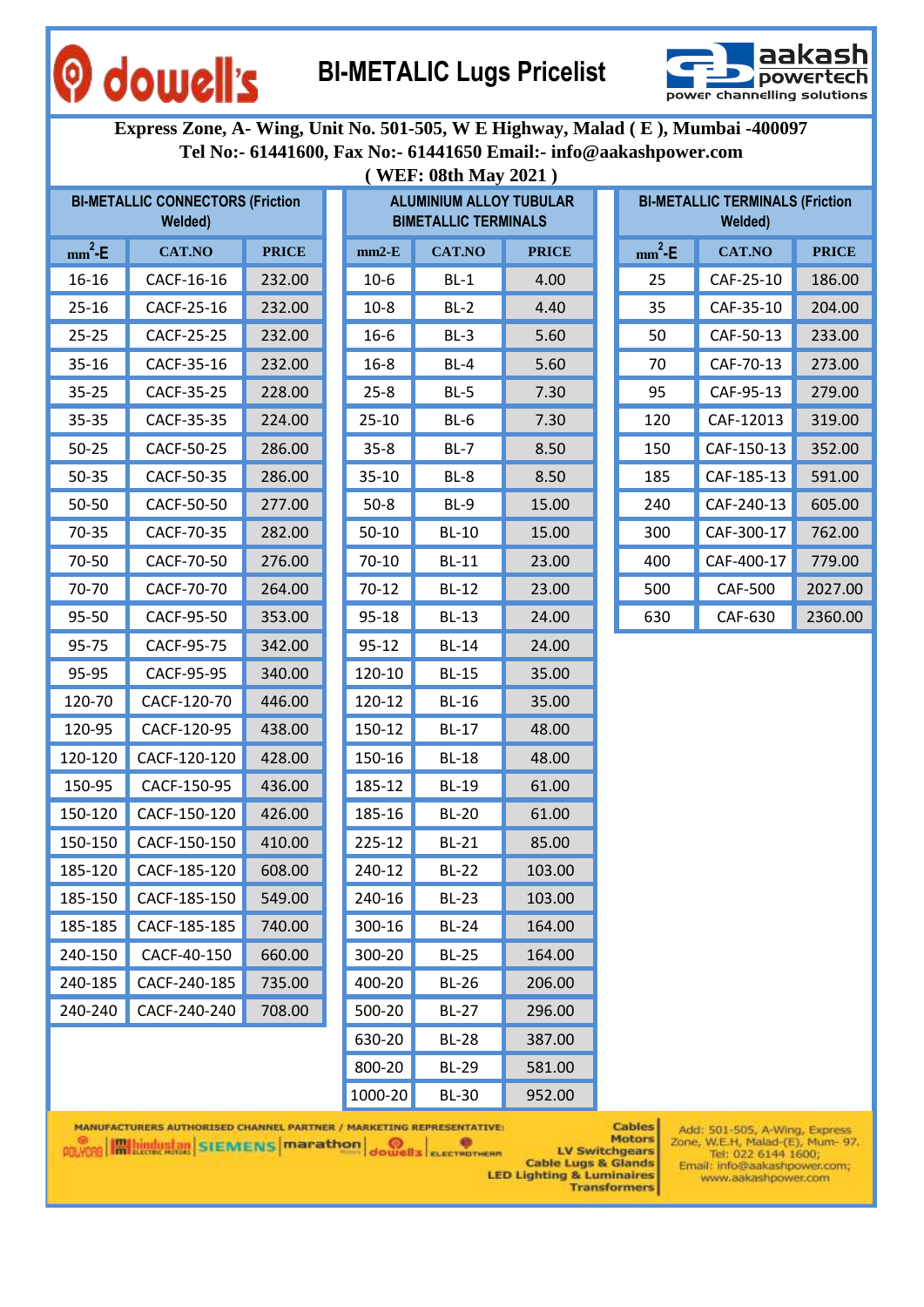### **BI-METALIC Lugs Pricelist**



**Express Zone, A- Wing, Unit No. 501-505, W E Highway, Malad ( E ), Mumbai -400097 Tel No:- 61441600, Fax No:- 61441650 Email:- info@aakashpower.com ( WEF: 08th May 2021 )**

|           | <b>BI-METALLIC CONNECTORS (Friction</b><br>Welded) |              |           | <b>ALUMINIUM ALLOY TUBULAR</b><br><b>BIMETALLIC TERMINALS</b> |              |           | <b>BI-METALLIC TERMINALS (Friction</b><br>Welded) |              |
|-----------|----------------------------------------------------|--------------|-----------|---------------------------------------------------------------|--------------|-----------|---------------------------------------------------|--------------|
| $mm^2$ -E | <b>CAT.NO</b>                                      | <b>PRICE</b> | $mm2-E$   | <b>CAT.NO</b>                                                 | <b>PRICE</b> | $mm^2$ -E | <b>CAT.NO</b>                                     | <b>PRICE</b> |
| $16 - 16$ | CACF-16-16                                         | 232.00       | $10-6$    | $BL-1$                                                        | 4.00         | 25        | CAF-25-10                                         | 186.00       |
| $25 - 16$ | CACF-25-16                                         | 232.00       | $10-8$    | $BL-2$                                                        | 4.40         | 35        | CAF-35-10                                         | 204.00       |
| $25 - 25$ | CACF-25-25                                         | 232.00       | $16 - 6$  | $BL-3$                                                        | 5.60         | 50        | CAF-50-13                                         | 233.00       |
| $35 - 16$ | CACF-35-16                                         | 232.00       | $16 - 8$  | $BL-4$                                                        | 5.60         | 70        | CAF-70-13                                         | 273.00       |
| $35 - 25$ | CACF-35-25                                         | 228.00       | $25 - 8$  | $BL-5$                                                        | 7.30         | 95        | CAF-95-13                                         | 279.00       |
| 35-35     | CACF-35-35                                         | 224.00       | $25-10$   | $BL-6$                                                        | 7.30         | 120       | CAF-12013                                         | 319.00       |
| $50 - 25$ | CACF-50-25                                         | 286.00       | $35 - 8$  | $BL-7$                                                        | 8.50         | 150       | CAF-150-13                                        | 352.00       |
| 50-35     | CACF-50-35                                         | 286.00       | $35 - 10$ | $BL-8$                                                        | 8.50         | 185       | CAF-185-13                                        | 591.00       |
| 50-50     | CACF-50-50                                         | 277.00       | $50 - 8$  | $BL-9$                                                        | 15.00        | 240       | CAF-240-13                                        | 605.00       |
| 70-35     | CACF-70-35                                         | 282.00       | $50 - 10$ | <b>BL-10</b>                                                  | 15.00        | 300       | CAF-300-17                                        | 762.00       |
| 70-50     | CACF-70-50                                         | 276.00       | $70 - 10$ | <b>BL-11</b>                                                  | 23.00        | 400       | CAF-400-17                                        | 779.00       |
| 70-70     | CACF-70-70                                         | 264.00       | $70-12$   | <b>BL-12</b>                                                  | 23.00        | 500       | <b>CAF-500</b>                                    | 2027.00      |
| 95-50     | CACF-95-50                                         | 353.00       | 95-18     | <b>BL-13</b>                                                  | 24.00        | 630       | CAF-630                                           | 2360.00      |
| 95-75     | CACF-95-75                                         | 342.00       | $95 - 12$ | <b>BL-14</b>                                                  | 24.00        |           |                                                   |              |
| 95-95     | CACF-95-95                                         | 340.00       | 120-10    | <b>BL-15</b>                                                  | 35.00        |           |                                                   |              |
| 120-70    | CACF-120-70                                        | 446.00       | 120-12    | <b>BL-16</b>                                                  | 35.00        |           |                                                   |              |
| 120-95    | CACF-120-95                                        | 438.00       | 150-12    | <b>BL-17</b>                                                  | 48.00        |           |                                                   |              |
| 120-120   | CACF-120-120                                       | 428.00       | 150-16    | <b>BL-18</b>                                                  | 48.00        |           |                                                   |              |
| 150-95    | CACF-150-95                                        | 436.00       | 185-12    | <b>BL-19</b>                                                  | 61.00        |           |                                                   |              |
| 150-120   | CACF-150-120                                       | 426.00       | 185-16    | <b>BL-20</b>                                                  | 61.00        |           |                                                   |              |
| 150-150   | CACF-150-150                                       | 410.00       | 225-12    | <b>BL-21</b>                                                  | 85.00        |           |                                                   |              |
| 185-120   | CACF-185-120                                       | 608.00       | 240-12    | <b>BL-22</b>                                                  | 103.00       |           |                                                   |              |
| 185-150   | CACF-185-150                                       | 549.00       | 240-16    | <b>BL-23</b>                                                  | 103.00       |           |                                                   |              |
| 185-185   | CACF-185-185                                       | 740.00       | 300-16    | <b>BL-24</b>                                                  | 164.00       |           |                                                   |              |
| 240-150   | CACF-40-150                                        | 660.00       | 300-20    | <b>BL-25</b>                                                  | 164.00       |           |                                                   |              |
| 240-185   | CACF-240-185                                       | 735.00       | 400-20    | <b>BL-26</b>                                                  | 206.00       |           |                                                   |              |
| 240-240   | CACF-240-240                                       | 708.00       | 500-20    | <b>BL-27</b>                                                  | 296.00       |           |                                                   |              |
|           |                                                    |              | $630-20$  | <b>BI-28</b>                                                  | 387.00       |           |                                                   |              |

O dowell's

|     | <b>IETALLIC CONNECTORS (Friction</b><br>Welded) |              |           | <b>ALUMINIUM ALLOY TUBULAR</b><br><b>BIMETALLIC TERMINALS</b> |              | B <sub>1</sub> |
|-----|-------------------------------------------------|--------------|-----------|---------------------------------------------------------------|--------------|----------------|
| ٠E  | <b>CAT.NO</b>                                   | <b>PRICE</b> | $mm2-E$   | <b>CAT.NO</b>                                                 | <b>PRICE</b> | mm             |
| 16  | CACF-16-16                                      | 232.00       | $10-6$    | $BL-1$                                                        | 4.00         | 2              |
| 16  | CACF-25-16                                      | 232.00       | $10-8$    | $BL-2$                                                        | 4.40         | 3              |
| 25  | CACF-25-25                                      | 232.00       | $16 - 6$  | $BL-3$                                                        | 5.60         | 5              |
| 16  | CACF-35-16                                      | 232.00       | $16 - 8$  | $BL-4$                                                        | 5.60         | 7              |
| 25  | CACF-35-25                                      | 228.00       | $25 - 8$  | $BL-5$                                                        | 7.30         | 9              |
| 35  | CACF-35-35                                      | 224.00       | $25 - 10$ | $BL-6$                                                        | 7.30         | 12             |
| 25  | CACF-50-25                                      | 286.00       | $35 - 8$  | $BL-7$                                                        | 8.50         | 15             |
| 35  | CACF-50-35                                      | 286.00       | $35 - 10$ | BL-8                                                          | 8.50         | 18             |
| 50  | CACF-50-50                                      | 277.00       | $50-8$    | $BL-9$                                                        | 15.00        | 2 <sub>4</sub> |
| 35  | CACF-70-35                                      | 282.00       | $50 - 10$ | <b>BL-10</b>                                                  | 15.00        | 30             |
| 50  | CACF-70-50                                      | 276.00       | $70 - 10$ | <b>BL-11</b>                                                  | 23.00        | 4(             |
| 70  | CACF-70-70                                      | 264.00       | $70 - 12$ | <b>BL-12</b>                                                  | 23.00        | 50             |
| 50  | CACF-95-50                                      | 353.00       | $95 - 18$ | <b>BL-13</b>                                                  | 24.00        | 6 <sup>2</sup> |
| 75  | CACF-95-75                                      | 342.00       | $95 - 12$ | <b>BL-14</b>                                                  | 24.00        |                |
| 95  | CACF-95-95                                      | 340.00       | 120-10    | <b>BL-15</b>                                                  | 35.00        |                |
| 70  | CACF-120-70                                     | 446.00       | 120-12    | <b>BL-16</b>                                                  | 35.00        |                |
| 95  | CACF-120-95                                     | 438.00       | 150-12    | <b>BL-17</b>                                                  | 48.00        |                |
| 120 | CACF-120-120                                    | 428.00       | 150-16    | <b>BL-18</b>                                                  | 48.00        |                |
| 95  | CACF-150-95                                     | 436.00       | 185-12    | <b>BL-19</b>                                                  | 61.00        |                |
| 120 | CACF-150-120                                    | 426.00       | 185-16    | <b>BL-20</b>                                                  | 61.00        |                |
| 150 | CACF-150-150                                    | 410.00       | 225-12    | <b>BL-21</b>                                                  | 85.00        |                |
| 120 | CACF-185-120                                    | 608.00       | 240-12    | <b>BL-22</b>                                                  | 103.00       |                |
| 150 | CACF-185-150                                    | 549.00       | 240-16    | <b>BL-23</b>                                                  | 103.00       |                |
| 185 | CACF-185-185                                    | 740.00       | 300-16    | <b>BL-24</b>                                                  | 164.00       |                |
| 150 | CACF-40-150                                     | 660.00       | 300-20    | <b>BL-25</b>                                                  | 164.00       |                |
| 185 | CACF-240-185                                    | 735.00       | 400-20    | <b>BL-26</b>                                                  | 206.00       |                |
| 240 | CACF-240-240                                    | 708.00       | 500-20    | <b>BL-27</b>                                                  | 296.00       |                |
|     |                                                 |              | 630-20    | <b>BL-28</b>                                                  | 387.00       |                |
|     |                                                 |              | 800-20    | <b>BL-29</b>                                                  | 581.00       |                |
|     |                                                 |              | 1000-20   | <b>BL-30</b>                                                  | 952.00       |                |

|          | <b>BI-METALLIC TERMINALS (Friction</b><br>Welded) |              |
|----------|---------------------------------------------------|--------------|
| $mm^2-E$ | <b>CAT.NO</b>                                     | <b>PRICE</b> |
| 25       | CAF-25-10                                         | 186.00       |
| 35       | CAF-35-10                                         | 204.00       |
| 50       | CAF-50-13                                         | 233.00       |
| 70       | CAF-70-13                                         | 273.00       |
| 95       | CAF-95-13                                         | 279.00       |
| 120      | CAF-12013                                         | 319.00       |
| 150      | CAF-150-13                                        | 352.00       |
| 185      | CAF-185-13                                        | 591.00       |
| 240      | CAF-240-13                                        | 605.00       |
| 300      | CAF-300-17                                        | 762.00       |
| 400      | CAF-400-17                                        | 779.00       |
| 500      | CAF-500                                           | 2027.00      |
| 630      | CAF-630                                           | 2360.00      |

MANUFACTURERS AUTHORISED CHANNEL PARTNER / MARKETING REPRESENTATIVE:

**POLYCRE EXECUTE IN STRATEGIC SCIENCE IN A CONCRETE OF A CONCRETE OF A CONCRETE OF A CONCRETE OF A CONCRETE OF A CONCRETE OF A CONCRETE OF A CONCRETE OF A CONCRETE OF A CONCRETE OF A CONCRETE OF A CONCRETE OF A CONCRETE OF** 

**Cables** Motors

LV Switchgears **Cable Lugs & Glands LED Lighting & Luminaires Transformers**  Add: 501-505, A-Wing, Express<br>Zone, W.E.H, Malad-(E), Mum- 97.<br>Tel: 022 6144 1600; Email: info@aakashpower.com;<br>www.aakashpower.com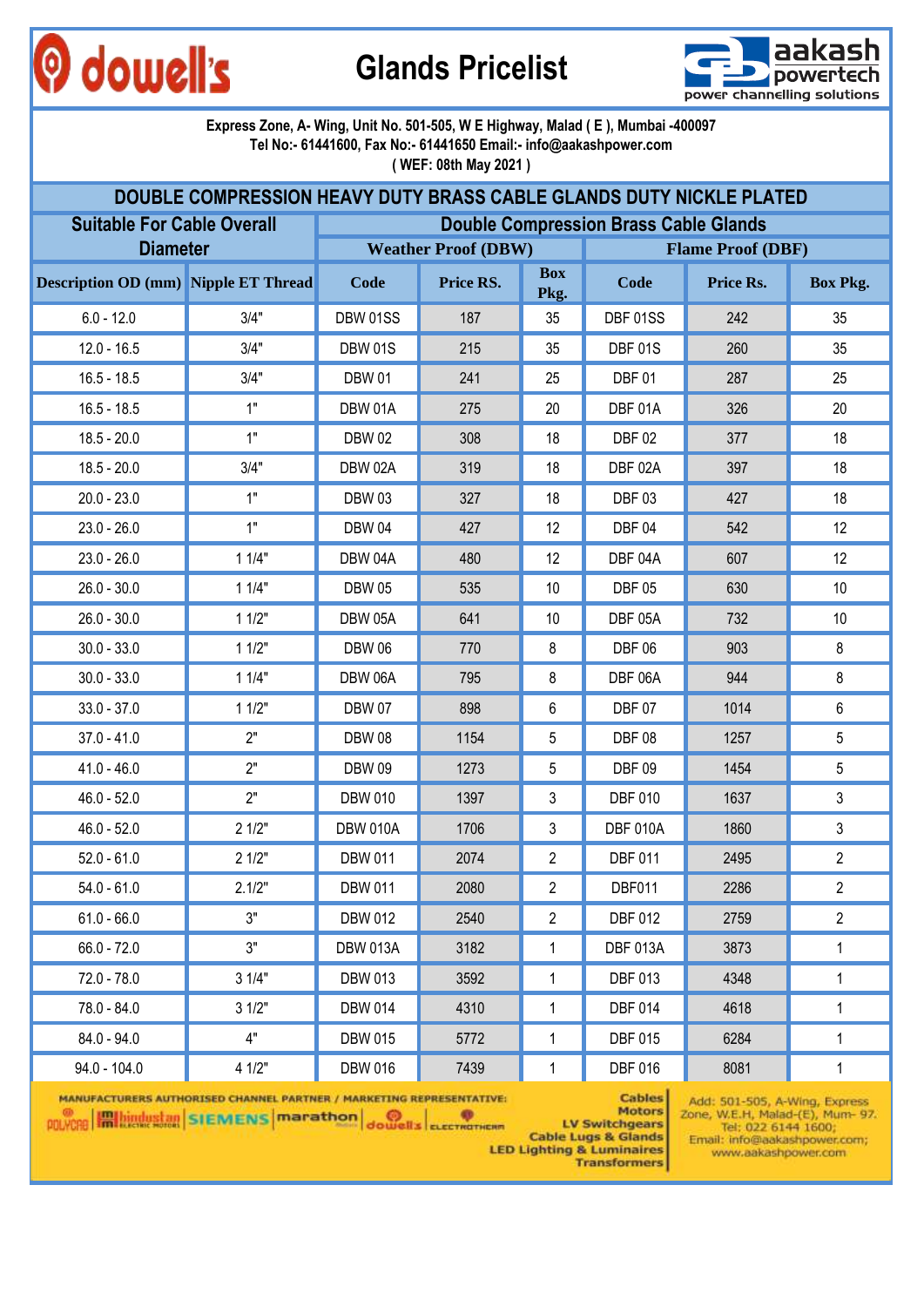# O dowell's

**Glands Pricelist**



#### **Express Zone, A- Wing, Unit No. 501-505, W E Highway, Malad ( E ), Mumbai -400097 Tel No:- 61441600, Fax No:- 61441650 Email:- info@aakashpower.com ( WEF: 08th May 2021 )**

|                                             | DOUBLE COMPRESSION HEAVY DUTY BRASS CABLE GLANDS DUTY NICKLE PLATED |                 |                            |                    |                                              |                          |                 |
|---------------------------------------------|---------------------------------------------------------------------|-----------------|----------------------------|--------------------|----------------------------------------------|--------------------------|-----------------|
| <b>Suitable For Cable Overall</b>           |                                                                     |                 |                            |                    | <b>Double Compression Brass Cable Glands</b> |                          |                 |
| <b>Diameter</b>                             |                                                                     |                 | <b>Weather Proof (DBW)</b> |                    |                                              | <b>Flame Proof (DBF)</b> |                 |
| <b>Description OD (mm)</b> Nipple ET Thread |                                                                     | Code            | Price RS.                  | <b>Box</b><br>Pkg. | Code                                         | Price Rs.                | <b>Box Pkg.</b> |
| $6.0 - 12.0$                                | 3/4"                                                                | DBW 01SS        | 187                        | 35                 | DBF 01SS                                     | 242                      | 35              |
| $12.0 - 16.5$                               | 3/4"                                                                | <b>DBW 01S</b>  | 215                        | 35                 | DBF 01S                                      | 260                      | 35              |
| $16.5 - 18.5$                               | 3/4"                                                                | <b>DBW 01</b>   | 241                        | 25                 | DBF01                                        | 287                      | 25              |
| $16.5 - 18.5$                               | 1"                                                                  | DBW 01A         | 275                        | 20                 | DBF 01A                                      | 326                      | 20              |
| $18.5 - 20.0$                               | 1"                                                                  | <b>DBW02</b>    | 308                        | 18                 | <b>DBF 02</b>                                | 377                      | 18              |
| $18.5 - 20.0$                               | 3/4"                                                                | DBW 02A         | 319                        | 18                 | DBF 02A                                      | 397                      | 18              |
| $20.0 - 23.0$                               | 1"                                                                  | <b>DBW03</b>    | 327                        | 18                 | DBF03                                        | 427                      | 18              |
| $23.0 - 26.0$                               | 1"                                                                  | <b>DBW 04</b>   | 427                        | 12                 | DBF04                                        | 542                      | 12              |
| $23.0 - 26.0$                               | 11/4"                                                               | DBW 04A         | 480                        | 12                 | DBF 04A                                      | 607                      | 12              |
| $26.0 - 30.0$                               | 11/4"                                                               | <b>DBW 05</b>   | 535                        | 10                 | <b>DBF 05</b>                                | 630                      | 10              |
| $26.0 - 30.0$                               | 11/2"                                                               | DBW 05A         | 641                        | 10                 | DBF 05A                                      | 732                      | 10              |
| $30.0 - 33.0$                               | 11/2"                                                               | <b>DBW 06</b>   | 770                        | 8                  | <b>DBF 06</b>                                | 903                      | 8               |
| $30.0 - 33.0$                               | 11/4"                                                               | DBW 06A         | 795                        | 8                  | DBF 06A                                      | 944                      | 8               |
| $33.0 - 37.0$                               | 11/2"                                                               | <b>DBW 07</b>   | 898                        | 6                  | <b>DBF 07</b>                                | 1014                     | 6               |
| $37.0 - 41.0$                               | 2"                                                                  | <b>DBW08</b>    | 1154                       | 5                  | <b>DBF 08</b>                                | 1257                     | 5               |
| $41.0 - 46.0$                               | 2"                                                                  | <b>DBW 09</b>   | 1273                       | 5                  | <b>DBF 09</b>                                | 1454                     | 5               |
| $46.0 - 52.0$                               | 2"                                                                  | <b>DBW 010</b>  | 1397                       | 3                  | <b>DBF 010</b>                               | 1637                     | $\mathfrak{Z}$  |
| $46.0 - 52.0$                               | 21/2"                                                               | <b>DBW 010A</b> | 1706                       | 3                  | <b>DBF 010A</b>                              | 1860                     | 3               |
| $52.0 - 61.0$                               | 21/2"                                                               | <b>DBW 011</b>  | 2074                       | 2                  | <b>DBF 011</b>                               | 2495                     | $\overline{2}$  |
| $54.0 - 61.0$                               | 2.1/2"                                                              | <b>DBW 011</b>  | 2080                       | $\overline{2}$     | DBF011                                       | 2286                     | $\overline{2}$  |
| $61.0 - 66.0$                               | 3"                                                                  | <b>DBW 012</b>  | 2540                       | $\overline{2}$     | <b>DBF 012</b>                               | 2759                     | $\overline{2}$  |
| $66.0 - 72.0$                               | 3"                                                                  | <b>DBW 013A</b> | 3182                       | 1                  | <b>DBF 013A</b>                              | 3873                     | 1               |
| $72.0 - 78.0$                               | 31/4"                                                               | <b>DBW 013</b>  | 3592                       | $\mathbf{1}$       | <b>DBF 013</b>                               | 4348                     | $\mathbf 1$     |
| 78.0 - 84.0                                 | 31/2"                                                               | <b>DBW 014</b>  | 4310                       | 1                  | <b>DBF 014</b>                               | 4618                     | 1               |
| $84.0 - 94.0$                               | 4"                                                                  | <b>DBW 015</b>  | 5772                       | 1                  | <b>DBF 015</b>                               | 6284                     | $\mathbf 1$     |
| $94.0 - 104.0$                              | 4 1/2"                                                              | <b>DBW 016</b>  | 7439                       | 1                  | <b>DBF 016</b>                               | 8081                     | 1               |

MANUFACTURERS AUTHORISED CHANNEL PARTNER / MARKETING REPRESENTATIVE: **POLYCRE HALLINGUES ISLEMENS** Marathon dowell's ELECTROTHER

**Motors LV Switchgears** 

**Cables** 

**Cable Lugs & Glands** 

**LED Lighting & Luminaires Transformers**  Add: 501-505, A-Wing, Express<br>Zone, W.E.H, Malad-(E), Mum- 97. Tel: 022 6144 1600; Email: info@aakashpower.com; www.aakashpower.com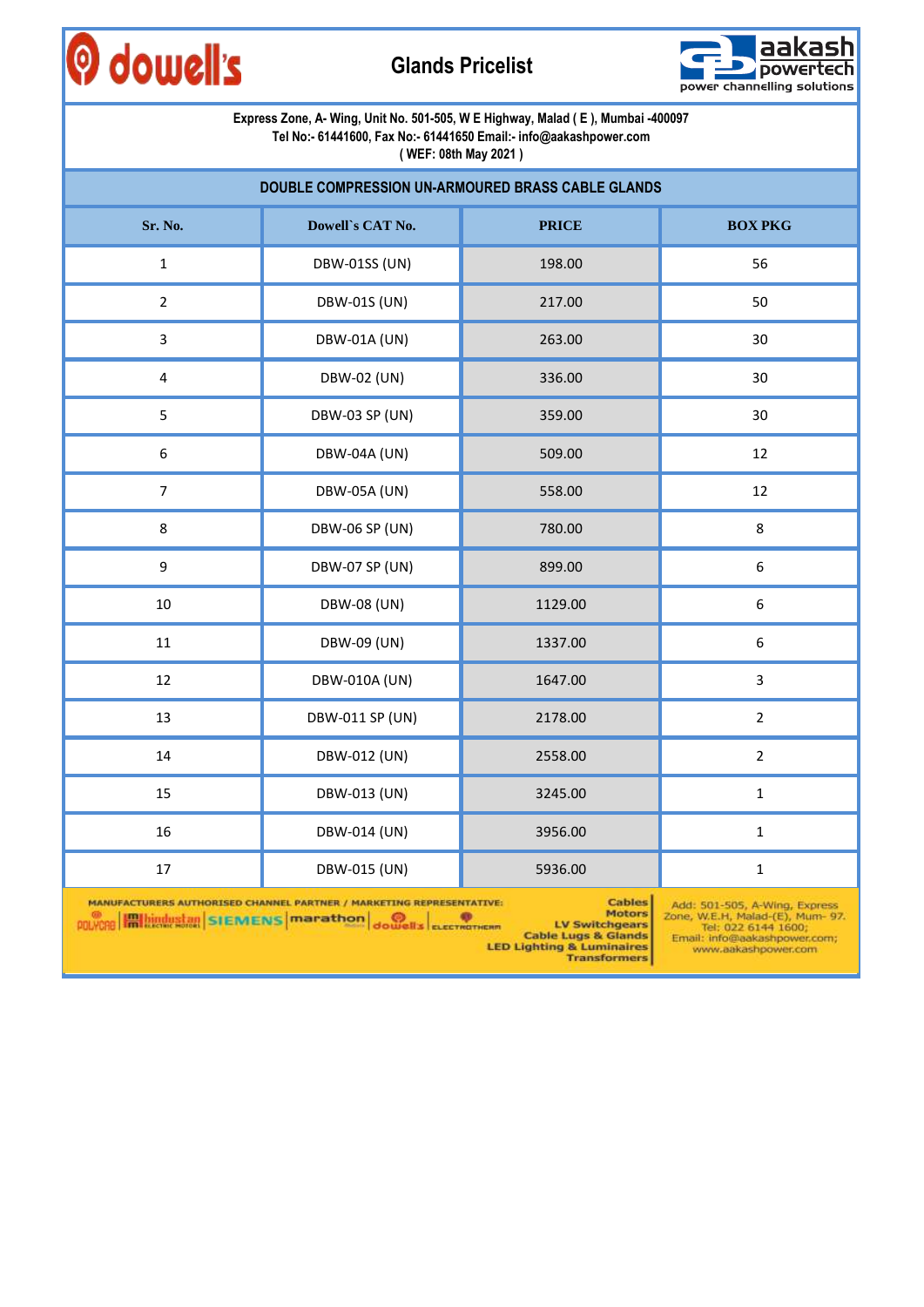



|                                                               | Express Zone, A- Wing, Unit No. 501-505, W E Highway, Malad (E), Mumbai -400097               | Tel No:- 61441600, Fax No:- 61441650 Email:- info@aakashpower.com<br>(WEF: 08th May 2021)                                                                |                                                                                                                                                 |  |  |  |  |  |  |  |  |  |
|---------------------------------------------------------------|-----------------------------------------------------------------------------------------------|----------------------------------------------------------------------------------------------------------------------------------------------------------|-------------------------------------------------------------------------------------------------------------------------------------------------|--|--|--|--|--|--|--|--|--|
|                                                               | DOUBLE COMPRESSION UN-ARMOURED BRASS CABLE GLANDS                                             |                                                                                                                                                          |                                                                                                                                                 |  |  |  |  |  |  |  |  |  |
| Sr. No.                                                       | Dowell's CAT No.                                                                              | <b>PRICE</b>                                                                                                                                             | <b>BOX PKG</b>                                                                                                                                  |  |  |  |  |  |  |  |  |  |
| $\mathbf{1}$                                                  | <b>DBW-01SS (UN)</b>                                                                          | 198.00                                                                                                                                                   | 56                                                                                                                                              |  |  |  |  |  |  |  |  |  |
| $\overline{2}$                                                | <b>DBW-01S (UN)</b>                                                                           | 217.00                                                                                                                                                   | 50                                                                                                                                              |  |  |  |  |  |  |  |  |  |
| 3                                                             | <b>DBW-01A (UN)</b>                                                                           | 263.00                                                                                                                                                   | 30                                                                                                                                              |  |  |  |  |  |  |  |  |  |
| $\overline{\mathbf{4}}$                                       | DBW-02 (UN)                                                                                   | 336.00                                                                                                                                                   | 30                                                                                                                                              |  |  |  |  |  |  |  |  |  |
| 5                                                             | <b>DBW-03 SP (UN)</b>                                                                         | 359.00                                                                                                                                                   | 30                                                                                                                                              |  |  |  |  |  |  |  |  |  |
| 6<br>DBW-04A (UN)<br>509.00<br>12                             |                                                                                               |                                                                                                                                                          |                                                                                                                                                 |  |  |  |  |  |  |  |  |  |
| $\overline{7}$<br>12<br><b>DBW-05A (UN)</b><br>558.00         |                                                                                               |                                                                                                                                                          |                                                                                                                                                 |  |  |  |  |  |  |  |  |  |
| 8                                                             | <b>DBW-06 SP (UN)</b>                                                                         | 780.00                                                                                                                                                   | 8                                                                                                                                               |  |  |  |  |  |  |  |  |  |
| $\boldsymbol{9}$                                              | <b>DBW-07 SP (UN)</b>                                                                         | 899.00                                                                                                                                                   | $\boldsymbol{6}$                                                                                                                                |  |  |  |  |  |  |  |  |  |
| 10                                                            | <b>DBW-08 (UN)</b>                                                                            | 1129.00                                                                                                                                                  | $\boldsymbol{6}$                                                                                                                                |  |  |  |  |  |  |  |  |  |
| 11                                                            | DBW-09 (UN)                                                                                   | 1337.00                                                                                                                                                  | $\boldsymbol{6}$                                                                                                                                |  |  |  |  |  |  |  |  |  |
| 12                                                            | DBW-010A (UN)                                                                                 | 1647.00                                                                                                                                                  | $\overline{3}$                                                                                                                                  |  |  |  |  |  |  |  |  |  |
| 13                                                            | DBW-011 SP (UN)                                                                               | 2178.00                                                                                                                                                  | $\overline{2}$                                                                                                                                  |  |  |  |  |  |  |  |  |  |
| 14                                                            | DBW-012 (UN)                                                                                  | 2558.00                                                                                                                                                  | $\overline{2}$                                                                                                                                  |  |  |  |  |  |  |  |  |  |
| 15                                                            | DBW-013 (UN)                                                                                  | 3245.00                                                                                                                                                  | $\mathbf 1$                                                                                                                                     |  |  |  |  |  |  |  |  |  |
| 16                                                            | DBW-014 (UN)                                                                                  | 3956.00                                                                                                                                                  | $\mathbf{1}$                                                                                                                                    |  |  |  |  |  |  |  |  |  |
| 17                                                            | DBW-015 (UN)                                                                                  | 5936.00                                                                                                                                                  | 1                                                                                                                                               |  |  |  |  |  |  |  |  |  |
| <b>Im bindustan</b> SIEMENS <b>marathon</b><br><b>POLYCHE</b> | MANUFACTURERS AUTHORISED CHANNEL PARTNER / MARKETING REPRESENTATIVE:<br>dowell's ELECTROTHERM | <b>Cables</b><br><b>Motors</b><br><b>LV Switchgears</b><br><b>Cable Lugs &amp; Glands</b><br><b>LED Lighting &amp; Luminaires</b><br><b>Transformers</b> | Add: 501-505, A-Wing, Express<br>Zone, W.E.H, Malad-(E), Mum- 97.<br>Tel: 022 6144 1600;<br>Email: info@aakashpower.com;<br>www.aakashpower.com |  |  |  |  |  |  |  |  |  |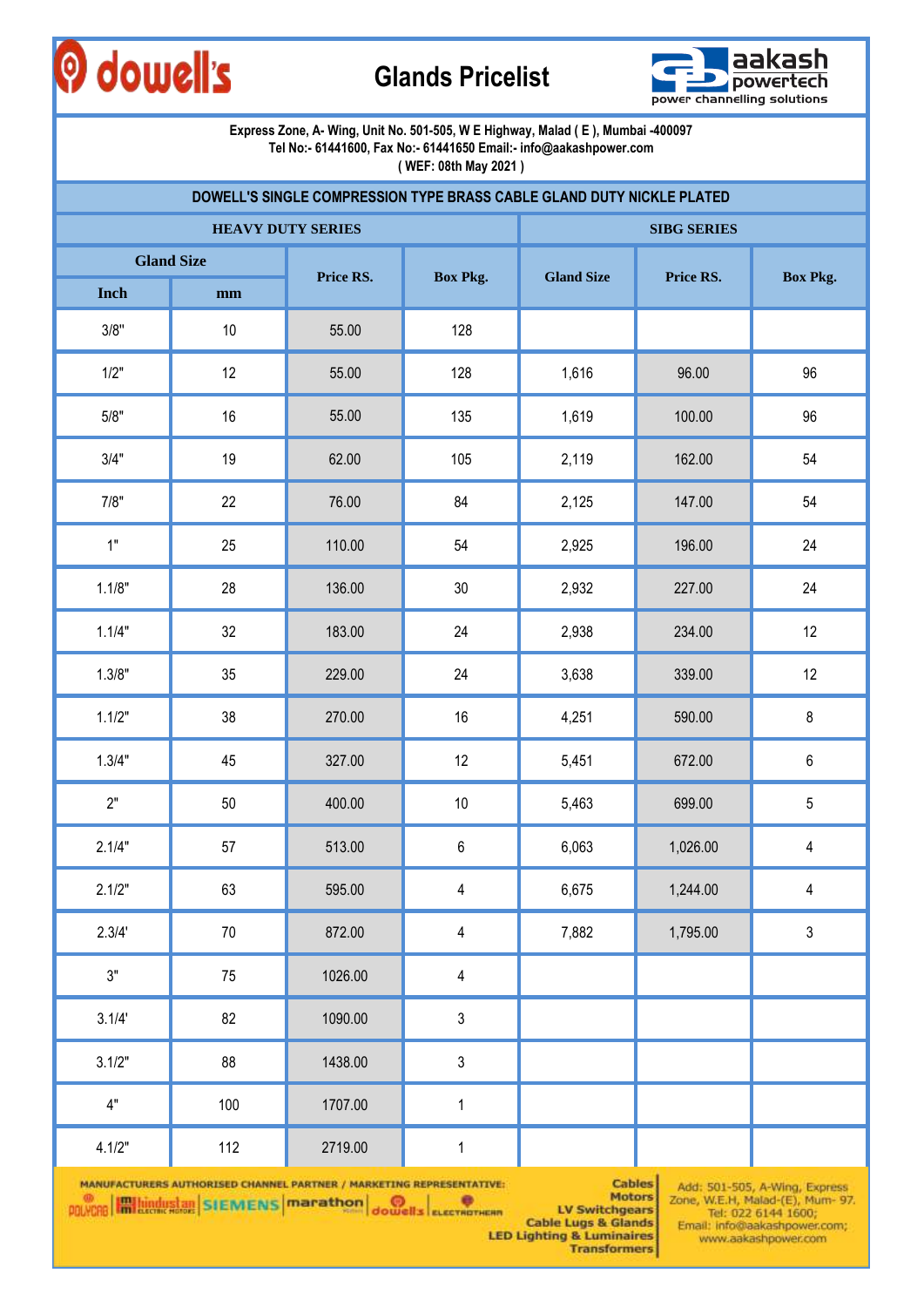## O dowell's

## **Glands Pricelist**



#### **Express Zone, A- Wing, Unit No. 501-505, W E Highway, Malad ( E ), Mumbai -400097 Tel No:- 61441600, Fax No:- 61441650 Email:- info@aakashpower.com**

**( WEF: 08th May 2021 )**

|        |                   | DOWELL'S SINGLE COMPRESSION TYPE BRASS CABLE GLAND DUTY NICKLE PLATED |                         |                   |                    |                 |
|--------|-------------------|-----------------------------------------------------------------------|-------------------------|-------------------|--------------------|-----------------|
|        |                   | <b>HEAVY DUTY SERIES</b>                                              |                         |                   | <b>SIBG SERIES</b> |                 |
|        | <b>Gland Size</b> |                                                                       |                         |                   | Price RS.          |                 |
| Inch   | $\mathbf{mm}$     | Price RS.                                                             | <b>Box Pkg.</b>         | <b>Gland Size</b> |                    | <b>Box Pkg.</b> |
| 3/8"   | 10                | 55.00                                                                 | 128                     |                   |                    |                 |
| 1/2"   | 12                | 55.00                                                                 | 128                     | 1,616             | 96.00              | 96              |
| 5/8"   | 16                | 55.00                                                                 | 135                     | 1,619             | 100.00             | 96              |
| 3/4"   | 19                | 62.00                                                                 | 105                     | 2,119             | 162.00             | 54              |
| 7/8"   | 22                | 76.00                                                                 | 84                      | 2,125             | 147.00             | 54              |
| 1"     | 25                | 110.00                                                                | 54                      | 2,925             | 196.00             | 24              |
| 1.1/8" | 28                | 136.00                                                                | $30\,$                  | 2,932             | 227.00             | 24              |
| 1.1/4" | 32                | 183.00                                                                | 24                      | 2,938             | 234.00             | 12              |
| 1.3/8" | 35                | 229.00                                                                | 24                      | 3,638             | 339.00             | 12              |
| 1.1/2" | 38                | 270.00                                                                | $16\,$                  | 4,251             | 590.00             | $\bf 8$         |
| 1.3/4" | 45                | 327.00                                                                | 12                      | 5,451             | 672.00             | $\,6\,$         |
| 2"     | 50                | 400.00                                                                | 10                      | 5,463             | 699.00             | $5\,$           |
| 2.1/4" | 57                | 513.00                                                                | 6                       | 6,063             | 1,026.00           | $\overline{4}$  |
| 2.1/2" | 63                | 595.00                                                                | 4                       | 6,675             | 1,244.00           | 4               |
| 2.3/4' | $70\,$            | 872.00                                                                | 4                       | 7,882             | 1,795.00           | $\mathfrak{Z}$  |
| 3"     | 75                | 1026.00                                                               | $\overline{\mathbf{4}}$ |                   |                    |                 |
| 3.1/4' | 82                | 1090.00                                                               | $\mathsf 3$             |                   |                    |                 |
| 3.1/2" | 88                | 1438.00                                                               | $\sqrt{3}$              |                   |                    |                 |
| 4"     | 100               | 1707.00                                                               | $\mathbf 1$             |                   |                    |                 |
| 4.1/2" | 112               | 2719.00                                                               | $\mathbf{1}$            |                   |                    |                 |

MANUFACTURERS AUTHORISED CHANNEL PARTNER / MARKETING REPRESENTATIVE: POLYCRE **Highlights STEWENS** | marathon | dowell's ELECTROTHERN

**Cables Motors LV Switchgears** 

Add: 501-505, A-Wing, Express<br>Zone, W.E.H, Malad-(E), Mum- 97.<br>Tel: 022 6144 1600;<br>Email: info@aakashpower.com; www.aakashpower.com

**Cable Lugs & Glands LED Lighting & Luminaires Transformers**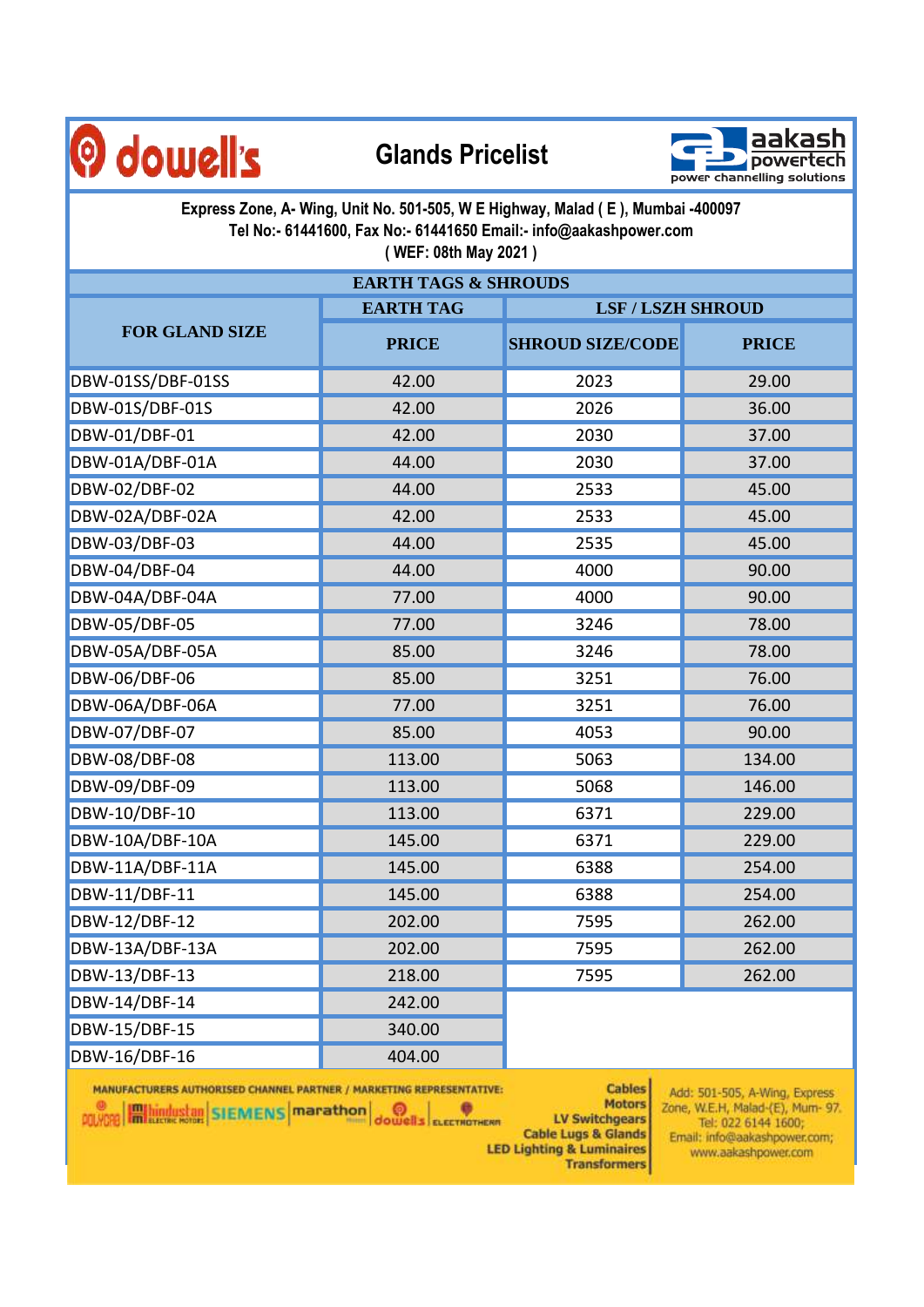



**Express Zone, A- Wing, Unit No. 501-505, W E Highway, Malad ( E ), Mumbai -400097 Tel No:- 61441600, Fax No:- 61441650 Email:- info@aakashpower.com ( WEF: 08th May 2021 )**

| <b>EARTH TAGS &amp; SHROUDS</b> |                  |                          |              |  |  |  |  |
|---------------------------------|------------------|--------------------------|--------------|--|--|--|--|
|                                 | <b>EARTH TAG</b> | <b>LSF / LSZH SHROUD</b> |              |  |  |  |  |
| <b>FOR GLAND SIZE</b>           | <b>PRICE</b>     | <b>SHROUD SIZE/CODE</b>  | <b>PRICE</b> |  |  |  |  |
| DBW-01SS/DBF-01SS               | 42.00            | 2023                     | 29.00        |  |  |  |  |
| DBW-01S/DBF-01S                 | 42.00            | 2026                     | 36.00        |  |  |  |  |
| DBW-01/DBF-01                   | 42.00            | 2030                     | 37.00        |  |  |  |  |
| DBW-01A/DBF-01A                 | 44.00            | 2030                     | 37.00        |  |  |  |  |
| DBW-02/DBF-02                   | 44.00            | 2533                     | 45.00        |  |  |  |  |
| DBW-02A/DBF-02A                 | 42.00            | 2533                     | 45.00        |  |  |  |  |
| DBW-03/DBF-03                   | 44.00            | 2535                     | 45.00        |  |  |  |  |
| DBW-04/DBF-04                   | 44.00            | 4000                     | 90.00        |  |  |  |  |
| DBW-04A/DBF-04A                 | 77.00            | 4000                     | 90.00        |  |  |  |  |
| DBW-05/DBF-05                   | 77.00            | 3246                     | 78.00        |  |  |  |  |
| DBW-05A/DBF-05A                 | 85.00            | 3246                     | 78.00        |  |  |  |  |
| DBW-06/DBF-06                   | 85.00            | 3251                     | 76.00        |  |  |  |  |
| DBW-06A/DBF-06A                 | 77.00            | 3251                     | 76.00        |  |  |  |  |
| DBW-07/DBF-07                   | 85.00            | 4053                     | 90.00        |  |  |  |  |
| DBW-08/DBF-08                   | 113.00           | 5063                     | 134.00       |  |  |  |  |
| DBW-09/DBF-09                   | 113.00           | 5068                     | 146.00       |  |  |  |  |
| DBW-10/DBF-10                   | 113.00           | 6371                     | 229.00       |  |  |  |  |
| DBW-10A/DBF-10A                 | 145.00           | 6371                     | 229.00       |  |  |  |  |
| DBW-11A/DBF-11A                 | 145.00           | 6388                     | 254.00       |  |  |  |  |
| DBW-11/DBF-11                   | 145.00           | 6388                     | 254.00       |  |  |  |  |
| DBW-12/DBF-12                   | 202.00           | 7595                     | 262.00       |  |  |  |  |
| DBW-13A/DBF-13A                 | 202.00           | 7595                     | 262.00       |  |  |  |  |
| DBW-13/DBF-13                   | 218.00           | 7595                     | 262.00       |  |  |  |  |
| DBW-14/DBF-14                   | 242.00           |                          |              |  |  |  |  |
| DBW-15/DBF-15                   | 340.00           |                          |              |  |  |  |  |
| DBW-16/DBF-16                   | 404.00           |                          |              |  |  |  |  |

MANUFACTURERS AUTHORISED CHANNEL PARTNER / MARKETING REPRESENTATIVE:

**POLYCHO History STEMENS** Marathon **O** 

**Cables Motors** 

**LV Switchgears Cable Lugs & Glands LED Lighting & Luminaires** 

**Transformers** 

Add: 501-505, A-Wing, Express. Zone, W.E.H, Malad-(E), Mum- 97.<br>Tel: 022 6144 1600; Email: info@aakashpower.com; www.aakashpower.com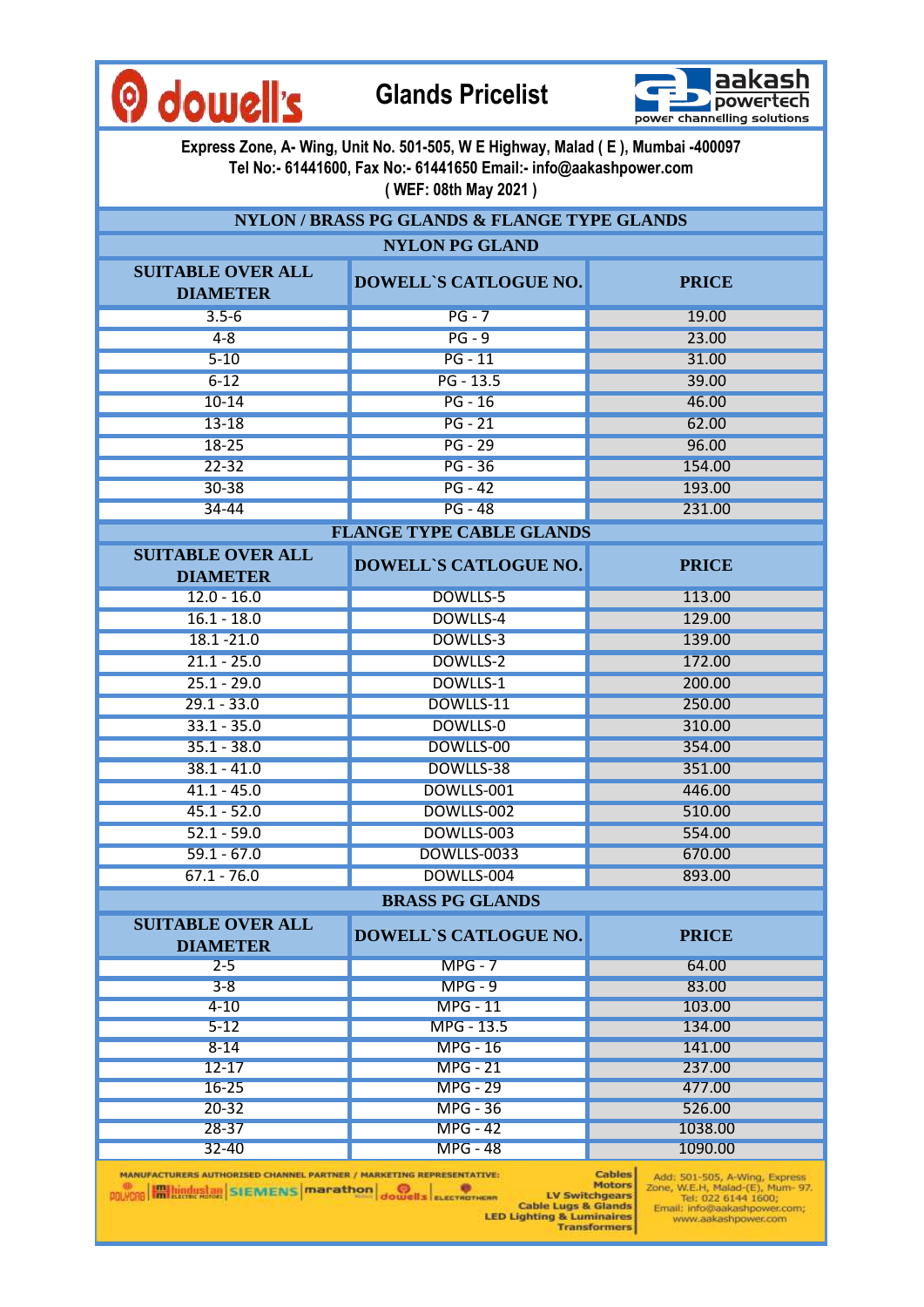



**Express Zone, A- Wing, Unit No. 501-505, W E Highway, Malad ( E ), Mumbai -400097 Tel No:- 61441600, Fax No:- 61441650 Email:- info@aakashpower.com ( WEF: 08th May 2021 )**

**NYLON / BRASS PG GLANDS & FLANGE TYPE GLANDS**

| <b>NYLON PG GLAND</b>                                                                                                                  |                                 |                                                                                                                                                                                       |  |  |  |  |  |
|----------------------------------------------------------------------------------------------------------------------------------------|---------------------------------|---------------------------------------------------------------------------------------------------------------------------------------------------------------------------------------|--|--|--|--|--|
| <b>SUITABLE OVER ALL</b><br><b>DIAMETER</b>                                                                                            | <b>DOWELL'S CATLOGUE NO.</b>    | <b>PRICE</b>                                                                                                                                                                          |  |  |  |  |  |
| $3.5 - 6$                                                                                                                              | $PG - 7$                        | 19.00                                                                                                                                                                                 |  |  |  |  |  |
| $4 - 8$                                                                                                                                | $PG - 9$                        | 23.00                                                                                                                                                                                 |  |  |  |  |  |
| $5 - 10$                                                                                                                               | $PG - 11$                       | 31.00                                                                                                                                                                                 |  |  |  |  |  |
| $6 - 12$                                                                                                                               | $PG - 13.5$                     | 39.00                                                                                                                                                                                 |  |  |  |  |  |
| $10 - 14$                                                                                                                              | $PG - 16$                       | 46.00                                                                                                                                                                                 |  |  |  |  |  |
| $13 - 18$                                                                                                                              | $PG - 21$                       | 62.00                                                                                                                                                                                 |  |  |  |  |  |
| $18 - 25$                                                                                                                              | $PG - 29$                       | 96.00                                                                                                                                                                                 |  |  |  |  |  |
| $22 - 32$                                                                                                                              | $PG - 36$                       | 154.00                                                                                                                                                                                |  |  |  |  |  |
| $30 - 38$                                                                                                                              | $PG - 42$                       | 193.00                                                                                                                                                                                |  |  |  |  |  |
| $34 - 44$                                                                                                                              | $PG - 48$                       | 231.00                                                                                                                                                                                |  |  |  |  |  |
|                                                                                                                                        | <b>FLANGE TYPE CABLE GLANDS</b> |                                                                                                                                                                                       |  |  |  |  |  |
| <b>SUITABLE OVER ALL</b>                                                                                                               |                                 |                                                                                                                                                                                       |  |  |  |  |  |
| <b>DIAMETER</b>                                                                                                                        | <b>DOWELL'S CATLOGUE NO.</b>    | <b>PRICE</b>                                                                                                                                                                          |  |  |  |  |  |
| $12.0 - 16.0$                                                                                                                          | DOWLLS-5                        | 113.00                                                                                                                                                                                |  |  |  |  |  |
| $16.1 - 18.0$                                                                                                                          | DOWLLS-4                        | 129.00                                                                                                                                                                                |  |  |  |  |  |
| $18.1 - 21.0$                                                                                                                          | DOWLLS-3                        | 139.00                                                                                                                                                                                |  |  |  |  |  |
| $21.1 - 25.0$                                                                                                                          | DOWLLS-2                        | 172.00                                                                                                                                                                                |  |  |  |  |  |
| $25.1 - 29.0$                                                                                                                          | DOWLLS-1                        | 200.00                                                                                                                                                                                |  |  |  |  |  |
| $29.1 - 33.0$                                                                                                                          | DOWLLS-11                       | 250.00                                                                                                                                                                                |  |  |  |  |  |
| $33.1 - 35.0$                                                                                                                          | <b>DOWLLS-0</b>                 | 310.00                                                                                                                                                                                |  |  |  |  |  |
| $35.1 - 38.0$                                                                                                                          | DOWLLS-00                       | 354.00                                                                                                                                                                                |  |  |  |  |  |
| $38.1 - 41.0$                                                                                                                          | DOWLLS-38                       | 351.00                                                                                                                                                                                |  |  |  |  |  |
| $41.1 - 45.0$                                                                                                                          | DOWLLS-001                      | 446.00                                                                                                                                                                                |  |  |  |  |  |
| $45.1 - 52.0$                                                                                                                          | DOWLLS-002                      | 510.00                                                                                                                                                                                |  |  |  |  |  |
| $52.1 - 59.0$                                                                                                                          | DOWLLS-003                      | 554.00                                                                                                                                                                                |  |  |  |  |  |
| $59.1 - 67.0$                                                                                                                          | <b>DOWLLS-0033</b>              | 670.00                                                                                                                                                                                |  |  |  |  |  |
| $67.1 - 76.0$                                                                                                                          | DOWLLS-004                      | 893.00                                                                                                                                                                                |  |  |  |  |  |
|                                                                                                                                        | <b>BRASS PG GLANDS</b>          |                                                                                                                                                                                       |  |  |  |  |  |
|                                                                                                                                        |                                 |                                                                                                                                                                                       |  |  |  |  |  |
| <b>SUITABLE OVER ALL</b><br><b>DIAMETER</b>                                                                                            | <b>DOWELL'S CATLOGUE NO.</b>    | <b>PRICE</b>                                                                                                                                                                          |  |  |  |  |  |
| $2 - 5$                                                                                                                                | $MPG - 7$                       | 64.00                                                                                                                                                                                 |  |  |  |  |  |
| $3 - 8$                                                                                                                                | $MPG - 9$                       | 83.00                                                                                                                                                                                 |  |  |  |  |  |
| $4 - 10$                                                                                                                               | <b>MPG - 11</b>                 | 103.00                                                                                                                                                                                |  |  |  |  |  |
| $5 - 12$                                                                                                                               | MPG - 13.5                      | 134.00                                                                                                                                                                                |  |  |  |  |  |
| $8 - 14$                                                                                                                               | <b>MPG - 16</b>                 | 141.00                                                                                                                                                                                |  |  |  |  |  |
| $12 - 17$                                                                                                                              | <b>MPG - 21</b>                 | 237.00                                                                                                                                                                                |  |  |  |  |  |
| $16 - 25$                                                                                                                              | <b>MPG - 29</b>                 | 477.00                                                                                                                                                                                |  |  |  |  |  |
| $20 - 32$                                                                                                                              | <b>MPG - 36</b>                 | 526.00                                                                                                                                                                                |  |  |  |  |  |
| $28 - 37$                                                                                                                              | <b>MPG - 42</b>                 | 1038.00                                                                                                                                                                               |  |  |  |  |  |
| $32 - 40$                                                                                                                              | <b>MPG - 48</b>                 | 1090.00                                                                                                                                                                               |  |  |  |  |  |
| MANUFACTURERS AUTHORISED CHANNEL PARTNER / MARKETING REPRESENTATIVE:<br><b>POLYCEB EM LUNCH SIEMENS</b> marathon dowells exerval means |                                 | <b>Cables</b><br>Add: 501-505, A-Wing, Express<br><b>Motors</b><br>Zone, W.E.H, Malad-(E), Mum- 97.<br><b>LV Switchgears</b><br>Tel: 022 6144 1600;<br><b>Cable Lune &amp; Glande</b> |  |  |  |  |  |

LED Lighting & Luminaires<br>LED Lighting & Luminaires<br>Transformers www.aakashpower.com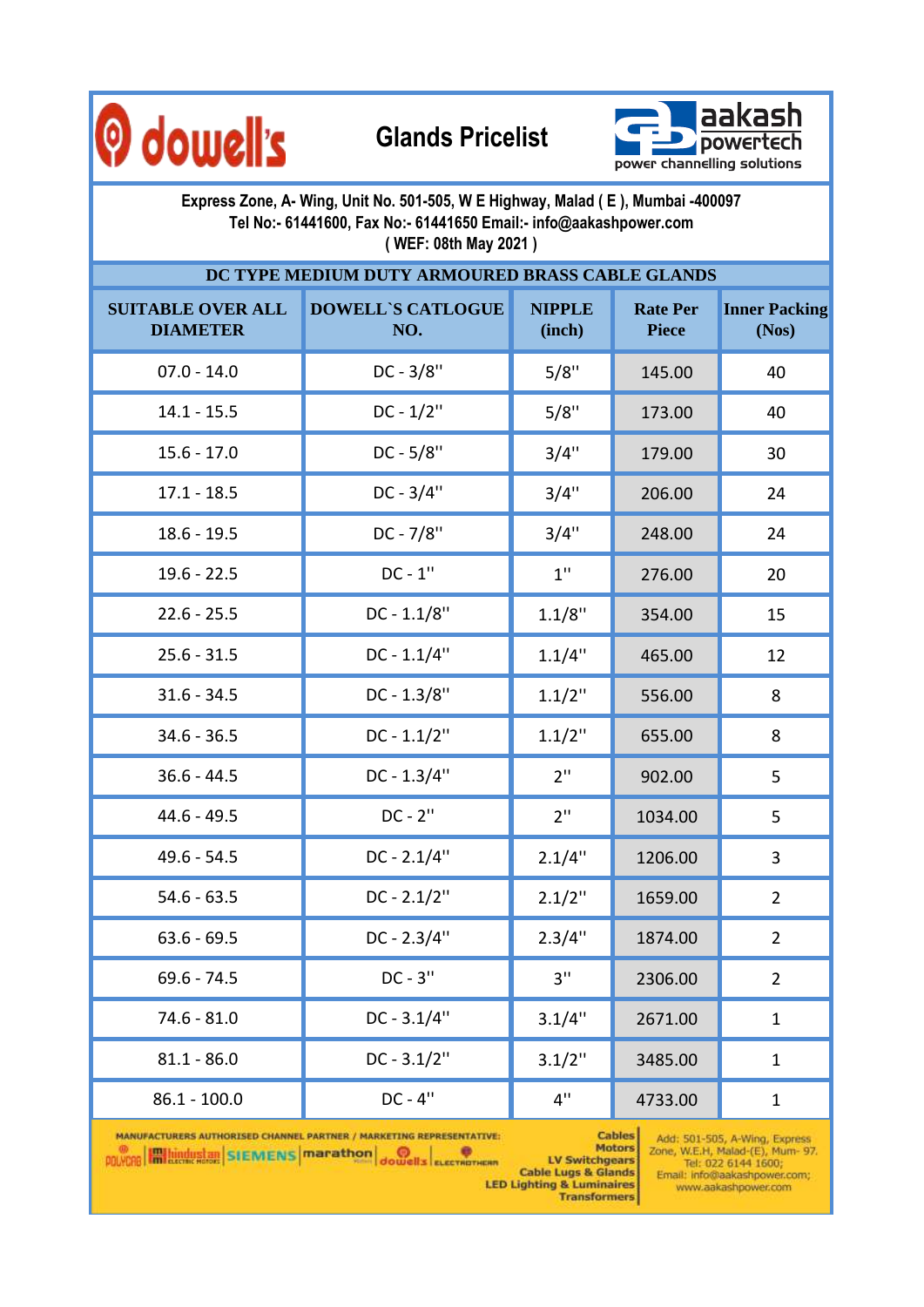



| Express Zone, A- Wing, Unit No. 501-505, W E Highway, Malad (E), Mumbai -400097<br>Tel No:- 61441600, Fax No:- 61441650 Email:- info@aakashpower.com<br>(WEF: 08th May 2021) |                                 |                         |                                 |                               |  |  |  |  |  |
|------------------------------------------------------------------------------------------------------------------------------------------------------------------------------|---------------------------------|-------------------------|---------------------------------|-------------------------------|--|--|--|--|--|
| DC TYPE MEDIUM DUTY ARMOURED BRASS CABLE GLANDS                                                                                                                              |                                 |                         |                                 |                               |  |  |  |  |  |
| <b>SUITABLE OVER ALL</b><br><b>DIAMETER</b>                                                                                                                                  | <b>DOWELL'S CATLOGUE</b><br>NO. | <b>NIPPLE</b><br>(inch) | <b>Rate Per</b><br><b>Piece</b> | <b>Inner Packing</b><br>(Nos) |  |  |  |  |  |
| $07.0 - 14.0$                                                                                                                                                                | $DC - 3/8"$                     | 5/8"                    | 145.00                          | 40                            |  |  |  |  |  |
| $14.1 - 15.5$                                                                                                                                                                | $DC - 1/2"$                     | 5/8"                    | 173.00                          | 40                            |  |  |  |  |  |
| $15.6 - 17.0$                                                                                                                                                                | $DC - 5/8"$                     | 3/4"                    | 179.00                          | 30                            |  |  |  |  |  |
| $17.1 - 18.5$                                                                                                                                                                | $DC - 3/4"$                     | 3/4"                    | 206.00                          | 24                            |  |  |  |  |  |
| $18.6 - 19.5$                                                                                                                                                                | DC - 7/8"                       | 3/4"                    | 248.00                          | 24                            |  |  |  |  |  |
| $19.6 - 22.5$                                                                                                                                                                | $DC - 1"$                       | $1$ "                   | 276.00                          | 20                            |  |  |  |  |  |
| $22.6 - 25.5$                                                                                                                                                                | $DC - 1.1/8"$                   | 1.1/8"                  | 354.00                          | 15                            |  |  |  |  |  |
| $25.6 - 31.5$                                                                                                                                                                | $DC - 1.1/4"$                   | 1.1/4"                  | 465.00                          | 12                            |  |  |  |  |  |
| $31.6 - 34.5$                                                                                                                                                                | $DC - 1.3/8"$                   | $1.1/2$ "               | 556.00                          | 8                             |  |  |  |  |  |
| $34.6 - 36.5$                                                                                                                                                                | $DC - 1.1/2"$                   | $1.1/2$ "               | 655.00                          | 8                             |  |  |  |  |  |
| $36.6 - 44.5$                                                                                                                                                                | $DC - 1.3/4"$                   | 2 <sup>11</sup>         | 902.00                          | 5                             |  |  |  |  |  |
| $44.6 - 49.5$                                                                                                                                                                | $DC - 2"$                       | 2 <sup>11</sup>         | 1034.00                         | 5                             |  |  |  |  |  |
| $49.6 - 54.5$                                                                                                                                                                | $DC - 2.1/4"$                   | 2.1/4"                  | 1206.00                         | 3                             |  |  |  |  |  |
| $54.6 - 63.5$                                                                                                                                                                | $DC - 2.1/2"$                   | $2.1/2$ "               | 1659.00                         | $\overline{2}$                |  |  |  |  |  |
| $63.6 - 69.5$                                                                                                                                                                | DC - 2.3/4"                     | 2.3/4"                  | 1874.00                         | $\overline{2}$                |  |  |  |  |  |
| $69.6 - 74.5$                                                                                                                                                                | $DC - 3"$                       | 3"                      | 2306.00                         | $\overline{2}$                |  |  |  |  |  |
| $74.6 - 81.0$                                                                                                                                                                | $DC - 3.1/4"$                   | 3.1/4"                  | 2671.00                         | $\mathbf{1}$                  |  |  |  |  |  |
| $81.1 - 86.0$                                                                                                                                                                | $DC - 3.1/2"$                   | $3.1/2$ "               | 3485.00                         | $\mathbf{1}$                  |  |  |  |  |  |
| $86.1 - 100.0$                                                                                                                                                               | $DC - 4"$                       | 4"                      | 4733.00                         | $\mathbf{1}$                  |  |  |  |  |  |

MANUFACTURERS AUTHORISED CHANNEL PARTNER / MARKETING REPRESENTATIVE: POLYCAR HALLINGUSLAN SIEMENS Marathon Journal Electroment

Add: 501-505, A-Wing, Express<br>Zone, W.E.H, Malad-(E), Mum- 97.<br>Tel: 022 6144 1600;<br>Email: info@aakashpower.com; Cables www.aakashpower.com

Motors<br>LV Switchgears ERIN LIV Switchgears<br>Cable Lugs & Glands<br>LED Lighting & Luminaires<br>Transformers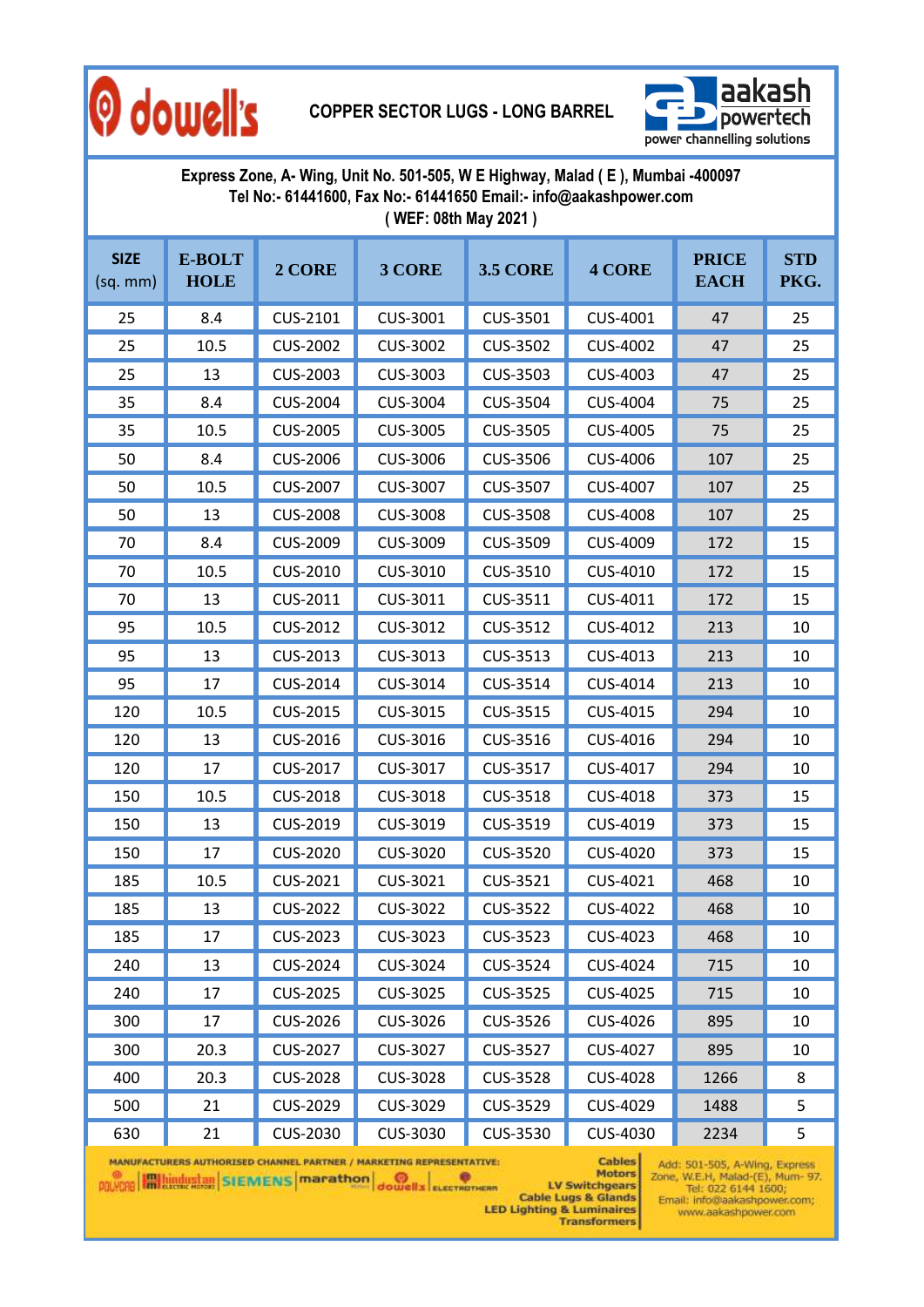

#### **COPPER SECTOR LUGS - LONG BARREL**



| Express Zone, A- Wing, Unit No. 501-505, W E Highway, Malad (E), Mumbai -400097<br>Tel No:- 61441600, Fax No:- 61441650 Email:- info@aakashpower.com<br>(WEF: 08th May 2021) |                       |                 |                 |                 |                 |                             |                    |  |  |
|------------------------------------------------------------------------------------------------------------------------------------------------------------------------------|-----------------------|-----------------|-----------------|-----------------|-----------------|-----------------------------|--------------------|--|--|
| <b>SIZE</b><br>(sq. mm)                                                                                                                                                      | E-BOLT<br><b>HOLE</b> | 2 CORE          | 3 CORE          | <b>3.5 CORE</b> | <b>4 CORE</b>   | <b>PRICE</b><br><b>EACH</b> | <b>STD</b><br>PKG. |  |  |
| 25                                                                                                                                                                           | 8.4                   | CUS-2101        | CUS-3001        | CUS-3501        | CUS-4001        | 47                          | 25                 |  |  |
| 25                                                                                                                                                                           | 10.5                  | <b>CUS-2002</b> | <b>CUS-3002</b> | <b>CUS-3502</b> | <b>CUS-4002</b> | 47                          | 25                 |  |  |
| 25                                                                                                                                                                           | 13                    | <b>CUS-2003</b> | CUS-3003        | CUS-3503        | CUS-4003        | 47                          | 25                 |  |  |
| 35                                                                                                                                                                           | 8.4                   | <b>CUS-2004</b> | CUS-3004        | CUS-3504        | CUS-4004        | 75                          | 25                 |  |  |
| 35                                                                                                                                                                           | 10.5                  | <b>CUS-2005</b> | <b>CUS-3005</b> | CUS-3505        | <b>CUS-4005</b> | 75                          | 25                 |  |  |
| 50                                                                                                                                                                           | 8.4                   | <b>CUS-2006</b> | CUS-3006        | CUS-3506        | CUS-4006        | 107                         | 25                 |  |  |
| 50                                                                                                                                                                           | 10.5                  | <b>CUS-2007</b> | CUS-3007        | CUS-3507        | <b>CUS-4007</b> | 107                         | 25                 |  |  |
| 50                                                                                                                                                                           | 13                    | <b>CUS-2008</b> | <b>CUS-3008</b> | <b>CUS-3508</b> | <b>CUS-4008</b> | 107                         | 25                 |  |  |
| 70                                                                                                                                                                           | 8.4                   | <b>CUS-2009</b> | CUS-3009        | CUS-3509        | CUS-4009        | 172                         | 15                 |  |  |
| 70                                                                                                                                                                           | 10.5                  | CUS-2010        | CUS-3010        | CUS-3510        | CUS-4010        | 172                         | 15                 |  |  |
| 70                                                                                                                                                                           | 13                    | CUS-2011        | CUS-3011        | CUS-3511        | CUS-4011        | 172                         | 15                 |  |  |
| 95                                                                                                                                                                           | 10.5                  | CUS-2012        | CUS-3012        | CUS-3512        | CUS-4012        | 213                         | 10                 |  |  |
| 95                                                                                                                                                                           | 13                    | CUS-2013        | CUS-3013        | CUS-3513        | CUS-4013        | 213                         | 10                 |  |  |
| 95                                                                                                                                                                           | 17                    | CUS-2014        | CUS-3014        | CUS-3514        | CUS-4014        | 213                         | 10                 |  |  |
| 120                                                                                                                                                                          | 10.5                  | CUS-2015        | CUS-3015        | CUS-3515        | CUS-4015        | 294                         | 10                 |  |  |
| 120                                                                                                                                                                          | 13                    | CUS-2016        | CUS-3016        | CUS-3516        | CUS-4016        | 294                         | 10                 |  |  |
| 120                                                                                                                                                                          | 17                    | <b>CUS-2017</b> | CUS-3017        | CUS-3517        | CUS-4017        | 294                         | 10                 |  |  |
| 150                                                                                                                                                                          | 10.5                  | <b>CUS-2018</b> | CUS-3018        | CUS-3518        | CUS-4018        | 373                         | 15                 |  |  |
| 150                                                                                                                                                                          | 13                    | CUS-2019        | CUS-3019        | CUS-3519        | CUS-4019        | 373                         | 15                 |  |  |
| 150                                                                                                                                                                          | 17                    | <b>CUS-2020</b> | <b>CUS-3020</b> | <b>CUS-3520</b> | <b>CUS-4020</b> | 373                         | 15                 |  |  |
| 185                                                                                                                                                                          | 10.5                  | CUS-2021        | CUS-3021        | CUS-3521        | CUS-4021        | 468                         | 10                 |  |  |
| 185                                                                                                                                                                          | 13                    | <b>CUS-2022</b> | <b>CUS-3022</b> | CUS-3522        | <b>CUS-4022</b> | 468                         | 10                 |  |  |
| 185                                                                                                                                                                          | 17                    | CUS-2023        | CUS-3023        | CUS-3523        | CUS-4023        | 468                         | 10                 |  |  |
| 240                                                                                                                                                                          | 13                    | CUS-2024        | CUS-3024        | CUS-3524        | CUS-4024        | 715                         | 10                 |  |  |
| 240                                                                                                                                                                          | 17                    | <b>CUS-2025</b> | CUS-3025        | <b>CUS-3525</b> | CUS-4025        | 715                         | 10                 |  |  |
| 300                                                                                                                                                                          | 17                    | <b>CUS-2026</b> | CUS-3026        | CUS-3526        | CUS-4026        | 895                         | 10                 |  |  |
| 300                                                                                                                                                                          | 20.3                  | <b>CUS-2027</b> | CUS-3027        | <b>CUS-3527</b> | <b>CUS-4027</b> | 895                         | 10                 |  |  |
| 400                                                                                                                                                                          | 20.3                  | <b>CUS-2028</b> | <b>CUS-3028</b> | <b>CUS-3528</b> | <b>CUS-4028</b> | 1266                        | 8                  |  |  |
| 500                                                                                                                                                                          | 21                    | <b>CUS-2029</b> | CUS-3029        | CUS-3529        | CUS-4029        | 1488                        | 5                  |  |  |
| 630                                                                                                                                                                          | 21                    | CUS-2030        | CUS-3030        | CUS-3530        | CUS-4030        | 2234                        | 5                  |  |  |

Add: 501-505, A-Wing, Express<br>Zone, W.E.H, Malad-(E), Mum- 97.<br>Tel: 022 6144 1600;<br>Email: info@aakashpower.com;<br>www.aakashpower.com **Cables** Motors

MANUFACTURERS AUTHORISED CHANNEL PARTNER / MARKETING REPRESENTATIVE: **POLYCAR HALLING SIENIENS** Marathon dowells exerval with

Motors<br>
EV Switchgears<br>
Cable Lugs & Glands<br>
LED Lighting & Luminaires<br>
Transformers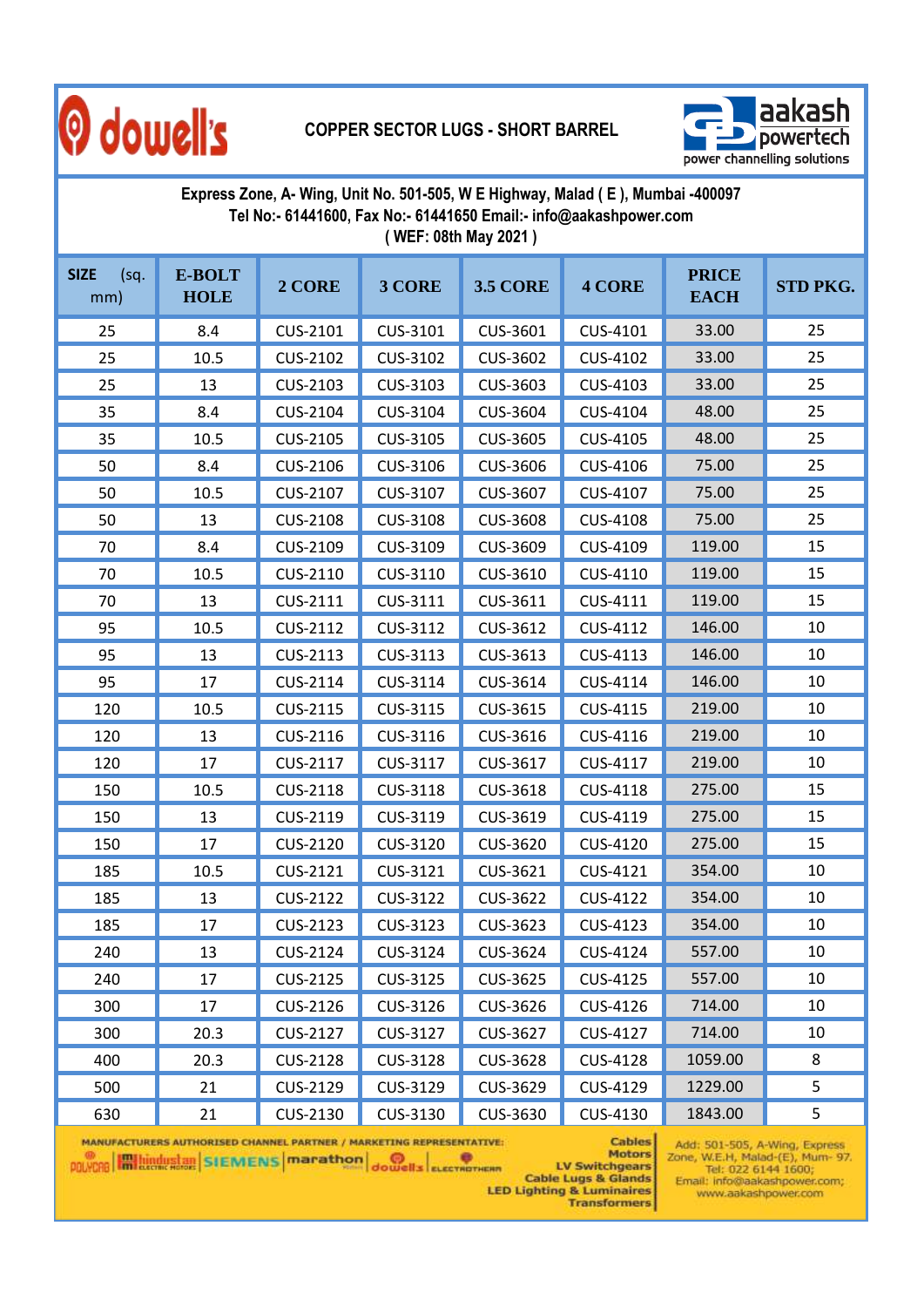

#### **COPPER SECTOR LUGS - SHORT BARREL**



| Express Zone, A- Wing, Unit No. 501-505, W E Highway, Malad (E), Mumbai -400097<br>Tel No:- 61441600, Fax No:- 61441650 Email:- info@aakashpower.com<br>(WEF: 08th May 2021) |                       |          |          |                 |                    |                             |          |  |
|------------------------------------------------------------------------------------------------------------------------------------------------------------------------------|-----------------------|----------|----------|-----------------|--------------------|-----------------------------|----------|--|
| <b>SIZE</b><br>(sq)<br>mm)                                                                                                                                                   | E-BOLT<br><b>HOLE</b> | 2 CORE   | 3 CORE   | <b>3.5 CORE</b> | <b>4 CORE</b>      | <b>PRICE</b><br><b>EACH</b> | STD PKG. |  |
| 25                                                                                                                                                                           | 8.4                   | CUS-2101 | CUS-3101 | CUS-3601        | CUS-4101           | 33.00                       | 25       |  |
| 25                                                                                                                                                                           | 10.5                  | CUS-2102 | CUS-3102 | CUS-3602        | CUS-4102           | 33.00                       | 25       |  |
| 25                                                                                                                                                                           | 13                    | CUS-2103 | CUS-3103 | CUS-3603        | CUS-4103           | 33.00                       | 25       |  |
| 35                                                                                                                                                                           | 8.4                   | CUS-2104 | CUS-3104 | <b>CUS-3604</b> | CUS-4104           | 48.00                       | 25       |  |
| 35                                                                                                                                                                           | 10.5                  | CUS-2105 | CUS-3105 | CUS-3605        | CUS-4105           | 48.00                       | 25       |  |
| 50                                                                                                                                                                           | 8.4                   | CUS-2106 | CUS-3106 | CUS-3606        | CUS-4106           | 75.00                       | 25       |  |
| 50                                                                                                                                                                           | 10.5                  | CUS-2107 | CUS-3107 | CUS-3607        | CUS-4107           | 75.00                       | 25       |  |
| 50                                                                                                                                                                           | 13                    | CUS-2108 | CUS-3108 | <b>CUS-3608</b> | CUS-4108           | 75.00                       | 25       |  |
| 70                                                                                                                                                                           | 8.4                   | CUS-2109 | CUS-3109 | CUS-3609        | CUS-4109           | 119.00                      | 15       |  |
| 70                                                                                                                                                                           | 10.5                  | CUS-2110 | CUS-3110 | CUS-3610        | CUS-4110           | 119.00                      | 15       |  |
| 70                                                                                                                                                                           | 13                    | CUS-2111 | CUS-3111 | CUS-3611        | CUS-4111           | 119.00                      | 15       |  |
| 95                                                                                                                                                                           | 10.5                  | CUS-2112 | CUS-3112 | CUS-3612        | CUS-4112           | 146.00                      | 10       |  |
| 95                                                                                                                                                                           | 13                    | CUS-2113 | CUS-3113 | CUS-3613        | CUS-4113           | 146.00                      | 10       |  |
| 95                                                                                                                                                                           | 17                    | CUS-2114 | CUS-3114 | CUS-3614        | CUS-4114           | 146.00                      | 10       |  |
| 120                                                                                                                                                                          | 10.5                  | CUS-2115 | CUS-3115 | CUS-3615        | CUS-4115           | 219.00                      | 10       |  |
| 120                                                                                                                                                                          | 13                    | CUS-2116 | CUS-3116 | CUS-3616        | CUS-4116           | 219.00                      | 10       |  |
| 120                                                                                                                                                                          | 17                    | CUS-2117 | CUS-3117 | CUS-3617        | CUS-4117           | 219.00                      | 10       |  |
| 150                                                                                                                                                                          | 10.5                  | CUS-2118 | CUS-3118 | CUS-3618        | CUS-4118           | 275.00                      | 15       |  |
| 150                                                                                                                                                                          | 13                    | CUS-2119 | CUS-3119 | CUS-3619        | CUS-4119           | 275.00                      | 15       |  |
| 150                                                                                                                                                                          | 17                    | CUS-2120 | CUS-3120 | CUS-3620        | CUS-4120           | 275.00                      | 15       |  |
| 185                                                                                                                                                                          | 10.5                  | CUS-2121 | CUS-3121 | CUS-3621        | CUS-4121           | 354.00                      | 10       |  |
| 185                                                                                                                                                                          | 13                    | CUS-2122 | CUS-3122 | CUS-3622        | <b>CUS-4122</b>    | 354.00                      | 10       |  |
| 185                                                                                                                                                                          | 17                    | CUS-2123 | CUS-3123 | CUS-3623        | CUS-4123           | 354.00                      | 10       |  |
| 240                                                                                                                                                                          | 13                    | CUS-2124 | CUS-3124 | CUS-3624        | CUS-4124           | 557.00                      | 10       |  |
| 240                                                                                                                                                                          | 17                    | CUS-2125 | CUS-3125 | CUS-3625        | CUS-4125           | 557.00                      | 10       |  |
| 300                                                                                                                                                                          | 17                    | CUS-2126 | CUS-3126 | CUS-3626        | CUS-4126           | 714.00                      | 10       |  |
| 300                                                                                                                                                                          | 20.3                  | CUS-2127 | CUS-3127 | CUS-3627        | CUS-4127           | 714.00                      | 10       |  |
| 400                                                                                                                                                                          | 20.3                  | CUS-2128 | CUS-3128 | CUS-3628        | CUS-4128           | 1059.00                     | 8        |  |
| 500                                                                                                                                                                          | 21                    | CUS-2129 | CUS-3129 | CUS-3629        | CUS-4129           | 1229.00                     | 5        |  |
| $\epsilon$                                                                                                                                                                   | 21                    | CUC 2120 | CUC 2120 | CUC 2C20        | $C \cup C$ $A 320$ | $101200$                    | c.       |  |

Add: 501-505, A-Wing, Express<br>Zone, W.E.H, Malad-(E), Mum- 97.<br>Tel: 022 6144 1600;<br>Email: info@aakashpower.com; **Cables** www.aakashpower.com

MANUFACTURERS AUTHORISED CHANNEL PARTNER / MARKETING REPRESENTATIVE:<br>
POLYCRE MARKETING REPRESENTATIVE:<br>
POLYCRE MARKETING REPRESENTATIVE:<br>
POLYCRE MARKETING REPRESENTATIVE:<br>
Cable Lugs & Glands<br>
Cable Lugs & Glands<br>
Trans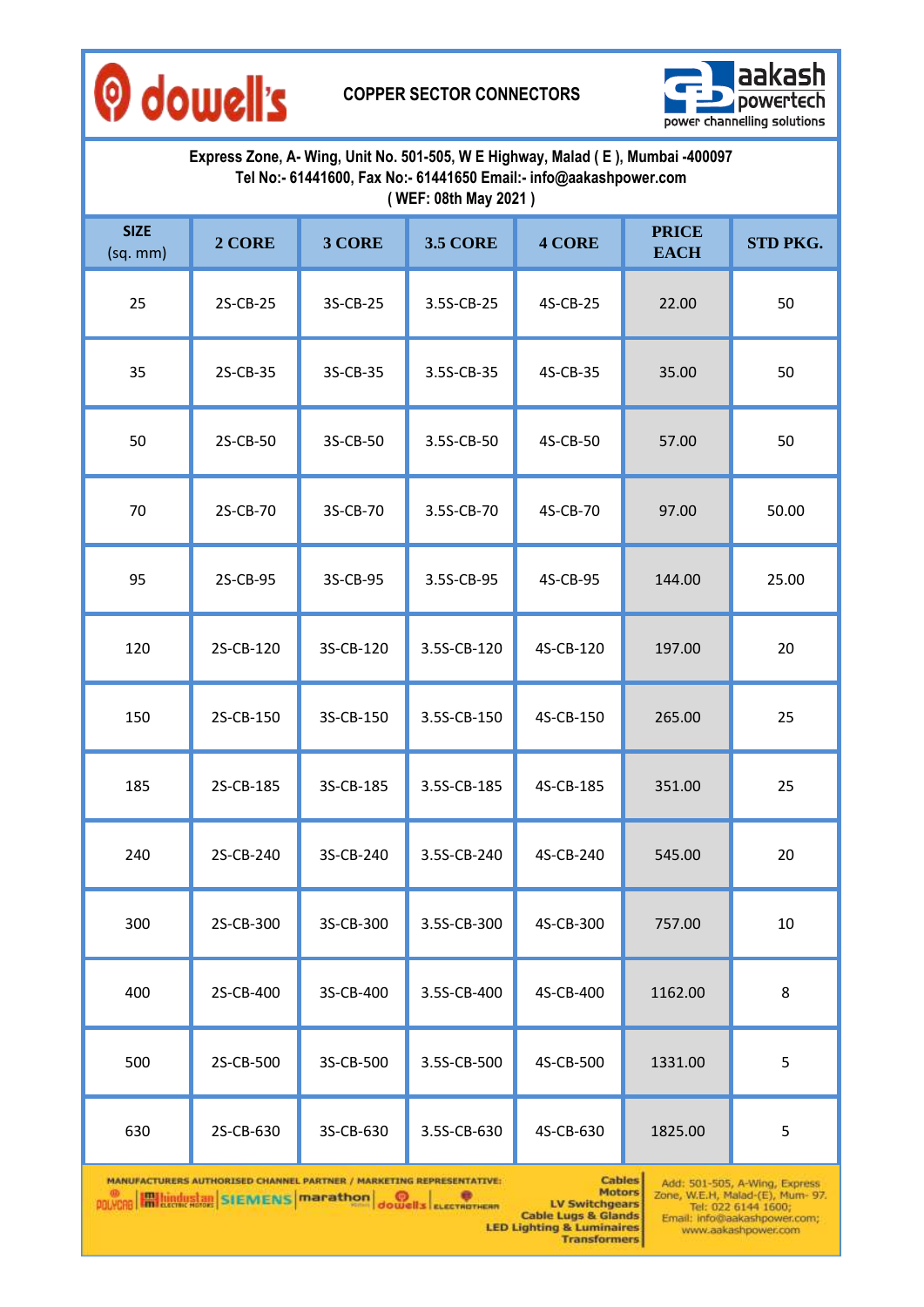

**COPPER SECTOR CONNECTORS**



| Express Zone, A- Wing, Unit No. 501-505, W E Highway, Malad (E), Mumbai -400097<br>Tel No:- 61441600, Fax No:- 61441650 Email:- info@aakashpower.com<br>(WEF: 08th May 2021) |           |                 |               |                             |               |  |  |  |  |
|------------------------------------------------------------------------------------------------------------------------------------------------------------------------------|-----------|-----------------|---------------|-----------------------------|---------------|--|--|--|--|
| 2 CORE                                                                                                                                                                       | 3 CORE    | <b>3.5 CORE</b> | <b>4 CORE</b> | <b>PRICE</b><br><b>EACH</b> | STD PKG.      |  |  |  |  |
| 2S-CB-25                                                                                                                                                                     | 3S-CB-25  | 3.5S-CB-25      | 4S-CB-25      | 22.00                       | 50            |  |  |  |  |
| 2S-CB-35                                                                                                                                                                     | 3S-CB-35  | 3.5S-CB-35      | 4S-CB-35      | 35.00                       | 50            |  |  |  |  |
| 2S-CB-50                                                                                                                                                                     | 3S-CB-50  | 3.5S-CB-50      | 4S-CB-50      | 57.00                       | 50            |  |  |  |  |
| 2S-CB-70                                                                                                                                                                     | 3S-CB-70  | 3.5S-CB-70      | 4S-CB-70      | 97.00                       | 50.00         |  |  |  |  |
| 2S-CB-95                                                                                                                                                                     | 3S-CB-95  | 3.5S-CB-95      | 4S-CB-95      | 144.00                      | 25.00         |  |  |  |  |
| 2S-CB-120                                                                                                                                                                    | 3S-CB-120 | 3.5S-CB-120     | 4S-CB-120     | 197.00                      | 20            |  |  |  |  |
| 2S-CB-150                                                                                                                                                                    | 3S-CB-150 | 3.5S-CB-150     | 4S-CB-150     | 265.00                      | 25            |  |  |  |  |
| 2S-CB-185                                                                                                                                                                    | 3S-CB-185 | 3.5S-CB-185     | 4S-CB-185     | 351.00                      | 25            |  |  |  |  |
| 2S-CB-240                                                                                                                                                                    | 3S-CB-240 | 3.5S-CB-240     | 4S-CB-240     | 545.00                      | 20            |  |  |  |  |
| 2S-CB-300                                                                                                                                                                    | 3S-CB-300 | 3.5S-CB-300     | 4S-CB-300     | 757.00                      | $10\,$        |  |  |  |  |
| 2S-CB-400                                                                                                                                                                    | 3S-CB-400 | 3.5S-CB-400     | 4S-CB-400     | 1162.00                     | 8             |  |  |  |  |
| 2S-CB-500                                                                                                                                                                    | 3S-CB-500 | 3.5S-CB-500     | 4S-CB-500     | 1331.00                     | 5             |  |  |  |  |
| 2S-CB-630                                                                                                                                                                    | 3S-CB-630 | 3.5S-CB-630     | 4S-CB-630     | 1825.00                     | 5             |  |  |  |  |
|                                                                                                                                                                              |           |                 |               |                             | <b>Cables</b> |  |  |  |  |

Motors<br>
Motors<br>
EM LV Switchgears<br>
Cable Lugs & Glands<br>
LED Lighting & Luminaires<br>
Transformers **POLYCRE EMILIAN SIENENS Marathon** Journal execution

Add: 501-505, A-Wing, Express<br>Zone, W.E.H, Malad-(E), Mum- 97.<br>Tel: 022 6144 1600;<br>Email: info@aakashpower.com;<br>www.aakashpower.com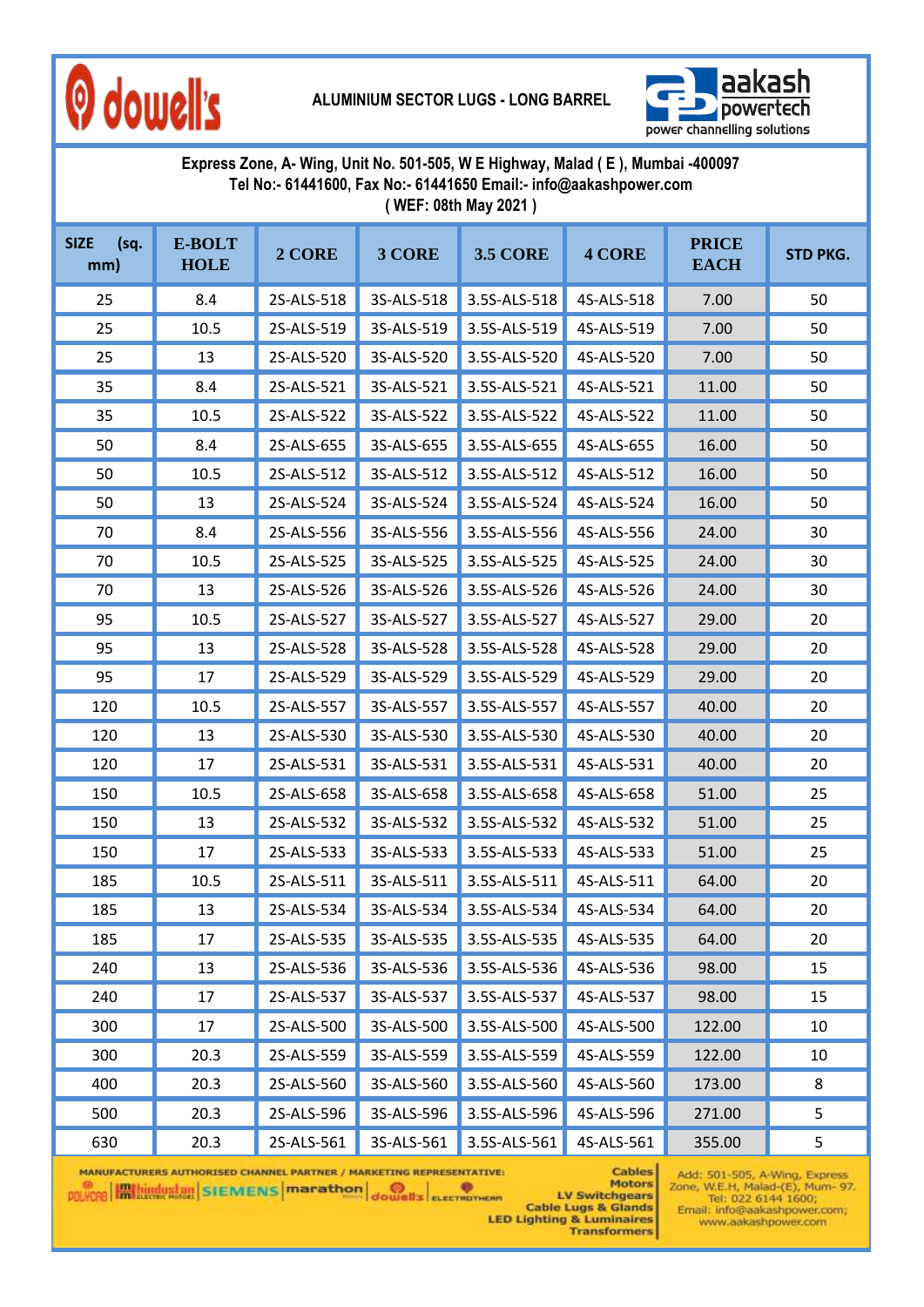

**ALUMINIUM SECTOR LUGS - LONG BARREL**



**Express Zone, A- Wing, Unit No. 501-505, W E Highway, Malad ( E ), Mumbai -400097 Tel No:- 61441600, Fax No:- 61441650 Email:- info@aakashpower.com ( WEF: 08th May 2021 )**

| <b>SIZE</b><br>(sq.<br>mm) | E-BOLT<br><b>HOLE</b> | 2 CORE     | 3 CORE     | <b>3.5 CORE</b> | <b>4 CORE</b> | <b>PRICE</b><br><b>EACH</b> | <b>STD PKG.</b> |
|----------------------------|-----------------------|------------|------------|-----------------|---------------|-----------------------------|-----------------|
| 25                         | 8.4                   | 2S-ALS-518 | 3S-ALS-518 | 3.5S-ALS-518    | 4S-ALS-518    | 7.00                        | 50              |
| 25                         | 10.5                  | 2S-ALS-519 | 3S-ALS-519 | 3.5S-ALS-519    | 4S-ALS-519    | 7.00                        | 50              |
| 25                         | 13                    | 2S-ALS-520 | 3S-ALS-520 | 3.5S-ALS-520    | 4S-ALS-520    | 7.00                        | 50              |
| 35                         | 8.4                   | 2S-ALS-521 | 3S-ALS-521 | 3.5S-ALS-521    | 4S-ALS-521    | 11.00                       | 50              |
| 35                         | 10.5                  | 2S-ALS-522 | 3S-ALS-522 | 3.5S-ALS-522    | 4S-ALS-522    | 11.00                       | 50              |
| 50                         | 8.4                   | 2S-ALS-655 | 3S-ALS-655 | 3.5S-ALS-655    | 4S-ALS-655    | 16.00                       | 50              |
| 50                         | 10.5                  | 2S-ALS-512 | 3S-ALS-512 | 3.5S-ALS-512    | 4S-ALS-512    | 16.00                       | 50              |
| 50                         | 13                    | 2S-ALS-524 | 3S-ALS-524 | 3.5S-ALS-524    | 4S-ALS-524    | 16.00                       | 50              |
| 70                         | 8.4                   | 2S-ALS-556 | 3S-ALS-556 | 3.5S-ALS-556    | 4S-ALS-556    | 24.00                       | 30              |
| 70                         | 10.5                  | 2S-ALS-525 | 3S-ALS-525 | 3.5S-ALS-525    | 4S-ALS-525    | 24.00                       | 30              |
| 70                         | 13                    | 2S-ALS-526 | 3S-ALS-526 | 3.5S-ALS-526    | 4S-ALS-526    | 24.00                       | 30              |
| 95                         | 10.5                  | 2S-ALS-527 | 3S-ALS-527 | 3.5S-ALS-527    | 4S-ALS-527    | 29.00                       | 20              |
| 95                         | 13                    | 2S-ALS-528 | 3S-ALS-528 | 3.5S-ALS-528    | 4S-ALS-528    | 29.00                       | 20              |
| 95                         | 17                    | 2S-ALS-529 | 3S-ALS-529 | 3.5S-ALS-529    | 4S-ALS-529    | 29.00                       | 20              |
| 120                        | 10.5                  | 2S-ALS-557 | 3S-ALS-557 | 3.5S-ALS-557    | 4S-ALS-557    | 40.00                       | 20              |
| 120                        | 13                    | 2S-ALS-530 | 3S-ALS-530 | 3.5S-ALS-530    | 4S-ALS-530    | 40.00                       | 20              |
| 120                        | 17                    | 2S-ALS-531 | 3S-ALS-531 | 3.5S-ALS-531    | 4S-ALS-531    | 40.00                       | 20              |
| 150                        | 10.5                  | 2S-ALS-658 | 3S-ALS-658 | 3.5S-ALS-658    | 4S-ALS-658    | 51.00                       | 25              |
| 150                        | 13                    | 2S-ALS-532 | 3S-ALS-532 | 3.5S-ALS-532    | 4S-ALS-532    | 51.00                       | 25              |
| 150                        | 17                    | 2S-ALS-533 | 3S-ALS-533 | 3.5S-ALS-533    | 4S-ALS-533    | 51.00                       | 25              |
| 185                        | 10.5                  | 2S-ALS-511 | 3S-ALS-511 | 3.5S-ALS-511    | 4S-ALS-511    | 64.00                       | 20              |
| 185                        | 13                    | 2S-ALS-534 | 3S-ALS-534 | 3.5S-ALS-534    | 4S-ALS-534    | 64.00                       | 20              |
| 185                        | 17                    | 2S-ALS-535 | 3S-ALS-535 | 3.5S-ALS-535    | 4S-ALS-535    | 64.00                       | 20              |
| 240                        | 13                    | 2S-ALS-536 | 3S-ALS-536 | 3.5S-ALS-536    | 4S-ALS-536    | 98.00                       | 15              |
| 240                        | 17                    | 2S-ALS-537 | 3S-ALS-537 | 3.5S-ALS-537    | 4S-ALS-537    | 98.00                       | 15              |
| 300                        | 17                    | 2S-ALS-500 | 3S-ALS-500 | 3.5S-ALS-500    | 4S-ALS-500    | 122.00                      | 10              |
| 300                        | 20.3                  | 2S-ALS-559 | 3S-ALS-559 | 3.5S-ALS-559    | 4S-ALS-559    | 122.00                      | 10              |
| 400                        | 20.3                  | 2S-ALS-560 | 3S-ALS-560 | 3.5S-ALS-560    | 4S-ALS-560    | 173.00                      | 8               |
| 500                        | 20.3                  | 2S-ALS-596 | 3S-ALS-596 | 3.5S-ALS-596    | 4S-ALS-596    | 271.00                      | 5               |
| 630                        | 20.3                  | 2S-ALS-561 | 3S-ALS-561 | 3.5S-ALS-561    | 4S-ALS-561    | 355.00                      | 5               |

**Cables** Add: 501-505, A-Wing, Express<br>Zone, W.E.H, Malad-(E), Mum- 97,<br>Tel: 022 6144 1600; **Motors** Email: info@aakashpower.com;

www.aakashpower.com

MANUFACTURERS AUTHORISED CHANNEL PARTNER / MARKETING REPRESENTATIVE: **POLYCRE MILLION SIENENS Marathon dowells exeriences** 

LV Switchgears END Cable Lugs & Glands<br>LED Lighting & Luminaires<br>Transformers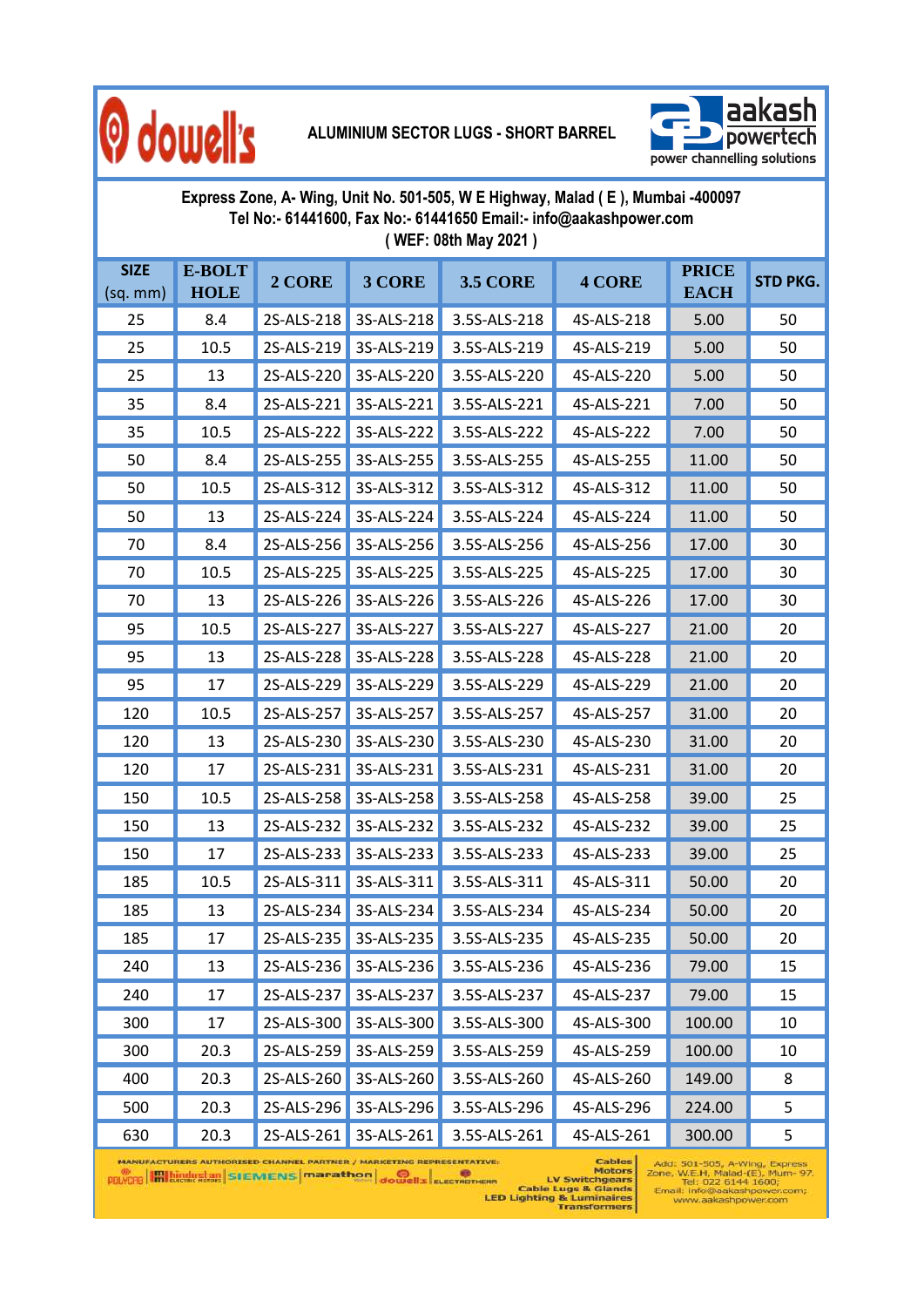

#### **ALUMINIUM SECTOR LUGS - SHORT BARREL**



| Express Zone, A- Wing, Unit No. 501-505, W E Highway, Malad (E), Mumbai -400097<br>Tel No:- 61441600, Fax No:- 61441650 Email:- info@aakashpower.com<br>(WEF: 08th May 2021) |                       |            |                       |                 |               |                             |                 |  |
|------------------------------------------------------------------------------------------------------------------------------------------------------------------------------|-----------------------|------------|-----------------------|-----------------|---------------|-----------------------------|-----------------|--|
| <b>SIZE</b><br>$(sq.$ mm $)$                                                                                                                                                 | E-BOLT<br><b>HOLE</b> | 2 CORE     | 3 CORE                | <b>3.5 CORE</b> | <b>4 CORE</b> | <b>PRICE</b><br><b>EACH</b> | <b>STD PKG.</b> |  |
| 25                                                                                                                                                                           | 8.4                   | 2S-ALS-218 | 3S-ALS-218            | 3.5S-ALS-218    | 4S-ALS-218    | 5.00                        | 50              |  |
| 25                                                                                                                                                                           | 10.5                  | 2S-ALS-219 | 3S-ALS-219            | 3.5S-ALS-219    | 4S-ALS-219    | 5.00                        | 50              |  |
| 25                                                                                                                                                                           | 13                    | 2S-ALS-220 | 3S-ALS-220            | 3.5S-ALS-220    | 4S-ALS-220    | 5.00                        | 50              |  |
| 35                                                                                                                                                                           | 8.4                   | 2S-ALS-221 | 3S-ALS-221            | 3.5S-ALS-221    | 4S-ALS-221    | 7.00                        | 50              |  |
| 35                                                                                                                                                                           | 10.5                  | 2S-ALS-222 | 3S-ALS-222            | 3.5S-ALS-222    | 4S-ALS-222    | 7.00                        | 50              |  |
| 50                                                                                                                                                                           | 8.4                   | 2S-ALS-255 | 3S-ALS-255            | 3.5S-ALS-255    | 4S-ALS-255    | 11.00                       | 50              |  |
| 50                                                                                                                                                                           | 10.5                  | 2S-ALS-312 | 3S-ALS-312            | 3.5S-ALS-312    | 4S-ALS-312    | 11.00                       | 50              |  |
| 50                                                                                                                                                                           | 13                    | 2S-ALS-224 | 3S-ALS-224            | 3.5S-ALS-224    | 4S-ALS-224    | 11.00                       | 50              |  |
| 70                                                                                                                                                                           | 8.4                   | 2S-ALS-256 | 3S-ALS-256            | 3.5S-ALS-256    | 4S-ALS-256    | 17.00                       | 30              |  |
| 70                                                                                                                                                                           | 10.5                  | 2S-ALS-225 | 3S-ALS-225            | 3.5S-ALS-225    | 4S-ALS-225    | 17.00                       | 30              |  |
| 70                                                                                                                                                                           | 13                    | 2S-ALS-226 | 3S-ALS-226            | 3.5S-ALS-226    | 4S-ALS-226    | 17.00                       | 30              |  |
| 95                                                                                                                                                                           | 10.5                  | 2S-ALS-227 | 3S-ALS-227            | 3.5S-ALS-227    | 4S-ALS-227    | 21.00                       | 20              |  |
| 95                                                                                                                                                                           | 13                    | 2S-ALS-228 | 3S-ALS-228            | 3.5S-ALS-228    | 4S-ALS-228    | 21.00                       | 20              |  |
| 95                                                                                                                                                                           | 17                    | 2S-ALS-229 | 3S-ALS-229            | 3.5S-ALS-229    | 4S-ALS-229    | 21.00                       | 20              |  |
| 120                                                                                                                                                                          | 10.5                  | 2S-ALS-257 | 3S-ALS-257            | 3.5S-ALS-257    | 4S-ALS-257    | 31.00                       | 20              |  |
| 120                                                                                                                                                                          | 13                    | 2S-ALS-230 | 3S-ALS-230            | 3.5S-ALS-230    | 4S-ALS-230    | 31.00                       | 20              |  |
| 120                                                                                                                                                                          | 17                    | 2S-ALS-231 | 3S-ALS-231            | 3.5S-ALS-231    | 4S-ALS-231    | 31.00                       | 20              |  |
| 150                                                                                                                                                                          | 10.5                  | 2S-ALS-258 | 3S-ALS-258            | 3.5S-ALS-258    | 4S-ALS-258    | 39.00                       | 25              |  |
| 150                                                                                                                                                                          | 13                    | 2S-ALS-232 | 3S-ALS-232            | 3.5S-ALS-232    | 4S-ALS-232    | 39.00                       | 25              |  |
| 150                                                                                                                                                                          | 17                    | 2S-ALS-233 | 3S-ALS-233            | 3.5S-ALS-233    | 4S-ALS-233    | 39.00                       | 25              |  |
| 185                                                                                                                                                                          | 10.5                  |            | 2S-ALS-311 3S-ALS-311 | 3.5S-ALS-311    | 4S-ALS-311    | 50.00                       | 20              |  |
| 185                                                                                                                                                                          | 13                    | 2S-ALS-234 | 3S-ALS-234            | 3.5S-ALS-234    | 4S-ALS-234    | 50.00                       | 20              |  |
| 185                                                                                                                                                                          | 17                    | 2S-ALS-235 | 3S-ALS-235            | 3.5S-ALS-235    | 4S-ALS-235    | 50.00                       | 20              |  |
| 240                                                                                                                                                                          | 13                    | 2S-ALS-236 | 3S-ALS-236            | 3.5S-ALS-236    | 4S-ALS-236    | 79.00                       | 15              |  |
| 240                                                                                                                                                                          | 17                    | 2S-ALS-237 | 3S-ALS-237            | 3.5S-ALS-237    | 4S-ALS-237    | 79.00                       | 15              |  |
| 300                                                                                                                                                                          | 17                    | 2S-ALS-300 | 3S-ALS-300            | 3.5S-ALS-300    | 4S-ALS-300    | 100.00                      | 10              |  |
| 300                                                                                                                                                                          | 20.3                  | 2S-ALS-259 | 3S-ALS-259            | 3.5S-ALS-259    | 4S-ALS-259    | 100.00                      | 10              |  |
| 400                                                                                                                                                                          | 20.3                  | 2S-ALS-260 | 3S-ALS-260            | 3.5S-ALS-260    | 4S-ALS-260    | 149.00                      | 8               |  |
| 500                                                                                                                                                                          | 20.3                  | 2S-ALS-296 | 3S-ALS-296            | 3.5S-ALS-296    | 4S-ALS-296    | 224.00                      | 5               |  |
| 630                                                                                                                                                                          | 20.3                  | 2S-ALS-261 | 3S-ALS-261            | 3.5S-ALS-261    | 4S-ALS-261    | 300.00                      | 5               |  |

MANUFACTURERS AUTHORISED CHANNEL PARTNER / MARKETING REPRESENTATIVE:<br> **MANUFACTURERS MOTORS**<br>
MOTORS MOTORS<br>
Transformers<br>
LED Lighting & Laminaires<br>
Transformers

 $\begin{array}{c} \mathsf{Add:} \ \mathsf{501{\text -}505}, \ \mathsf{A{\text -}Wing,}\ \mathsf{Express} \\ \mathsf{zone,}\ \mathsf{W.E.H,}\ \mathsf{Malad\text{-} (E),}\ \mathsf{Mum\text{-}97}, \\ \mathsf{Teil:}\ 022\ 6144\ 16000; \\ \mathsf{Emali:} \ \mathsf{info@aakashpower.com}; \\ \mathsf{www.aakashpower.com} \end{array}$